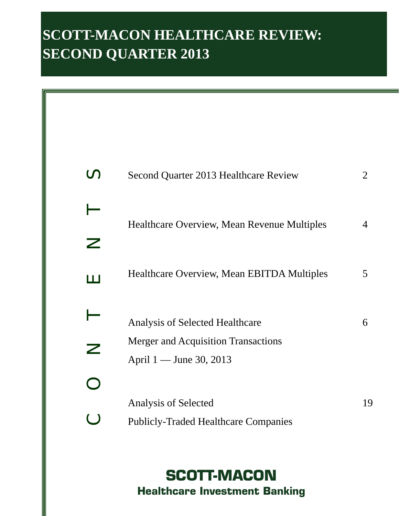## **SCOTT-MACON HEALTHCARE REVIEW: SECOND QUARTER 2013**

|                            | Second Quarter 2013 Healthcare Review                                         | 2  |
|----------------------------|-------------------------------------------------------------------------------|----|
| ╱                          | Healthcare Overview, Mean Revenue Multiples                                   | 4  |
| l I I                      | Healthcare Overview, Mean EBITDA Multiples                                    | 5  |
| $\boldsymbol{\mathcal{Z}}$ | <b>Analysis of Selected Healthcare</b><br>Merger and Acquisition Transactions | 6  |
|                            | April 1 — June 30, 2013<br>Analysis of Selected                               | 19 |
| $\bigcirc$                 | <b>Publicly-Traded Healthcare Companies</b>                                   |    |

**SCOTT-MACON Healthcare Investment Banking**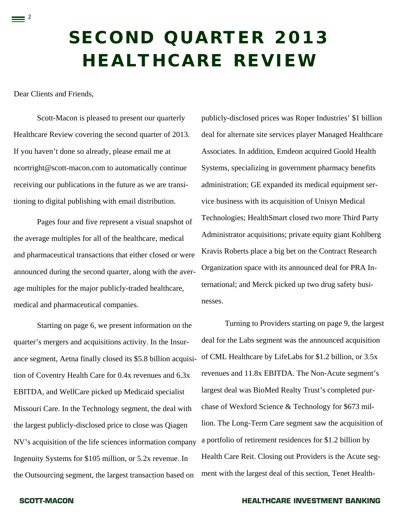# **SECOND QUARTER 2013 HEALTHCARE REVIEW**

Dear Clients and Friends,

 $\equiv$  <sup>2</sup>

Scott-Macon is pleased to present our quarterly Healthcare Review covering the second quarter of 2013. If you haven't done so already, please email me at ncortright@scott-macon.com to automatically continue receiving our publications in the future as we are transitioning to digital publishing with email distribution.

Pages four and five represent a visual snapshot of the average multiples for all of the healthcare, medical and pharmaceutical transactions that either closed or were announced during the second quarter, along with the average multiples for the major publicly-traded healthcare, medical and pharmaceutical companies.

 Starting on page 6, we present information on the quarter's mergers and acquisitions activity. In the Insurance segment, Aetna finally closed its \$5.8 billion acquisition of Coventry Health Care for 0.4x revenues and 6.3x EBITDA, and WellCare picked up Medicaid specialist Missouri Care. In the Technology segment, the deal with the largest publicly-disclosed price to close was Qiagen NV's acquisition of the life sciences information company Ingenuity Systems for \$105 million, or 5.2x revenue. In the Outsourcing segment, the largest transaction based on

publicly-disclosed prices was Roper Industries' \$1 billion deal for alternate site services player Managed Healthcare Associates. In addition, Emdeon acquired Goold Health Systems, specializing in government pharmacy benefits administration; GE expanded its medical equipment service business with its acquisition of Unisyn Medical Technologies; HealthSmart closed two more Third Party Administrator acquisitions; private equity giant Kohlberg Kravis Roberts place a big bet on the Contract Research Organization space with its announced deal for PRA International; and Merck picked up two drug safety businesses.

Turning to Providers starting on page 9, the largest deal for the Labs segment was the announced acquisition of CML Healthcare by LifeLabs for \$1.2 billion, or 3.5x revenues and 11.8x EBITDA. The Non-Acute segment's largest deal was BioMed Realty Trust's completed purchase of Wexford Science & Technology for \$673 million. The Long-Term Care segment saw the acquisition of a portfolio of retirement residences for \$1.2 billion by Health Care Reit. Closing out Providers is the Acute segment with the largest deal of this section, Tenet Health-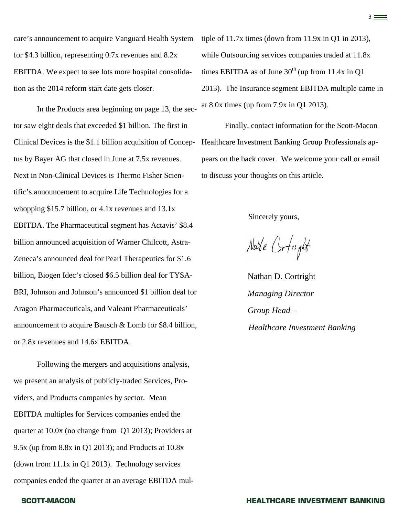care's announcement to acquire Vanguard Health System for \$4.3 billion, representing 0.7x revenues and 8.2x EBITDA. We expect to see lots more hospital consolidation as the 2014 reform start date gets closer.

In the Products area beginning on page 13, the sector saw eight deals that exceeded \$1 billion. The first in Clinical Devices is the \$1.1 billion acquisition of Conceptus by Bayer AG that closed in June at 7.5x revenues. Next in Non-Clinical Devices is Thermo Fisher Scientific's announcement to acquire Life Technologies for a whopping \$15.7 billion, or 4.1x revenues and 13.1x EBITDA. The Pharmaceutical segment has Actavis' \$8.4 billion announced acquisition of Warner Chilcott, Astra-Zeneca's announced deal for Pearl Therapeutics for \$1.6 billion, Biogen Idec's closed \$6.5 billion deal for TYSA-BRI, Johnson and Johnson's announced \$1 billion deal for Aragon Pharmaceuticals, and Valeant Pharmaceuticals' announcement to acquire Bausch & Lomb for \$8.4 billion, or 2.8x revenues and 14.6x EBITDA.

Following the mergers and acquisitions analysis, we present an analysis of publicly-traded Services, Providers, and Products companies by sector. Mean EBITDA multiples for Services companies ended the quarter at 10.0x (no change from Q1 2013); Providers at 9.5x (up from 8.8x in Q1 2013); and Products at 10.8x (down from 11.1x in Q1 2013). Technology services companies ended the quarter at an average EBITDA mul-

## tiple of 11.7x times (down from 11.9x in Q1 in 2013), while Outsourcing services companies traded at 11.8x times EBITDA as of June  $30<sup>th</sup>$  (up from 11.4x in Q1) 2013). The Insurance segment EBITDA multiple came in at 8.0x times (up from 7.9x in Q1 2013).

Finally, contact information for the Scott-Macon Healthcare Investment Banking Group Professionals appears on the back cover. We welcome your call or email to discuss your thoughts on this article.

Sincerely yours,

Nate Cortright

Nathan D. Cortright *Managing Director Group Head – Healthcare Investment Banking*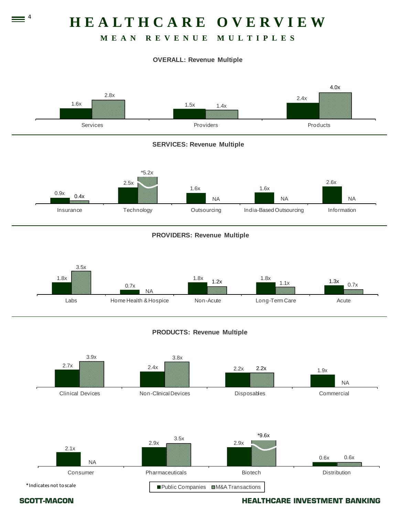## **HEALTHCARE OVERVIEW**

### **MEAN REVENUE MULTIPLES**

### **OVERALL: Revenue Multiple**





 $\equiv$   $^4$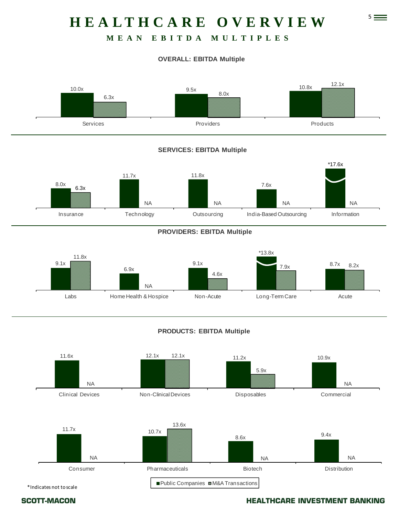## 5 **HEALTHCARE OVERVIEW**

### **MEAN EBITDA MULTIPLES**

### **OVERALL: EBITDA Multiple**





### **PROVIDERS: EBITDA Multiple**



### **PRODUCTS: EBITDA Multiple**

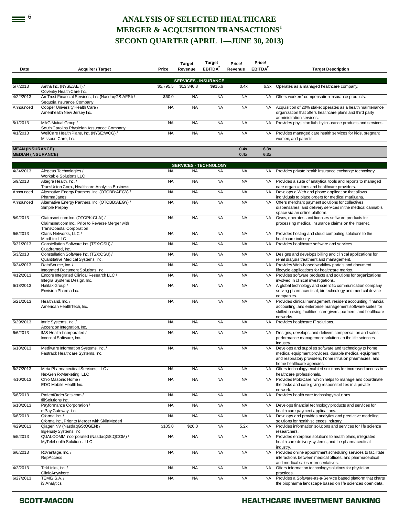### **EXECTED HEALTHCARE MERGER & ACQUISITION TRANSACTIONS<sup>1</sup> SECOND QUARTER (APRIL 1—JUNE 30, 2013)**

| Date                                                 | <b>Acquirer / Target</b>                                                                                                 | Price     | <b>Target</b><br>Revenue                  | <b>Target</b><br>EBITDA <sup>2</sup> | Price/<br>Revenue | Price/<br>EBITDA <sup>2</sup> | <b>Target Description</b>                                                                                                                                                                                             |
|------------------------------------------------------|--------------------------------------------------------------------------------------------------------------------------|-----------|-------------------------------------------|--------------------------------------|-------------------|-------------------------------|-----------------------------------------------------------------------------------------------------------------------------------------------------------------------------------------------------------------------|
|                                                      |                                                                                                                          |           |                                           |                                      |                   |                               |                                                                                                                                                                                                                       |
| 5/7/2013                                             | Aetna Inc. (NYSE:AET) /                                                                                                  | \$5,795.5 | <b>SERVICES - INSURANCE</b><br>\$13,340.8 | \$915.6                              | 0.4x              | 6.3x                          | Operates as a managed healthcare company.                                                                                                                                                                             |
| 4/22/2013                                            | Coventry Health Care Inc.<br>AmTrust Financial Services, Inc. (NasdaqGS:AFSI) /                                          | \$60.0    | <b>NA</b>                                 | <b>NA</b>                            | <b>NA</b>         | <b>NA</b>                     | Offers workers' compensation insurance products.                                                                                                                                                                      |
| Announced                                            | Sequoia Insurance Company<br>Cooper University Health Care /<br>Amerihealth New Jersey Inc.                              | <b>NA</b> | <b>NA</b>                                 | <b>NA</b>                            | <b>NA</b>         | <b>NA</b>                     | Acquisition of 20% stake; operates as a health maintenance<br>organization that offers healthcare plans and third party                                                                                               |
| 5/1/2013                                             | MAG Mutual Group /                                                                                                       | <b>NA</b> | <b>NA</b>                                 | <b>NA</b>                            | <b>NA</b>         | <b>NA</b>                     | administration services.<br>Provides physician liability insurance products and services.                                                                                                                             |
| 4/1/2013                                             | South Carolina Physician Assurance Company<br>WellCare Health Plans, Inc. (NYSE:WCG) /<br>Missouri Care, Inc.            | <b>NA</b> | <b>NA</b>                                 | <b>NA</b>                            | <b>NA</b>         | <b>NA</b>                     | Provides managed care health services for kids, pregnant<br>women, and parents.                                                                                                                                       |
| <b>MEAN (INSURANCE)</b><br><b>MEDIAN (INSURANCE)</b> |                                                                                                                          |           |                                           |                                      | 0.4x<br>0.4x      | 6.3x<br>6.3x                  |                                                                                                                                                                                                                       |
|                                                      |                                                                                                                          |           |                                           |                                      |                   |                               |                                                                                                                                                                                                                       |
| 4/24/2013                                            | Alegeus Technologies /                                                                                                   | <b>NA</b> | <b>SERVICES - TECHNOLOGY</b><br><b>NA</b> | <b>NA</b>                            | <b>NA</b>         | NA.                           | Provides private health insurance exchange technology.                                                                                                                                                                |
| 5/9/2013                                             | Workable Solutions LLC<br>Altegra Health, Inc. /                                                                         | <b>NA</b> | <b>NA</b>                                 | <b>NA</b>                            | <b>NA</b>         | NA.                           | Provides a suite of analytical tools and reports to managed                                                                                                                                                           |
| Announced                                            | TransUnion Corp., Healthcare Analytics Business<br>Alternative Energy Partners, Inc. (OTCBB:AEGY) /                      | <b>NA</b> | <b>NA</b>                                 | <b>NA</b>                            | <b>NA</b>         | <b>NA</b>                     | care organizations and healthcare providers.<br>Develops a Web and phone application that allows                                                                                                                      |
| Announced                                            | PharmaJanes<br>Alternative Energy Partners, Inc. (OTCBB:AEGY) /                                                          | <b>NA</b> | <b>NA</b>                                 | <b>NA</b>                            | <b>NA</b>         | <b>NA</b>                     | individuals to place orders for medical marijuana.<br>Offers merchant payment solutions for collectives,                                                                                                              |
|                                                      | Simple Prepay                                                                                                            |           |                                           |                                      |                   |                               | dispensaries, and delivery services in the medical cannabis<br>space via an online platform.                                                                                                                          |
| 5/9/2013                                             | Claimsnet.com Inc. (OTCPK:CLAI) /<br>Claimsnet.com Inc., Prior to Reverse Merger with<br><b>TransCoastal Corporation</b> | <b>NA</b> | <b>NA</b>                                 | <b>NA</b>                            | <b>NA</b>         | <b>NA</b>                     | Owns, operates, and licenses software products for<br>processing medical insurance claims on the Internet.                                                                                                            |
| 6/5/2013                                             | Claris Networks, LLC /<br>MindLinx LLC                                                                                   | <b>NA</b> | <b>NA</b>                                 | <b>NA</b>                            | <b>NA</b>         | NA.                           | Provides hosting and cloud computing solutions to the<br>healthcare industry.                                                                                                                                         |
| 5/31/2013                                            | Constellation Software Inc. (TSX:CSU) /<br>Quadramed, Inc.                                                               | <b>NA</b> | <b>NA</b>                                 | <b>NA</b>                            | <b>NA</b>         | NA.                           | Provides healthcare software and services.                                                                                                                                                                            |
| 5/3/2013                                             | Constellation Software Inc. (TSX:CSU) /<br>Quantitative Medical Systems, Inc.                                            | <b>NA</b> | <b>NA</b>                                 | <b>NA</b>                            | <b>NA</b>         | NA                            | Designs and develops billing and clinical applications for<br>renal dialysis treatment and management.                                                                                                                |
| 6/24/2013                                            | DataSource, Inc./<br>Integrated Document Solutions, Inc.                                                                 | <b>NA</b> | <b>NA</b>                                 | <b>NA</b>                            | <b>NA</b>         | NA.                           | Provides Web-based workflow portals and document<br>lifecycle applications for healthcare market.                                                                                                                     |
| 4/12/2013                                            | Encore Integrated Clinical Research LLC /<br>Integra Systems Design, Inc.                                                | <b>NA</b> | <b>NA</b>                                 | <b>NA</b>                            | <b>NA</b>         | <b>NA</b>                     | Provides software products and solutions for organizations<br>involved in clinical investigations.                                                                                                                    |
| 6/18/2013                                            | Halifax Group /<br>Envision Pharma Inc.                                                                                  | <b>NA</b> | <b>NA</b>                                 | <b>NA</b>                            | <b>NA</b>         | NA.                           | A global technology and scientific communication company<br>serving pharmaceutical, biotechnology and medical device<br>companies.                                                                                    |
| 5/21/2013                                            | Healthland, Inc./<br>American HealthTech, Inc.                                                                           | <b>NA</b> | <b>NA</b>                                 | <b>NA</b>                            | <b>NA</b>         | NA                            | Provides clinical management, resident accounting, financial<br>accounting, and enterprise management software suites for<br>skilled nursing facilities, caregivers, partners, and healthcare<br>networks.            |
| 5/29/2013                                            | latric Systems, Inc. /<br>Accent on Integration, Inc.                                                                    | <b>NA</b> | <b>NA</b>                                 | <b>NA</b>                            | <b>NA</b>         | NA.                           | Provides healthcare IT solutions.                                                                                                                                                                                     |
| 6/6/2013                                             | IMS Health Incorporated /<br>Incential Software, Inc.                                                                    | <b>NA</b> | <b>NA</b>                                 | <b>NA</b>                            | <b>NA</b>         | <b>NA</b>                     | Designs, develops, and delivers compensation and sales<br>performance management solutions to the life sciences                                                                                                       |
| 6/18/2013                                            | Mediware Information Systems, Inc. /<br>Fastrack Healthcare Systems, Inc.                                                | <b>NA</b> | <b>NA</b>                                 | <b>NA</b>                            | <b>NA</b>         | <b>NA</b>                     | industry.<br>Develops and supplies software and technology to home<br>medical equipment providers, durable medical equipment<br>and respiratory providers, home infusion pharmacies, and<br>home healthcare agencies. |
| 6/27/2013                                            | Meta Pharmaceutical Services, LLC /<br>NexGen RxMarketing, LLC                                                           | <b>NA</b> | <b>NA</b>                                 | <b>NA</b>                            | <b>NA</b>         | <b>NA</b>                     | Offers technology-enabled solutions for increased access to<br>healthcare professionals.                                                                                                                              |
| 4/10/2013                                            | Ohio Masonic Home /<br>EDO Mobile Health Inc.                                                                            | <b>NA</b> | <b>NA</b>                                 | <b>NA</b>                            | <b>NA</b>         | <b>NA</b>                     | Provides MobiCare, which helps to manage and coordinate<br>the tasks and care giving responsibilities in a private<br>network.                                                                                        |
| 5/6/2013                                             | PatientOrderSets.com /<br>fliiSolutions Inc.                                                                             | <b>NA</b> | <b>NA</b>                                 | <b>NA</b>                            | <b>NA</b>         | <b>NA</b>                     | Provides health care technology solutions.                                                                                                                                                                            |
| 6/18/2013                                            | Payformance Corporation /<br>mPay Gateway, Inc.                                                                          | <b>NA</b> | <b>NA</b>                                 | <b>NA</b>                            | <b>NA</b>         | <b>NA</b>                     | Develops financial technology products and services for<br>health care payment applications.                                                                                                                          |
| 6/6/2013                                             | Qforma Inc. /<br>Qforma Inc., Prior to Merger with SkilaMederi                                                           | <b>NA</b> | <b>NA</b>                                 | <b>NA</b>                            | <b>NA</b>         | NA.                           | Develops and provides analytics and predictive modeling<br>solutions for health sciences industry.                                                                                                                    |
| 4/29/2013                                            | Qiagen NV (NasdagGS:QGEN) /                                                                                              | \$105.0   | \$20.0                                    | <b>NA</b>                            | 5.2x              | NA                            | Provides information solutions and services for life science                                                                                                                                                          |
| 5/5/2013                                             | Ingenuity Systems, Inc.<br>QUALCOMM Incorporated (NasdaqGS:QCOM) /<br>MyTelehealth Solutions, LLC                        | <b>NA</b> | <b>NA</b>                                 | <b>NA</b>                            | <b>NA</b>         | <b>NA</b>                     | researchers.<br>Provides enterprise solutions to health plans, integrated<br>health care delivery systems, and the pharmaceutical                                                                                     |
| 6/6/2013                                             | RxVantage, Inc./<br>RepAccess                                                                                            | <b>NA</b> | <b>NA</b>                                 | <b>NA</b>                            | <b>NA</b>         | <b>NA</b>                     | industry.<br>Provides online appointment scheduling services to facilitate<br>interactions between medical offices, and pharmaceutical<br>and medical sales representatives.                                          |
| 4/2/2013                                             | TekLinks, Inc. /<br>ClinicAnywhere                                                                                       | <b>NA</b> | <b>NA</b>                                 | <b>NA</b>                            | <b>NA</b>         | <b>NA</b>                     | Offers information technology solutions for physician<br>practices.                                                                                                                                                   |
| 6/27/2013                                            | TEMIS S.A./<br>i3 Analytics                                                                                              | <b>NA</b> | <b>NA</b>                                 | <b>NA</b>                            | <b>NA</b>         | <b>NA</b>                     | Provides a Software-as-a-Service based platform that charts<br>the biopharma landscape based on life sciences open data.                                                                                              |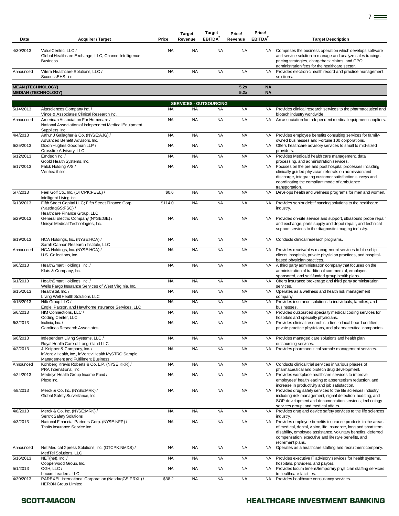| Date                     | <b>Acquirer / Target</b>                                                                                                    | Price     | <b>Target</b><br>Revenue      | Target<br>EBITDA <sup>2</sup> | Price/<br>Revenue | Price/<br>EBITDA <sup>2</sup> | <b>Target Description</b>                                                                                                                                                                                                                                                  |
|--------------------------|-----------------------------------------------------------------------------------------------------------------------------|-----------|-------------------------------|-------------------------------|-------------------|-------------------------------|----------------------------------------------------------------------------------------------------------------------------------------------------------------------------------------------------------------------------------------------------------------------------|
| 4/30/2013                | ValueCentric, LLC /<br>Global Healthcare Exchange, LLC, Channel Intelligence<br><b>Business</b>                             | <b>NA</b> | <b>NA</b>                     | <b>NA</b>                     | <b>NA</b>         | NA.                           | Comprises the business operation which develops software<br>and service solution to manage and analyze sales tracings,<br>pricing strategies, chargeback claims, and GPO<br>administration fees for the healthcare sector.                                                 |
| Announced                | Vitera Healthcare Solutions, LLC /<br>SuccessEHS, Inc.                                                                      | <b>NA</b> | <b>NA</b>                     | <b>NA</b>                     | <b>NA</b>         | <b>NA</b>                     | Provides electronic health record and practice management<br>solutions.                                                                                                                                                                                                    |
| <b>MEAN (TECHNOLOGY)</b> | <b>MEDIAN (TECHNOLOGY)</b>                                                                                                  |           |                               |                               | 5.2x<br>5.2x      | <b>NA</b><br><b>NA</b>        |                                                                                                                                                                                                                                                                            |
|                          |                                                                                                                             |           | <b>SERVICES - OUTSOURCING</b> |                               |                   |                               |                                                                                                                                                                                                                                                                            |
| 5/14/2013                | Altasciences Company Inc. /<br>Vince & Associates Clinical Research Inc.                                                    | <b>NA</b> | <b>NA</b>                     | <b>NA</b>                     | <b>NA</b>         | NA.                           | Provides clinical research services to the pharmaceutical and<br>biotech industry worldwide.                                                                                                                                                                               |
| Announced                | American Association For Homecare /<br>National Association of Independent Medical Equipment<br>Suppliers, Inc.             | <b>NA</b> | <b>NA</b>                     | <b>NA</b>                     | <b>NA</b>         | <b>NA</b>                     | An association for independent medical equipment suppliers.                                                                                                                                                                                                                |
| 4/4/2013                 | Arthur J Gallagher & Co. (NYSE:AJG) /<br>Advanced Benefit Advisors, Inc.                                                    | <b>NA</b> | <b>NA</b>                     | <b>NA</b>                     | <b>NA</b>         | <b>NA</b>                     | Provides employee benefits consulting services for family-<br>owned businesses and Fortune 100 corporations.                                                                                                                                                               |
| 6/25/2013                | Dixon Hughes Goodman LLP /<br>Crossfire Advisory, LLC                                                                       | <b>NA</b> | <b>NA</b>                     | <b>NA</b>                     | <b>NA</b>         | <b>NA</b>                     | Offers healthcare advisory services to small to mid-sized<br>providers.                                                                                                                                                                                                    |
| 6/12/2013                | Emdeon Inc. /<br>Goold Health Systems, Inc.                                                                                 | <b>NA</b> | <b>NA</b>                     | <b>NA</b>                     | <b>NA</b>         | <b>NA</b>                     | Provides Medicaid health care management, data<br>processing, and administration services.                                                                                                                                                                                 |
| 5/17/2013                | Falck Holding A/S /<br>Verihealth Inc.                                                                                      | <b>NA</b> | <b>NA</b>                     | <b>NA</b>                     | <b>NA</b>         | NA.                           | Focuses on the pre and post hospital processes including<br>clinically guided physician referrals on admission and<br>discharge, integrating customer satisfaction surveys and<br>coordinating the compliant mode of ambulance<br>transportation.                          |
| 5/7/2013                 | Feel Golf Co., Inc. (OTCPK:FEEL) /<br>Intelligent Living Inc.                                                               | \$0.6     | <b>NA</b>                     | <b>NA</b>                     | <b>NA</b>         | <b>NA</b>                     | Develops health and wellness programs for men and women.                                                                                                                                                                                                                   |
| 6/13/2013                | Fifth Street Capital LLC; Fifth Street Finance Corp.<br>(NasdaqGS:FSC) /<br>Healthcare Finance Group, LLC                   | \$114.0   | <b>NA</b>                     | <b>NA</b>                     | <b>NA</b>         | NA.                           | Provides senior debt financing solutions to the healthcare<br>industry.                                                                                                                                                                                                    |
| 5/29/2013                | General Electric Company (NYSE:GE) /<br>Unisyn Medical Technologies, Inc.                                                   | <b>NA</b> | <b>NA</b>                     | <b>NA</b>                     | <b>NA</b>         | NA.                           | Provides on-site service and support, ultrasound probe repair<br>and exchange, parts supply and depot repair, and technical<br>support services to the diagnostic imaging industry.                                                                                        |
| 6/19/2013                | HCA Holdings, Inc. (NYSE:HCA) /<br>Sarah Cannon Research Institute, LLC                                                     | <b>NA</b> | <b>NA</b>                     | <b>NA</b>                     | <b>NA</b>         | <b>NA</b>                     | Conducts clinical research programs.                                                                                                                                                                                                                                       |
| Announced                | HCA Holdings, Inc. (NYSE:HCA) /<br>U.S. Collections, Inc.                                                                   | <b>NA</b> | <b>NA</b>                     | <b>NA</b>                     | <b>NA</b>         | NA.                           | Provides receivables management services to blue-chip<br>clients, hospitals, private physician practices, and hospital-<br>based physician practices.                                                                                                                      |
| 6/6/2013                 | HealthSmart Holdings, Inc. /<br>Klais & Company, Inc.                                                                       | <b>NA</b> | <b>NA</b>                     | <b>NA</b>                     | <b>NA</b>         | $\overline{NA}$               | A third party administration company that focuses on the<br>administration of traditional commercial, employer-<br>sponsored, and self-funded group health plans.                                                                                                          |
| 6/1/2013                 | HealthSmart Holdings, Inc. /<br>Wells Fargo Insurance Services of West Virginia, Inc.                                       | <b>NA</b> | <b>NA</b>                     | <b>NA</b>                     | <b>NA</b>         | <b>NA</b>                     | Offers insurance brokerage and third party administration<br>services.                                                                                                                                                                                                     |
| 6/15/2013                | Healthstat, Inc. /<br>Living Well Health Solutions LLC                                                                      | <b>NA</b> | <b>NA</b>                     | <b>NA</b>                     | <b>NA</b>         | <b>NA</b>                     | Operates as a wellness and health risk management<br>company.                                                                                                                                                                                                              |
| 4/15/2013                | Hilb Group LLC /<br>Engle, Paxson, and Hawthorne Insurance Services, LLC                                                    | <b>NA</b> | <b>NA</b>                     | <b>NA</b>                     | <b>NA</b>         | NA.                           | Provides insurance solutions to individuals, families, and<br>businesses.                                                                                                                                                                                                  |
| 5/6/2013                 | HIM Connections, LLC /<br>Coding Center, LLC                                                                                | <b>NA</b> | <b>NA</b>                     | <b>NA</b>                     | <b>NA</b>         | <b>NA</b>                     | Provides outsourced specialty medical coding services for<br>hospitals and specialty physicians.                                                                                                                                                                           |
| 6/3/2013                 | $Inclinix.$ Inc. $/$<br>Carolinas Research Associates                                                                       | <b>NA</b> | <b>NA</b>                     | <b>NA</b>                     | <b>NA</b>         | <b>NA</b>                     | Provides clinical research studies to local board certified.<br>private practice physicians, and pharmaceutical companies.                                                                                                                                                 |
| 6/6/2013                 | Independent Living Systems, LLC /<br>Royal Health Care of Long Island LLC                                                   | <b>NA</b> | <b>NA</b>                     | <b>NA</b>                     | <b>NA</b>         | <b>NA</b>                     | Provides managed care solutions and health plan<br>outsourcing services.                                                                                                                                                                                                   |
| 4/2/2013                 | J. Knipper & Company, Inc. /<br>inVentiv Health, Inc., inVentiv Health MySTRO Sample<br>Management and Fulfillment Business | <b>NA</b> | <b>NA</b>                     | <b>NA</b>                     | <b>NA</b>         | <b>NA</b>                     | Provides pharmaceutical sample management services.                                                                                                                                                                                                                        |
| Announced                | Kohlberg Kravis Roberts & Co. L.P. (NYSE:KKR) /<br>PRA International, Inc.                                                  | <b>NA</b> | <b>NA</b>                     | <b>NA</b>                     | <b>NA</b>         | NA.                           | Conducts clinical trial services in various phases of<br>pharmaceutical and biotech drug development.                                                                                                                                                                      |
| 4/24/2013                | Medisys Health Group Income Fund /<br>Plexo Inc.                                                                            | <b>NA</b> | <b>NA</b>                     | <b>NA</b>                     | <b>NA</b>         | <b>NA</b>                     | Provides workplace healthcare services to improve<br>employees' health leading to absenteeism reduction, and<br>increase in productivity and job satisfaction.                                                                                                             |
| 4/8/2013                 | Merck & Co. Inc. (NYSE:MRK) /<br>Global Safety Surveillance, Inc.                                                           | <b>NA</b> | <b>NA</b>                     | <b>NA</b>                     | <b>NA</b>         | <b>NA</b>                     | Provides drug safety services to the life sciences industry<br>including risk management, signal detection, auditing, and<br>SOP development and documentation services; technology<br>services group; and medical affairs.                                                |
| 4/8/2013                 | Merck & Co. Inc. (NYSE:MRK) /<br><b>Sentrx Safety Solutions</b>                                                             | <b>NA</b> | <b>NA</b>                     | <b>NA</b>                     | <b>NA</b>         | <b>NA</b>                     | Provides drug and device safety services to the life sciences<br>industry.                                                                                                                                                                                                 |
| 4/3/2013                 | National Financial Partners Corp. (NYSE:NFP) /<br>Thoits Insurance Service Inc.                                             | <b>NA</b> | <b>NA</b>                     | <b>NA</b>                     | <b>NA</b>         | <b>NA</b>                     | Provides employee benefits insurance products in the areas<br>of medical, dental, vision, life insurance, long and short term<br>disability, employee assistance, voluntary benefits, deferred<br>compensation, executive and lifestyle benefits, and<br>retirement plans. |
| Announced                | Net Medical Xpress Solutions, Inc. (OTCPK:NMXS) /<br>MedTel Solutions, LLC                                                  | <b>NA</b> | <b>NA</b>                     | <b>NA</b>                     | <b>NA</b>         | <b>NA</b>                     | Operates as a healthcare staffing and recruitment company.                                                                                                                                                                                                                 |
| 5/16/2013                | NET(net), Inc. /<br>Copperwood Group, Inc.                                                                                  | <b>NA</b> | <b>NA</b>                     | <b>NA</b>                     | <b>NA</b>         | NA.                           | Provides executive IT advisory services for health systems,<br>hospitals, providers, and payors.                                                                                                                                                                           |
| 5/1/2013                 | OGH, LLC /<br>Locum Leaders, LLC                                                                                            | <b>NA</b> | <b>NA</b>                     | <b>NA</b>                     | <b>NA</b>         | <b>NA</b>                     | Provides locum tenens/temporary physician staffing services<br>to healthcare facilities.                                                                                                                                                                                   |
| 4/30/2013                | PAREXEL International Corporation (NasdaqGS:PRXL) /<br><b>HERON Group Limited</b>                                           | \$38.2    | <b>NA</b>                     | <b>NA</b>                     | <b>NA</b>         | <b>NA</b>                     | Provides healthcare consultancy services.                                                                                                                                                                                                                                  |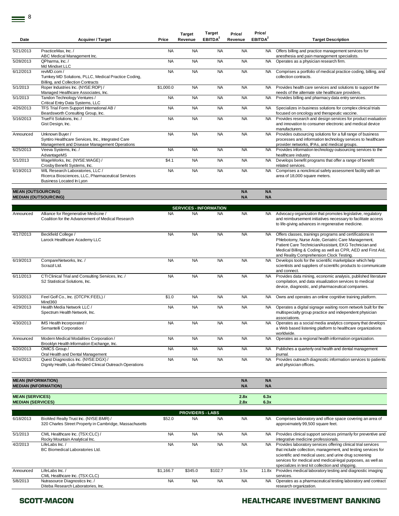|                           |                                                                                                                       |           | <b>Target</b> | <b>Target</b>                 | Price/                 | Price/                 |                                                                                                                                                                                                                                                                                    |
|---------------------------|-----------------------------------------------------------------------------------------------------------------------|-----------|---------------|-------------------------------|------------------------|------------------------|------------------------------------------------------------------------------------------------------------------------------------------------------------------------------------------------------------------------------------------------------------------------------------|
| Date                      | <b>Acquirer / Target</b>                                                                                              | Price     | Revenue       | EBITDA <sup>2</sup>           | Revenue                | EBITDA <sup>2</sup>    | <b>Target Description</b>                                                                                                                                                                                                                                                          |
| 5/21/2013                 | PracticeMax. Inc. /<br>ABC Medical Management Inc.                                                                    | <b>NA</b> | <b>NA</b>     | <b>NA</b>                     | <b>NA</b>              | <b>NA</b>              | Offers billing and practice management services for<br>anesthesia and pain management specialists.                                                                                                                                                                                 |
| 5/28/2013                 | QPharma, Inc. /<br>Md Mindset LLC                                                                                     | <b>NA</b> | <b>NA</b>     | <b>NA</b>                     | <b>NA</b>              | <b>NA</b>              | Operates as a physician research firm.                                                                                                                                                                                                                                             |
| 6/12/2013                 | revMD.com/<br>Turnkey MD Solutions, PLLC, Medical Practice Coding,<br>Billing, and Collection Contracts               | <b>NA</b> | <b>NA</b>     | <b>NA</b>                     | <b>NA</b>              | <b>NA</b>              | Comprises a portfolio of medical practice coding, billing, and<br>collection contracts.                                                                                                                                                                                            |
| 5/1/2013                  | Roper Industries Inc. (NYSE:ROP) /<br>Managed Healthcare Associates, Inc.                                             | \$1,000.0 | <b>NA</b>     | <b>NA</b>                     | <b>NA</b>              | <b>NA</b>              | Provides health care services and solutions to support the<br>needs of the alternate site healthcare providers.                                                                                                                                                                    |
| 5/1/2013                  | Tandon Technology Ventures /<br>Critical Entry Data Systems, LLC                                                      | <b>NA</b> | <b>NA</b>     | <b>NA</b>                     | <b>NA</b>              | <b>NA</b>              | Provides billing and pharmacy data entry services.                                                                                                                                                                                                                                 |
| 4/26/2013                 | TFS Trial Form Support International AB /<br>Beardsworth Consulting Group, Inc.                                       | <b>NA</b> | <b>NA</b>     | <b>NA</b>                     | <b>NA</b>              | <b>NA</b>              | Specializes in business solutions for complex clinical trials<br>focused on oncology and therapeutic vaccine.                                                                                                                                                                      |
| 5/16/2013                 | TrueFit Solutions, Inc. /<br>Gist Design, Inc.                                                                        | <b>NA</b> | <b>NA</b>     | <b>NA</b>                     | <b>NA</b>              | <b>NA</b>              | Provides research and design services for product evaluation<br>and innovation to consumer electronic and medical device<br>manufacturers.                                                                                                                                         |
| Announced                 | Unknown Buyer /<br>Syntiro Healthcare Services, Inc., Integrated Care<br>Management and Disease Management Operations | <b>NA</b> | <b>NA</b>     | <b>NA</b>                     | <b>NA</b>              | <b>NA</b>              | Provides outsourcing solutions for a full range of business<br>processes and information technology services to healthcare<br>provider networks, IPAs, and medical groups.                                                                                                         |
| 6/25/2013                 | Veeva Systems, Inc./<br>AdvantageMS                                                                                   | <b>NA</b> | <b>NA</b>     | <b>NA</b>                     | <b>NA</b>              | NA.                    | Provides information technology outsourcing services to the<br>healthcare industry.                                                                                                                                                                                                |
| 5/1/2013                  | WageWorks, Inc. (NYSE:WAGE) /<br>Crosby Benefit Systems, Inc.                                                         | \$4.1     | <b>NA</b>     | <b>NA</b>                     | <b>NA</b>              | <b>NA</b>              | Develops benefit programs that offer a range of benefit<br>related services.                                                                                                                                                                                                       |
| 6/19/2013                 | WIL Research Laboratories, LLC /<br>Ricerca Biosciences, LLC, Pharmaceutical Services<br>Business Located In Lyon     | <b>NA</b> | <b>NA</b>     | <b>NA</b>                     | <b>NA</b>              | <b>NA</b>              | Comprises a nonclinical safety assessment facility with an<br>area of 18,000 square meters.                                                                                                                                                                                        |
| <b>MEAN (OUTSOURCING)</b> | <b>MEDIAN (OUTSOURCING)</b>                                                                                           |           |               |                               | <b>NA</b><br><b>NA</b> | <b>NA</b><br><b>NA</b> |                                                                                                                                                                                                                                                                                    |
|                           |                                                                                                                       |           |               | <b>SERVICES - INFORMATION</b> |                        |                        |                                                                                                                                                                                                                                                                                    |
| Announced                 | Alliance for Regenerative Medicine /<br>Coalition for the Advancement of Medical Research                             | <b>NA</b> | <b>NA</b>     | <b>NA</b>                     | <b>NA</b>              | NA.                    | Advocacy organization that promotes legislative, regulatory<br>and reimbursement initiatives necessary to facilitate access<br>to life-giving advances in regenerative medicine.                                                                                                   |
| 4/17/2013                 | Beckfield College /<br>Larock Healthcare Academy LLC                                                                  | <b>NA</b> | <b>NA</b>     | <b>NA</b>                     | <b>NA</b>              | NA                     | Offers classes, trainings programs and certifications in<br>Phlebotomy, Nurse Aide, Geriatric Care Management,<br>Patient Care Technician/Assistant, EKG Technician and<br>Medical Billing & Coding as well as CPR, AED and First Aid,<br>and Reality Comprehension Clock Testing. |
| 6/19/2013                 | CompareNetworks, Inc. /<br>Scrazzl Ltd.                                                                               | <b>NA</b> | <b>NA</b>     | <b>NA</b>                     | <b>NA</b>              | <b>NA</b>              | Develops tools for the scientific marketplace which help<br>scientists and suppliers of scientific products to communicate<br>and connect.                                                                                                                                         |
| 6/11/2013                 | CTI Clinical Trial and Consulting Services, Inc. /<br>S2 Statistical Solutions, Inc.                                  | <b>NA</b> | <b>NA</b>     | <b>NA</b>                     | <b>NA</b>              | <b>NA</b>              | Provides data mining, economic analysis, published literature<br>compilation, and data visualization services to medical<br>device, diagnostic, and pharmaceutical companies.                                                                                                      |
| 5/10/2013                 | Feel Golf Co., Inc. (OTCPK:FEEL) /<br>Mind360                                                                         | \$1.0     | <b>NA</b>     | <b>NA</b>                     | <b>NA</b>              | <b>NA</b>              | Owns and operates an online cognitive training platform.                                                                                                                                                                                                                           |
| 4/29/2013                 | Health Media Network LLC /<br>Spectrum Health Network, Inc.                                                           | <b>NA</b> | <b>NA</b>     | <b>NA</b>                     | <b>NA</b>              | NA                     | Operates a digital signage waiting room network built for the<br>multispecialty group practice and independent physician<br>associations.                                                                                                                                          |
| 4/30/2013                 | IMS Health Incorporated /<br>Semantelli Corporation                                                                   | NA        | NA            | NA.                           | NA                     |                        | Operates as a social media analytics company that develops<br>a Web based listening platform to healthcare organizations<br>worldwide.                                                                                                                                             |
| Announced                 | Modern Medical Modalities Corporation /<br>Brooklyn Health Information Exchange, Inc.                                 | <b>NA</b> | <b>NA</b>     | <b>NA</b>                     | <b>NA</b>              | <b>NA</b>              | Operates as a regional health information organization.                                                                                                                                                                                                                            |
| 6/20/2013                 | OMICS Group /<br>Oral Health and Dental Management                                                                    | <b>NA</b> | <b>NA</b>     | <b>NA</b>                     | <b>NA</b>              | NA                     | Publishes a quarterly oral health and dental management<br>journal.                                                                                                                                                                                                                |
| 6/24/2013                 | Quest Diagnostics Inc. (NYSE:DGX) /<br>Dignity Health, Lab-Related Clinical Outreach Operations                       | <b>NA</b> | <b>NA</b>     | <b>NA</b>                     | <b>NA</b>              | <b>NA</b>              | Provides outreach diagnostic information services to patients<br>and physician offices.                                                                                                                                                                                            |
| <b>MEAN (INFORMATION)</b> |                                                                                                                       |           |               |                               | <b>NA</b>              | <b>NA</b>              |                                                                                                                                                                                                                                                                                    |

**MEDIAN (INFORMATION) NA NA**<br> **MEDIAN (INFORMATION) NA** NA **MEAN (SERVICES) 2.8x 6.3x MEDIAN (SERVICES) 2.8x 6.3x**

|           | <b>PROVIDERS - LABS</b>                                                                          |           |           |           |           |       |                                                                                                                                                                                                                                                                                                            |  |  |  |  |
|-----------|--------------------------------------------------------------------------------------------------|-----------|-----------|-----------|-----------|-------|------------------------------------------------------------------------------------------------------------------------------------------------------------------------------------------------------------------------------------------------------------------------------------------------------------|--|--|--|--|
| 6/18/2013 | BioMed Realty Trust Inc. (NYSE:BMR) /<br>320 Charles Street Property in Cambridge, Massachusetts | \$52.0    | <b>NA</b> | <b>NA</b> | <b>NA</b> | NA.   | Comprises laboratory and office space covering an area of<br>approximately 99,500 square feet.                                                                                                                                                                                                             |  |  |  |  |
| 5/1/2013  | CML Healthcare Inc. (TSX:CLC) /<br>Rocky Mountain Analytical Inc.                                | <b>NA</b> | <b>NA</b> | <b>NA</b> | <b>NA</b> | NA.   | Provides clinical support services primarily for preventive and<br>integrative medicine professionals.                                                                                                                                                                                                     |  |  |  |  |
| 4/2/2013  | LifeLabs Inc./<br>BC Biomedical Laboratories Ltd.                                                | <b>NA</b> | <b>NA</b> | <b>NA</b> | <b>NA</b> | NA.   | Provides laboratory services offering clinical trial services<br>that include collection, management, and testing services for<br>scientific and medical uses; and urine drug screening<br>services for medical and medical-legal purposes, as well as<br>specializes in test kit collection and shipping. |  |  |  |  |
| Announced | LifeLabs Inc. /<br>CML Healthcare Inc. (TSX:CLC)                                                 | \$1.166.7 | \$345.0   | \$102.7   | 3.5x      | 11.8x | Provides medical laboratory testing and diagnostic imaging<br>services.                                                                                                                                                                                                                                    |  |  |  |  |
| 5/8/2013  | Nutrasource Diagnostics Inc./<br>Diteba Research Laboratories, Inc.                              | <b>NA</b> | <b>NA</b> | <b>NA</b> | <b>NA</b> | NA.   | Operates as a pharmaceutical testing laboratory and contract<br>research organization.                                                                                                                                                                                                                     |  |  |  |  |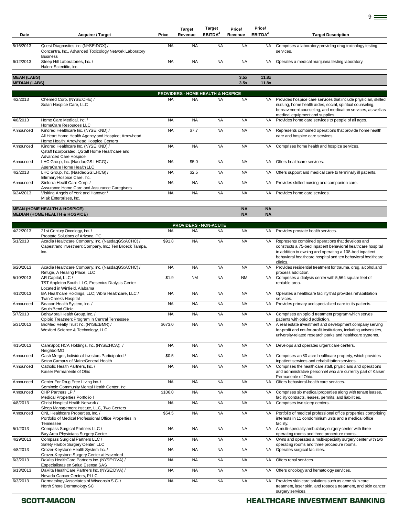| Date                                       | <b>Acquirer / Target</b>                                                                                                                                 | Price     | <b>Target</b><br>Revenue | Target<br>EBITDA <sup>2</sup>                | Price/<br>Revenue      | Price/<br>EBITDA <sup>2</sup> | <b>Target Description</b>                                                                                                                                                                                                                               |
|--------------------------------------------|----------------------------------------------------------------------------------------------------------------------------------------------------------|-----------|--------------------------|----------------------------------------------|------------------------|-------------------------------|---------------------------------------------------------------------------------------------------------------------------------------------------------------------------------------------------------------------------------------------------------|
| 5/16/2013                                  | Quest Diagnostics Inc. (NYSE:DGX) /<br>Concentra, Inc., Advanced Toxicology Network Laboratory<br><b>Business</b>                                        | <b>NA</b> | <b>NA</b>                | <b>NA</b>                                    | <b>NA</b>              | <b>NA</b>                     | Comprises a laboratory providing drug toxicology testing<br>services.                                                                                                                                                                                   |
| 6/12/2013                                  | Steep Hill Laboratories, Inc. /<br>Halent Scientific, Inc.                                                                                               | <b>NA</b> | <b>NA</b>                | <b>NA</b>                                    | <b>NA</b>              | <b>NA</b>                     | Operates a medical marijuana testing laboratory.                                                                                                                                                                                                        |
| <b>MEAN (LABS)</b><br><b>MEDIAN (LABS)</b> |                                                                                                                                                          |           |                          |                                              | 3.5x<br>3.5x           | 11.8x<br>11.8x                |                                                                                                                                                                                                                                                         |
|                                            |                                                                                                                                                          |           |                          | <b>PROVIDERS - HOME HEALTH &amp; HOSPICE</b> |                        |                               |                                                                                                                                                                                                                                                         |
| 4/2/2013                                   | Chemed Corp. (NYSE:CHE) /<br>Solari Hospice Care, LLC                                                                                                    | <b>NA</b> | <b>NA</b>                | <b>NA</b>                                    | <b>NA</b>              | NA.                           | Provides hospice care services that include physician, skilled<br>nursing, home health aides, social, spiritual counseling,<br>bereavement counseling, and medication services, as well as<br>medical equipment and supplies.                           |
| 4/8/2013                                   | Home Care Medical, Inc. /<br>HomeCare Resources LLC                                                                                                      | <b>NA</b> | <b>NA</b>                | <b>NA</b>                                    | <b>NA</b>              | <b>NA</b>                     | Provides home care services to people of all ages.                                                                                                                                                                                                      |
| Announced                                  | Kindred Healthcare Inc. (NYSE:KND) /<br>All Heart Home Health Agency and Hospice; Arrowhead<br>Home Health; Arrowhead Hospice Centers                    | <b>NA</b> | \$7.7                    | <b>NA</b>                                    | <b>NA</b>              | NA                            | Represents combined operations that provide home health<br>care and hospice care services.                                                                                                                                                              |
| Announced                                  | Kindred Healthcare Inc. (NYSE:KND) /<br>Qstaff Incorporated, QStaff Home Healthcare and<br>Advanced Care Hospice                                         | <b>NA</b> | <b>NA</b>                | <b>NA</b>                                    | <b>NA</b>              | <b>NA</b>                     | Comprises home health and hospice services.                                                                                                                                                                                                             |
| Announced                                  | LHC Group, Inc. (NasdaqGS:LHCG) /<br>AseraCare Home Health LLC                                                                                           | <b>NA</b> | \$5.0                    | <b>NA</b>                                    | <b>NA</b>              | <b>NA</b>                     | Offers healthcare services.                                                                                                                                                                                                                             |
| 4/2/2013                                   | LHC Group, Inc. (NasdaqGS:LHCG) /<br>Infirmary Hospice Care, Inc.                                                                                        | <b>NA</b> | \$2.5                    | <b>NA</b>                                    | <b>NA</b>              | NA.                           | Offers support and medical care to terminally ill patients.                                                                                                                                                                                             |
| Announced                                  | Sinfonía HealthCare Corp./<br>Assurance Home Care and Assurance Caregivers                                                                               | <b>NA</b> | <b>NA</b>                | <b>NA</b>                                    | <b>NA</b>              | NA.                           | Provides skilled nursing and companion care.                                                                                                                                                                                                            |
| 6/24/2013                                  | Visiting Angels of York and Hanover /<br>Miak Enterprises, Inc.                                                                                          | <b>NA</b> | <b>NA</b>                | <b>NA</b>                                    | <b>NA</b>              | NA.                           | Provides home care services.                                                                                                                                                                                                                            |
|                                            | <b>MEAN (HOME HEALTH &amp; HOSPICE)</b><br><b>MEDIAN (HOME HEALTH &amp; HOSPICE)</b>                                                                     |           |                          |                                              | <b>NA</b><br><b>NA</b> | <b>NA</b><br><b>NA</b>        |                                                                                                                                                                                                                                                         |
|                                            |                                                                                                                                                          |           |                          | <b>PROVIDERS - NON-ACUTE</b>                 |                        |                               |                                                                                                                                                                                                                                                         |
| 4/22/2013                                  | 21st Century Oncology, Inc. /                                                                                                                            | <b>NA</b> | <b>NA</b>                | NA                                           | <b>NA</b>              | NA.                           | Provides prostate health services.                                                                                                                                                                                                                      |
| 5/1/2013                                   | Prostate Solutions of Arizona, PC<br>Acadia Healthcare Company, Inc. (NasdaqGS:ACHC) /<br>Capestrano Investment Company, Inc.; Ten Broeck Tampa,<br>Inc. | \$91.8    | <b>NA</b>                | <b>NA</b>                                    | <b>NA</b>              | <b>NA</b>                     | Represents combined operations that develops and<br>constructs a 75-bed inpatient behavioral healthcare hospital<br>in addition to owning and operating a 108-bed inpatient<br>behavioral healthcare hospital and ten behavioral healthcare<br>clinics. |
| 6/20/2013                                  | Acadia Healthcare Company, Inc. (NasdaqGS:ACHC) /                                                                                                        | <b>NA</b> | <b>NA</b>                | <b>NA</b>                                    | <b>NA</b>              | <b>NA</b>                     | Provides residential treatment for trauma, drug, alcohol, and                                                                                                                                                                                           |
| 5/10/2013                                  | Refuge, A Healing Place, LLC<br>AR Capital, LLC /<br>TST Appleton South, LLC, Fresenius Dialysis Center                                                  | \$1.9     | <b>NM</b>                | <b>NA</b>                                    | <b>NM</b>              | <b>NA</b>                     | process addiction.<br>Comprises a dialysis center with 5,564 square feet of<br>rentable area.                                                                                                                                                           |
| 4/12/2013                                  | Located in Winfield, Alabama<br>BA Healthcare Holdings, LLC; Vibra Healthcare, LLC /<br>Twin Creeks Hospital                                             | <b>NA</b> | <b>NA</b>                | <b>NA</b>                                    | <b>NA</b>              | <b>NA</b>                     | Operates a healthcare facility that provides rehabilitation<br>services.                                                                                                                                                                                |
| Announced                                  | Beacon Health System, Inc. /<br>South Bend Clinic                                                                                                        | <b>NA</b> | <b>NA</b>                | <b>NA</b>                                    | <b>NA</b>              | NA.                           | Provides primary and specialized care to its patients.                                                                                                                                                                                                  |
| 5/7/2013                                   | Behavioral Health Group, Inc. /<br>Opioid Treatment Program in Central Tennessee                                                                         | <b>NA</b> | <b>NA</b>                | <b>NA</b>                                    | <b>NA</b>              | <b>NA</b>                     | Comprises an opioid treatment program which serves<br>patients with opioid addiction.                                                                                                                                                                   |
| 5/31/2013                                  | BioMed Realty Trust Inc. (NYSE:BMR) /<br>Wexford Science & Technology, LLC                                                                               | \$673.0   | <b>NA</b>                | <b>NA</b>                                    | <b>NA</b>              | NA.                           | A real estate investment and development company serving<br>for-profit and not-for-profit institutions, including universities,<br>university-related research parks and healthcare systems.                                                            |
| 4/15/2013                                  | CareSpot; HCA Holdings, Inc. (NYSE:HCA); /<br>NeighborMD                                                                                                 | <b>NA</b> | <b>NA</b>                | <b>NA</b>                                    | <b>NA</b>              | NA.                           | Develops and operates urgent care centers.                                                                                                                                                                                                              |
| Announced                                  | Cash Merger, Individual Investors Participated /<br>Seton Campus of MaineGeneral Health                                                                  | \$0.5     | <b>NA</b>                | <b>NA</b>                                    | NA                     | <b>NA</b>                     | Comprises an 80 acre healthcare property, which provides<br>inpatient services and rehabilitation services.                                                                                                                                             |
| Announced                                  | Catholic Health Partners, Inc. /<br>Kaiser Permanente of Ohio                                                                                            | <b>NA</b> | <b>NA</b>                | <b>NA</b>                                    | <b>NA</b>              | NA.                           | Comprises the health care staff, physicians and operations<br>and administrative personnel who are currently part of Kaiser<br>Permanente of Ohio.                                                                                                      |
| Announced                                  | Center For Drug Free Living Inc. /<br>Seminole Community Mental Health Center, Inc.                                                                      | <b>NA</b> | <b>NA</b>                | <b>NA</b>                                    | <b>NA</b>              | <b>NA</b>                     | Offers behavioral-health care services.                                                                                                                                                                                                                 |
| Announced                                  | CHP Partners LP /<br>Medical Properties Portfolio I                                                                                                      | \$106.0   | <b>NA</b>                | <b>NA</b>                                    | <b>NA</b>              | NA.                           | Comprises six medical properties along with tenant leases,<br>facility contracts, leases, permits, and liabilities.                                                                                                                                     |
| 4/8/2013                                   | Christ Hospital Health Network /<br>Sleep Management Institute, LLC, Two Centers                                                                         | <b>NA</b> | <b>NA</b>                | <b>NA</b>                                    | <b>NA</b>              | NA.                           | Comprises two sleep centers.                                                                                                                                                                                                                            |
| Announced                                  | CNL Healthcare Properties, Inc. /<br>Portfolio of Medical Professional Office Properties in<br>Tennessee                                                 | \$54.5    | <b>NA</b>                | <b>NA</b>                                    | <b>NA</b>              | NA                            | Portfolio of medical professional office properties comprising<br>interests in 11 condominium units and a medical office<br>facility.                                                                                                                   |
| 5/1/2013                                   | Compass Surgical Partners LLC /<br>Bay Area Physicians Surgery Center                                                                                    | <b>NA</b> | <b>NA</b>                | <b>NA</b>                                    | <b>NA</b>              | <b>NA</b>                     | A multi-specialty ambulatory surgery center with three<br>operating rooms and three procedure rooms.                                                                                                                                                    |
| 4/29/2013                                  | Compass Surgical Partners LLC /<br>Safety Harbor Surgery Center, LLC                                                                                     | <b>NA</b> | <b>NA</b>                | <b>NA</b>                                    | <b>NA</b>              | NA                            | Owns and operates a multi-specialty surgery center with two<br>operating rooms and three procedure rooms.                                                                                                                                               |
| 4/8/2013                                   | Crozer-Keystone Health System Inc. /<br>Crozer-Keystone Surgery Center at Haverford                                                                      | <b>NA</b> | <b>NA</b>                | <b>NA</b>                                    | <b>NA</b>              | <b>NA</b>                     | Operates surgical facilities.                                                                                                                                                                                                                           |
| 6/3/2013                                   | DaVita HealthCare Partners Inc. (NYSE:DVA) /<br>Especialistas en Salud Esensa SAS                                                                        | <b>NA</b> | <b>NA</b>                | <b>NA</b>                                    | <b>NA</b>              | NA                            | Offers renal services.                                                                                                                                                                                                                                  |
| 6/13/2013                                  | DaVita HealthCare Partners Inc. (NYSE:DVA) /<br>Nevada Cancer Centers, PLLC                                                                              | <b>NA</b> | <b>NA</b>                | <b>NA</b>                                    | <b>NA</b>              | NA                            | Offers oncology and hematology services.                                                                                                                                                                                                                |
| 6/3/2013                                   | Dermatology Associates of Wisconsin S.C. /<br>North Shore Dermatology SC                                                                                 | <b>NA</b> | <b>NA</b>                | <b>NA</b>                                    | <b>NA</b>              | <b>NA</b>                     | Provides skin care solutions such as acne skin care<br>treatment, laser skin, and rosacea treatment, and skin cancer<br>surgery services.                                                                                                               |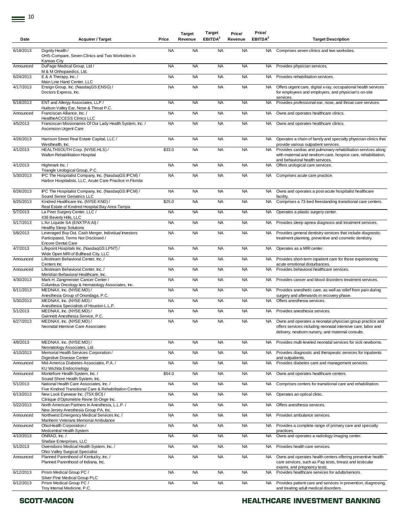| Date      | <b>Acquirer / Target</b>                                                                                                                           | Price     | <b>Target</b><br>Revenue | Target<br>EBITDA <sup>2</sup> | Price/<br>Revenue | Price/<br>EBITDA <sup>2</sup> | <b>Target Description</b>                                                                                                                                                      |
|-----------|----------------------------------------------------------------------------------------------------------------------------------------------------|-----------|--------------------------|-------------------------------|-------------------|-------------------------------|--------------------------------------------------------------------------------------------------------------------------------------------------------------------------------|
| 6/18/2013 | Dignity Health /<br>OHS-Compare, Seven Clinics and Two Worksites in                                                                                | <b>NA</b> | <b>NA</b>                | <b>NA</b>                     | <b>NA</b>         | <b>NA</b>                     | Comprises seven clinics and two worksites.                                                                                                                                     |
| Announced | <b>Kansas City</b><br>DuPage Medical Group, Ltd /                                                                                                  | <b>NA</b> | <b>NA</b>                | <b>NA</b>                     | <b>NA</b>         | NA.                           | Provides physician services.                                                                                                                                                   |
| 6/24/2013 | M & M Orthopaedics, Ltd.<br>E & A Therapy, Inc. /                                                                                                  | <b>NA</b> | <b>NA</b>                | <b>NA</b>                     | <b>NA</b>         | <b>NA</b>                     | Provides rehabilitation services.                                                                                                                                              |
|           | Main Line Hand Center, LLC                                                                                                                         |           |                          |                               |                   |                               |                                                                                                                                                                                |
| 4/17/2013 | Ensign Group, Inc. (NasdaqGS:ENSG) /<br>Doctors Express, Inc.                                                                                      | <b>NA</b> | <b>NA</b>                | <b>NA</b>                     | <b>NA</b>         | NA.                           | Offers urgent care, digital x-ray, occupational health services<br>for employees and employers, and physician's on-site<br>services.                                           |
| 6/18/2013 | ENT and Allergy Associates, LLP /<br>Hudson Valley Ear, Nose & Throat P.C.                                                                         | <b>NA</b> | <b>NA</b>                | <b>NA</b>                     | <b>NA</b>         | <b>NA</b>                     | Provides professional ear, nose, and throat care services.                                                                                                                     |
| Announced | Franciscan Alliance, Inc./                                                                                                                         | <b>NA</b> | <b>NA</b>                | <b>NA</b>                     | <b>NA</b>         | <b>NA</b>                     | Owns and operates healthcare clinics.                                                                                                                                          |
| 4/5/2013  | HealtheACCESS Clinics LLC<br>Franciscan Missionaries Of Our Lady Health System, Inc. /<br><b>Ascension Urgent Care</b>                             | <b>NA</b> | <b>NA</b>                | <b>NA</b>                     | <b>NA</b>         | <b>NA</b>                     | Owns and operates healthcare clinics.                                                                                                                                          |
| 4/26/2013 | Harrison Street Real Estate Capital, LLC /<br>Westhealth, Inc.                                                                                     | <b>NA</b> | <b>NA</b>                | <b>NA</b>                     | <b>NA</b>         | <b>NA</b>                     | Operates a chain of family and specialty physician clinics that                                                                                                                |
| 4/1/2013  | HEALTHSOUTH Corp. (NYSE:HLS) /<br>Walton Rehabilitation Hospital                                                                                   | \$33.0    | <b>NA</b>                | <b>NA</b>                     | <b>NA</b>         | NA.                           | provide various outpatient services.<br>Provides cardiac and pulmonary rehabilitation services along<br>with maternal and newborn care, hospice care, rehabilitation,          |
| 4/1/2013  | Highmark Inc. /                                                                                                                                    | <b>NA</b> | <b>NA</b>                | <b>NA</b>                     | <b>NA</b>         | NA.                           | and behavioral health services.<br>Offers urological care services.                                                                                                            |
| 5/30/2013 | Triangle Urological Group, P.C.<br>IPC The Hospitalist Company, Inc. (NasdaqGS:IPCM) /<br>Harbor Hospitalists, LLC, Acute Care Practice in Florida | <b>NA</b> | <b>NA</b>                | <b>NA</b>                     | <b>NA</b>         | NA.                           | Comprises acute care practice.                                                                                                                                                 |
| 6/26/2013 | IPC The Hospitalist Company, Inc. (NasdaqGS:IPCM) /<br>Sound Senior Geriatrics LLC                                                                 | <b>NA</b> | <b>NA</b>                | <b>NA</b>                     | <b>NA</b>         | NA.                           | Owns and operates a post-acute hospitalist healthcare<br>facility.                                                                                                             |
| 6/25/2013 | Kindred Healthcare Inc. (NYSE:KND) /<br>Real Estate of Kindred Hospital Bay Area-Tampa                                                             | \$25.0    | <b>NA</b>                | <b>NA</b>                     | <b>NA</b>         | <b>NA</b>                     | Comprises a 73-bed freestanding transitional care centers.                                                                                                                     |
| 5/7/2013  | La Peer Surgery Center, LLC /                                                                                                                      | <b>NA</b> | <b>NA</b>                | <b>NA</b>                     | <b>NA</b>         | <b>NA</b>                     | Operates a plastic surgery center.                                                                                                                                             |
| 5/17/2013 | 436 Beverly Hills, LLC<br>L'Air Liquide SA (ENXTPA:AI) /<br><b>Healthy Sleep Solutions</b>                                                         | <b>NA</b> | <b>NA</b>                | <b>NA</b>                     | <b>NA</b>         | NA.                           | Provides sleep apnea diagnosis and treatment services.                                                                                                                         |
| 5/8/2013  | Leveraged Buy Out, Cash Merger, Individual Investors<br>Participated, Terms Not Disclosed /<br><b>Encore Dental Care</b>                           | <b>NA</b> | <b>NA</b>                | <b>NA</b>                     | <b>NA</b>         | NA.                           | Provides general dentistry services that include diagnostic<br>treatment planning, preventive and cosmetic dentistry.                                                          |
| 4/7/2013  | Lifepoint Hospitals Inc. (NasdaqGS:LPNT) /<br>Wide Open MRI of Bullhead City, LLC                                                                  | <b>NA</b> | <b>NA</b>                | <b>NA</b>                     | <b>NA</b>         | <b>NA</b>                     | Operates as a MRI center.                                                                                                                                                      |
| Announced | Lifestream Behavioral Center, Inc. /<br>Centers Inc                                                                                                | <b>NA</b> | <b>NA</b>                | <b>NA</b>                     | <b>NA</b>         | NA.                           | Provides short-term inpatient care for those experiencing<br>acute emotional disturbances.                                                                                     |
| Announced | Lifestream Behavioral Center, Inc. /<br>Meridian Behavioral Healthcare, Inc.                                                                       | <b>NA</b> | <b>NA</b>                | <b>NA</b>                     | <b>NA</b>         | <b>NA</b>                     | Provides behavioral healthcare services.                                                                                                                                       |
| 4/30/2013 | Mark H. Zangmeister Cancer Center /<br>Columbus Oncology & Hematology Associates, Inc.                                                             | <b>NA</b> | <b>NA</b>                | <b>NA</b>                     | <b>NA</b>         | <b>NA</b>                     | Provides cancer and blood disorders treatment services.                                                                                                                        |
| 6/11/2013 | MEDNAX, Inc. (NYSE:MD) /<br>Anesthesia Group of Onondaga, P.C.                                                                                     | <b>NA</b> | <b>NA</b>                | <b>NA</b>                     | <b>NA</b>         | <b>NA</b>                     | Provides anesthetic care, as well as relief from pain during<br>surgery and afterwards in recovery phase.                                                                      |
| 5/30/2013 | MEDNAX, Inc. (NYSE:MD) /                                                                                                                           | <b>NA</b> | <b>NA</b>                | <b>NA</b>                     | <b>NA</b>         | NA.                           | Offers anesthesia services.                                                                                                                                                    |
| 5/1/2013  | Anesthesia Specialists of Houston L.L.P.<br>MEDNAX, Inc. (NYSE:MD) /                                                                               | <b>NA</b> | <b>NA</b>                | <b>NA</b>                     | <b>NA</b>         | NA.                           | Provides anesthesia services.                                                                                                                                                  |
| 6/27/2013 | Gwinnett Anesthesia Service, P.C.<br>MEDNAX, Inc. (NYSE:MD) /<br>Neonatal Intensive Care Associates                                                | <b>NA</b> | <b>NA</b>                | <b>NA</b>                     | <b>NA</b>         | NA .                          | Owns and operates a neonatal physician group practice and<br>offers services including neonatal intensive care, labor and<br>delivery, newborn nursery, and maternal consults. |
| 4/8/2013  | MEDNAX, Inc. (NYSE:MD) /                                                                                                                           | <b>NA</b> | <b>NA</b>                | <b>NA</b>                     | <b>NA</b>         | NA.                           | Provides multi-leveled neonatal services for sick newborns.                                                                                                                    |
| 4/10/2013 | Neonatology Associates, Ltd.<br>Memorial Health Services Corporation /                                                                             | <b>NA</b> | <b>NA</b>                | <b>NA</b>                     | <b>NA</b>         | <b>NA</b>                     | Provides diagnostic and therapeutic services for inpatients                                                                                                                    |
| Announced | Digestive Disease Center<br>Mid-America Diabetes Associates, P.A. /                                                                                | <b>NA</b> | <b>NA</b>                | <b>NA</b>                     | <b>NA</b>         | <b>NA</b>                     | and outpatients.<br>Provides diabetes care and management services.                                                                                                            |
| Announced | KU Wichita Endocrinology<br>Montefiore Health System, Inc. /                                                                                       | \$54.0    | <b>NA</b>                | <b>NA</b>                     | <b>NA</b>         | NA.                           | Owns and operates healthcare centers.                                                                                                                                          |
| 5/1/2013  | Sound Shore Health System, Inc.<br>National Health Care Associates. Inc. /                                                                         | <b>NA</b> | <b>NA</b>                | <b>NA</b>                     | <b>NA</b>         | <b>NA</b>                     | Comprises centers for transitional care and rehabilitation.                                                                                                                    |
| 6/13/2013 | Five Kindred Transitional Care & Rehabilitation Centers<br>New Look Eyewear Inc. (TSX:BCI) /                                                       | <b>NA</b> | <b>NA</b>                | <b>NA</b>                     | <b>NA</b>         | <b>NA</b>                     | Operates an optical clinic.                                                                                                                                                    |
| 5/22/2013 | Clinique d'Optométrie Reine St-Onge Inc.<br>North American Partners In Anesthesia, L.L.P./                                                         | <b>NA</b> | <b>NA</b>                | <b>NA</b>                     | <b>NA</b>         | NA.                           | Offers anesthesia services.                                                                                                                                                    |
| Announced | New Jersey Anesthesia Group PA, Inc.<br>Northwest Emergency Medical Services Inc. /                                                                | <b>NA</b> | <b>NA</b>                | <b>NA</b>                     | <b>NA</b>         | <b>NA</b>                     | Provides ambulance services.                                                                                                                                                   |
|           | Manheim Veterans Memorial Ambulance                                                                                                                |           |                          |                               |                   |                               |                                                                                                                                                                                |
| Announced | OhioHealth Corporation /<br>Medcentral Health System                                                                                               | <b>NA</b> | <b>NA</b>                | <b>NA</b>                     | <b>NA</b>         | NA.                           | Provides a complete range of primary care and specialty<br>practices.                                                                                                          |
| 4/10/2013 | ONRAD, Inc. /<br>Shafaie Enterprises, LLC                                                                                                          | <b>NA</b> | <b>NA</b>                | <b>NA</b>                     | <b>NA</b>         |                               | NA Owns and operates a radiology imaging center.                                                                                                                               |
| 5/1/2013  | Owensboro Medical Health System, Inc. /<br>Ohio Valley Surgical Specialist                                                                         | <b>NA</b> | <b>NA</b>                | <b>NA</b>                     | <b>NA</b>         | <b>NA</b>                     | Provides health care services.                                                                                                                                                 |
| Announced | Planned Parenthood of Kentucky, Inc. /<br>Planned Parenthood of Indiana, Inc.                                                                      | <b>NA</b> | <b>NA</b>                | <b>NA</b>                     | <b>NA</b>         | <b>NA</b>                     | Owns and operates health centers offering preventive health<br>care services, such as Pap tests, breast and testicular<br>exams, and pregnancy tests.                          |
| 6/12/2013 | Prism Medical Group PC /<br>Silver Pine Medical Group PLC                                                                                          | <b>NA</b> | <b>NA</b>                | <b>NA</b>                     | <b>NA</b>         | NA.                           | Provides healthcare services for adults/seniors.                                                                                                                               |
| 6/12/2013 | Prism Medical Group PC /                                                                                                                           | <b>NA</b> | <b>NA</b>                | <b>NA</b>                     | <b>NA</b>         | <b>NA</b>                     | Provides patient care and services in prevention, diagnosing,                                                                                                                  |
|           | Troy Internal Medicine, P.C.                                                                                                                       |           |                          |                               |                   |                               | and treating adult medical disorders.                                                                                                                                          |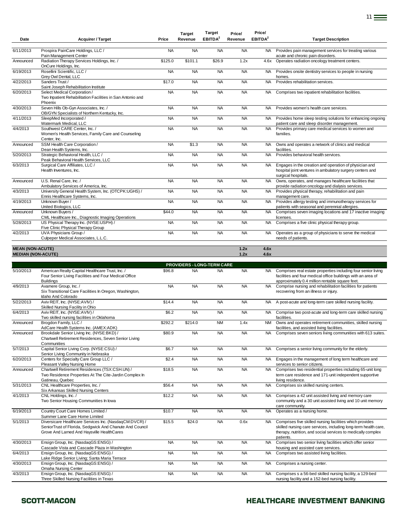| Date                      | <b>Acquirer / Target</b>                                                                                                                                         | Price     | Revenue   | EBITDA <sup>2</sup>               | Revenue   | EBITDA <sup>2</sup> | <b>Target Description</b>                                                                                                                                                                                |
|---------------------------|------------------------------------------------------------------------------------------------------------------------------------------------------------------|-----------|-----------|-----------------------------------|-----------|---------------------|----------------------------------------------------------------------------------------------------------------------------------------------------------------------------------------------------------|
| 6/11/2013                 | Prospira PainCare Holdings, LLC /                                                                                                                                | <b>NA</b> | <b>NA</b> | <b>NA</b>                         | <b>NA</b> | <b>NA</b>           | Provides pain management services for treating various                                                                                                                                                   |
| Announced                 | Pain Management Center<br>Radiation Therapy Services Holdings, Inc. /                                                                                            | \$125.0   | \$101.1   | \$26.9                            | 1.2x      | 4.6x                | acute and chronic pain disorders.<br>Operates radiation oncology treatment centers.                                                                                                                      |
| 6/19/2013                 | OnCure Holdings, Inc.<br>Rosellini Scientific. LLC /<br>Grey Owl Dental, LLC                                                                                     | <b>NA</b> | <b>NA</b> | <b>NA</b>                         | <b>NA</b> | <b>NA</b>           | Provides onsite dentistry services to people in nursing<br>homes.                                                                                                                                        |
| 4/22/2013                 | Sanders Trust /<br>Saint Joseph Rehabilitation Institute                                                                                                         | \$17.0    | <b>NA</b> | <b>NA</b>                         | <b>NA</b> | <b>NA</b>           | Provides rehabilitation services.                                                                                                                                                                        |
| 6/20/2013                 | Select Medical Corporation /<br>Two Inpatient Rehabilitation Facilities in San Antonio and<br>Phoenix                                                            | <b>NA</b> | <b>NA</b> | <b>NA</b>                         | <b>NA</b> | NA                  | Comprises two inpatient rehabilitation facilities.                                                                                                                                                       |
| 4/30/2013                 | Seven Hills Ob-Gyn Associates, Inc. /<br>OB/GYN Specialists of Northern Kentucky, Inc.                                                                           | <b>NA</b> | <b>NA</b> | <b>NA</b>                         | <b>NA</b> | NA.                 | Provides women's health care services.                                                                                                                                                                   |
| 4/11/2013                 | SleepMed Incorporated /<br>Watermark Medical, LLC                                                                                                                | <b>NA</b> | <b>NA</b> | <b>NA</b>                         | <b>NA</b> | NA                  | Provides home sleep testing solutions for enhancing ongoing<br>patient care and sleep disorder management.                                                                                               |
| $\sqrt{4}/2013$           | Southwest CARE Center, Inc. /<br>Women's Health Services, Family Care and Counseling<br>Center, Inc.                                                             | <b>NA</b> | <b>NA</b> | <b>NA</b>                         | <b>NA</b> | NA                  | Provides primary care medical services to women and<br>families.                                                                                                                                         |
| Announced                 | SSM Health Care Corporation /<br>Dean Health Systems, Inc.                                                                                                       | <b>NA</b> | \$1.3     | <b>NA</b>                         | <b>NA</b> | <b>NA</b>           | Owns and operates a network of clinics and medical<br>facilities.                                                                                                                                        |
| 5/20/2013                 | Strategic Behavioral Health, LLC /<br>Peak Behavioral Health Services, LLC                                                                                       | <b>NA</b> | <b>NA</b> | <b>NA</b>                         | <b>NA</b> | <b>NA</b>           | Provides behavioral health services.                                                                                                                                                                     |
| 6/3/2013                  | Surgical Care Affiliates, LLC /<br>Health Inventures, Inc.                                                                                                       | <b>NA</b> | <b>NA</b> | <b>NA</b>                         | <b>NA</b> | NA                  | Engages in the creation and operation of physician and<br>hospital joint ventures in ambulatory surgery centers and<br>surgical hospitals.                                                               |
| Announced                 | U.S. Renal Care. Inc. /<br>Ambulatory Services of America, Inc.                                                                                                  | <b>NA</b> | <b>NA</b> | <b>NA</b>                         | <b>NA</b> | <b>NA</b>           | Owns, operates, and manages healthcare facilities that<br>provide radiation oncology and dialysis services.                                                                                              |
| 4/3/2013                  | University General Health System, Inc. (OTCPK:UGHS) /<br>Ennis Healthcare Systems, Inc.                                                                          | <b>NA</b> | <b>NA</b> | <b>NA</b>                         | <b>NA</b> | <b>NA</b>           | Provides physical therapy, rehabilitation and pain<br>management care.                                                                                                                                   |
| 4/19/2013                 | Unknown Buyer /<br>United Biologics, LLC                                                                                                                         | <b>NA</b> | <b>NA</b> | <b>NA</b>                         | <b>NA</b> | NA                  | Provides allergy testing and immunotherapy services for<br>patients with seasonal and perennial allergies.                                                                                               |
| Announced                 | Unknown Buyers /<br>CML Healthcare Inc., Diagnostic Imaging Operations                                                                                           | \$44.0    | <b>NA</b> | <b>NA</b>                         | <b>NA</b> | <b>NA</b>           | Comprises seven imaging locations and 17 inactive imaging<br>licenses.                                                                                                                                   |
| 5/28/2013                 | US Physical Therapy Inc. (NYSE:USPH) /<br>Five Clinic Physical Therapy Group                                                                                     | <b>NA</b> | <b>NA</b> | <b>NA</b>                         | <b>NA</b> | <b>NA</b>           | Comprises a five clinic physical therapy group.                                                                                                                                                          |
| 4/2/2013                  | UVA Physicians Group /<br>Culpeper Medical Associates, L.L.C.                                                                                                    | <b>NA</b> | <b>NA</b> | <b>NA</b>                         | <b>NA</b> | NA                  | Operates as a group of physicians to serve the medical<br>needs of patients.                                                                                                                             |
| <b>MEAN (NON-ACUTE)</b>   |                                                                                                                                                                  |           |           |                                   | 1.2x      | 4.6x                |                                                                                                                                                                                                          |
| <b>MEDIAN (NON-ACUTE)</b> |                                                                                                                                                                  |           |           |                                   | 1.2x      | 4.6x                |                                                                                                                                                                                                          |
|                           |                                                                                                                                                                  |           |           | <b>PROVIDERS - LONG-TERM CARE</b> |           |                     |                                                                                                                                                                                                          |
| 5/10/2013                 | American Realty Capital Healthcare Trust, Inc. /<br>Four Senior Living Facilities and Four Medical Office<br><b>Buildings</b>                                    | \$96.8    | <b>NA</b> | <b>NA</b>                         | <b>NA</b> |                     | NA Comprises real estate properties including four senior living<br>facilities and four medical office buildings with an area of<br>approximately 0.4 million rentable square feet.                      |
| 4/9/2013                  | Avamere Group, Inc. /<br>Six Transitional Care Facilities In Oregon, Washington,<br>Idaho And Colorado                                                           | <b>NA</b> | <b>NA</b> | <b>NA</b>                         | <b>NA</b> | <b>NA</b>           | Comprise nursing and rehabilitation facilities for patients<br>recovering from an illness or injury.                                                                                                     |
| 5/22/2013                 | Aviv REIT, Inc. (NYSE:AVIV) /<br>Skilled Nursing Facility in Ohio                                                                                                | \$14.4    | <b>NA</b> | <b>NA</b>                         | <b>NA</b> | NA                  | A post-acute and long-term care skilled nursing facility.                                                                                                                                                |
| 6/4/2013                  | Aviv REIT, Inc. (NYSE:AVIV) /<br>Two skilled nursing facilities in Oklahoma                                                                                      | \$6.2     | <b>NA</b> | <b>NA</b>                         | <b>NA</b> | NA                  | Comprise two post-acute and long-term care skilled nursing<br>facilities.                                                                                                                                |
| Announced                 | Brogdon Family, LLC /<br>AdCare Health Systems Inc. (AMEX:ADK)                                                                                                   | \$292.2   | \$214.0   | <b>NM</b>                         | 1.4x      | <b>NM</b>           | Owns and operates retirement communities, skilled nursing<br>facilities, and assisted living facilities.                                                                                                 |
| Announced                 | Brookdale Senior Living Inc. (NYSE:BKD) /<br>Chartwell Retirement Residences, Seven Senior Living<br>Communities                                                 | \$80.9    | <b>NA</b> | <b>NA</b>                         | <b>NA</b> |                     | NA Comprises seven seniors living communities with 613 suites.                                                                                                                                           |
| 5/7/2013                  | Capital Senior Living Corp. (NYSE:CSU) /<br>Senior Living Community in Nebraska                                                                                  | \$6.7     | <b>NA</b> | <b>NA</b>                         | <b>NA</b> |                     | NA Comprises a senior living community for the elderly.                                                                                                                                                  |
| 6/20/2013                 | Centers for Specialty Care Group LLC /<br>Pleasant Valley Nursing Home                                                                                           | \$2.4     | <b>NA</b> | <b>NA</b>                         | <b>NA</b> | NA.                 | Engages in the management of long term healthcare and<br>services to senior citizens.                                                                                                                    |
| Announced                 | Chartwell Retirement Residences (TSX:CSH.UN) /<br>Two Residence Properties At The Cite-Jardin Complex In<br>Gatineau, Quebec                                     | \$18.5    | <b>NA</b> | <b>NA</b>                         | <b>NA</b> | NA                  | Comprises two residential properties including 65-unit long<br>term care residence and 171-unit independent supportive<br>living residence.                                                              |
| 5/31/2013                 | CNL Healthcare Properties, Inc. /<br>Six Arkansas Skilled Nursing Centers                                                                                        | \$56.4    | <b>NA</b> | <b>NA</b>                         | <b>NA</b> | NA                  | Comprises six skilled nursing centers.                                                                                                                                                                   |
| 4/1/2013                  | CNL Holdings, Inc. /<br>Two Senior Housing Communities In Iowa                                                                                                   | \$12.2    | <b>NA</b> | <b>NA</b>                         | <b>NA</b> | NA                  | Comprises a 42 unit assisted living and memory care<br>community and a 30 unit assisted living and 10 unit memory<br>care community.                                                                     |
| 6/19/2013                 | Country Court Care Homes Limited /<br>Summer Lane Care Home Limited                                                                                              | \$10.7    | <b>NA</b> | <b>NA</b>                         | <b>NA</b> | NA                  | Operates as a nursing home.                                                                                                                                                                              |
| 5/1/2013                  | Diversicare Healthcare Services Inc. (NasdaqCM:DVCR) /<br>SeniorTrust of Florida, Sedgwick And Chanute And Council<br>Grove And Larned And Haysville HealthCares | \$15.5    | \$24.0    | <b>NA</b>                         | 0.6x      | NA                  | Comprises five skilled nursing facilities which provides<br>skilled nursing care services, including long-term health care,<br>therapy, nutrition, and social services to medically complex<br>patients. |
| 4/30/2013                 | Ensign Group, Inc. (NasdaqGS:ENSG) /<br>Cascade Vista and Cascade Plaza in Washington                                                                            | <b>NA</b> | <b>NA</b> | <b>NA</b>                         | <b>NA</b> | NA                  | Comprises two senior living facilities which offer senior<br>housing and assisted care services.                                                                                                         |
| 6/4/2013                  | Ensign Group, Inc. (NasdaqGS:ENSG) /<br>Lake Ridge Senior Living; Santa Maria Terrace                                                                            | <b>NA</b> | <b>NA</b> | <b>NA</b>                         | <b>NA</b> | NA.                 | Comprises two assisted living facilities.                                                                                                                                                                |
| 4/30/2013                 | Ensign Group, Inc. (NasdaqGS:ENSG) /<br><b>Omaha Nursing Center</b>                                                                                              | <b>NA</b> | <b>NA</b> | <b>NA</b>                         | <b>NA</b> | NA                  | Comprises a nursing center.                                                                                                                                                                              |
| 4/3/2013                  | Ensign Group, Inc. (NasdaqGS:ENSG) /<br>Three Skilled Nursing Facilities in Texas                                                                                | <b>NA</b> | <b>NA</b> | <b>NA</b>                         | <b>NA</b> | NA                  | Comprises s a 56-bed skilled nursing facility, a 129-bed<br>nursing facility and a 152-bed nursing facility.                                                                                             |
|                           |                                                                                                                                                                  |           |           |                                   |           |                     |                                                                                                                                                                                                          |

**Target** 

**Target** 

**Price/ Price/** 

### SCOTT-MACON **SCOTT-MACON HEALTHCARE INVESTMENT BANKING**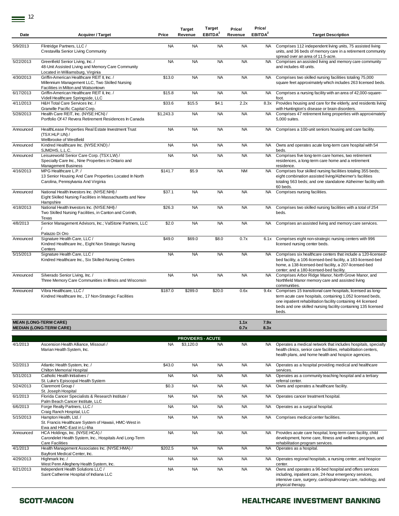$\equiv$ <sup>12</sup>

| Date      | <b>Acquirer / Target</b>                                                                                                             | Price     | <b>Target</b><br>Revenue | <b>Target</b><br>EBITDA <sup>2</sup> | Price/<br>Revenue | Price/<br>EBITDA <sup>2</sup> | <b>Target Description</b>                                                                                                                                                                                                                                           |
|-----------|--------------------------------------------------------------------------------------------------------------------------------------|-----------|--------------------------|--------------------------------------|-------------------|-------------------------------|---------------------------------------------------------------------------------------------------------------------------------------------------------------------------------------------------------------------------------------------------------------------|
| 5/9/2013  | Flintridge Partners, LLC /<br>Crestavilla Senior Living Community                                                                    | <b>NA</b> | <b>NA</b>                | <b>NA</b>                            | <b>NA</b>         | NA                            | Comprises 112 independent living units, 75 assisted living<br>units, and 36 beds of memory care in a retirement community<br>spread over an area of 11.5-acre.                                                                                                      |
| 5/22/2013 | Greenfield Senior Living, Inc. /<br>48-Unit Assisted Living and Memory Care Community<br>Located in Williamsburg, Virginia           | <b>NA</b> | <b>NA</b>                | <b>NA</b>                            | <b>NA</b>         | <b>NA</b>                     | Comprises an assisted living and memory care community<br>and includes 48 units.                                                                                                                                                                                    |
| 4/30/2013 | Griffin-American Healthcare REIT II, Inc. /<br>Millennium Management LLC, Two Skilled Nursing<br>Facilities in Milton and Watsontown | \$13.0    | <b>NA</b>                | <b>NA</b>                            | <b>NA</b>         | NA.                           | Comprises two skilled nursing facilities totaling 75,000<br>square feet approximately which includes 263 licensed beds.                                                                                                                                             |
| 6/17/2013 | Griffin-American Healthcare REIT II, Inc. /<br>Videll Healthcare Springside, LLC                                                     | \$15.8    | <b>NA</b>                | <b>NA</b>                            | <b>NA</b>         | <b>NA</b>                     | Comprises a nursing facility with an area of 42,000-square-<br>foot.                                                                                                                                                                                                |
| 4/11/2013 | H&H Total Care Services Inc. /<br>Granville Pacific Capital Corp.                                                                    | \$33.6    | \$15.5                   | \$4.1                                | 2.2x              | 8.3x                          | Provides housing and care for the elderly, and residents living<br>with Huntington's disease or brain disorders.                                                                                                                                                    |
| 5/28/2013 | Health Care REIT, Inc. (NYSE:HCN) /<br>Portfolio Of 47 Revera Retirement Residences In Canada                                        | \$1,243.3 | <b>NA</b>                | <b>NA</b>                            | <b>NA</b>         | <b>NA</b>                     | Comprises 47 retirement living properties with approximately<br>5,000 suites.                                                                                                                                                                                       |
| Announced | HealthLease Properties Real Estate Investment Trust<br>(TSX:HLP.UN) /<br>Wellbrooke of Westfield                                     | <b>NA</b> | <b>NA</b>                | <b>NA</b>                            | <b>NA</b>         | <b>NA</b>                     | Comprises a 100-unit seniors housing and care facility.                                                                                                                                                                                                             |
| Announced | Kindred Healthcare Inc. (NYSE:KND) /<br>SJMDHS, L.L.C.                                                                               | <b>NA</b> | <b>NA</b>                | <b>NA</b>                            | <b>NA</b>         | <b>NA</b>                     | Owns and operates acute long-term care hospital with 54<br>beds.                                                                                                                                                                                                    |
| Announced | Leisureworld Senior Care Corp. (TSX:LW) /<br>Specialty Care Inc., Nine Properties in Ontario and<br><b>Management Business</b>       | <b>NA</b> | <b>NA</b>                | <b>NA</b>                            | <b>NA</b>         | <b>NA</b>                     | Comprises five long-term care homes, two retirement<br>residences, a long-term care home and a retirement<br>residence.                                                                                                                                             |
| 4/16/2013 | MPG Healthcare L.P. /<br>13 Senior Housing And Care Properties Located In North<br>Carolina, Pennsylvania And Virginia               | \$141.7   | \$5.9                    | <b>NA</b>                            | <b>NM</b>         | <b>NA</b>                     | Comprises four skilled nursing facilities totaling 355 beds;<br>eight combination assisted living/Alzheimer's facilities<br>totaling 563 beds; and one standalone Alzheimer facility with<br>60 beds.                                                               |
| Announced | National Health Investors Inc. (NYSE:NHI) /<br>Eight Skilled Nursing Facilities in Massachusetts and New<br>Hampshire                | \$37.1    | <b>NA</b>                | <b>NA</b>                            | <b>NA</b>         | <b>NA</b>                     | Comprises nursing facilities.                                                                                                                                                                                                                                       |
| 4/18/2013 | National Health Investors Inc. (NYSE:NHI) /<br>Two Skilled Nursing Facilities, in Canton and Corinth,<br>Texas                       | \$26.3    | <b>NA</b>                | <b>NA</b>                            | <b>NA</b>         | <b>NA</b>                     | Comprises two skilled nursing facilities with a total of 254<br>beds.                                                                                                                                                                                               |
| 4/8/2013  | Senior Management Advisors, Inc.; ValStone Partners, LLC<br>Palazzo Di Oro                                                           | \$2.0     | <b>NA</b>                | <b>NA</b>                            | <b>NA</b>         | <b>NA</b>                     | Comprises an assisted living and memory care services.                                                                                                                                                                                                              |
| Announced | Signature Health Care, LLC /<br>Kindred Healthcare Inc., Eight Non Strategic Nursing<br>Centers                                      | \$49.0    | \$69.0                   | \$8.0                                | 0.7x              | 6.1x                          | Comprises eight non-strategic nursing centers with 996<br>licensed nursing center beds.                                                                                                                                                                             |
| 5/15/2013 | Signature Health Care, LLC /<br>Kindred Healthcare Inc., Six Skilled-Nursing Centers                                                 | <b>NA</b> | <b>NA</b>                | <b>NA</b>                            | <b>NA</b>         | NA                            | Comprises six healthcare centers that include a 120-licensed-<br>bed facility, a 106-licensed-bed facility, a 183-licensed-bed<br>home, a 138-licensed-bed facility, a 207-licensed-bed<br>center; and a 180-licensed-bed facility.                                 |
| Announced | Silverado Senior Living, Inc. /<br>Three Memory Care Communities in Illinois and Wisconsin                                           | <b>NA</b> | <b>NA</b>                | <b>NA</b>                            | <b>NA</b>         | NA.                           | Comprises Arbor Ridge Manor, North Grove Manor, and<br>Northfield Manor memory care and assisted living<br>communities.                                                                                                                                             |
| Announced | Vibra Healthcare, LLC /<br>Kindred Healthcare Inc., 17 Non-Strategic Facilities                                                      | \$187.0   | \$289.0                  | \$20.0                               | 0.6x              | 9.4x                          | Comprises 15 transitional care hospitals, licensed as long-<br>term acute care hospitals, containing 1,052 licensed beds,<br>one inpatient rehabilitation facility containing 44 licensed<br>beds and one skilled nursing facility containing 135 licensed<br>beds. |
|           | <b>MEAN (LONG-TERM CARE)</b><br><b>MEDIAN (LONG-TERM CARE)</b>                                                                       |           |                          |                                      | 1.1x<br>0.7x      | 7.9x<br>8.3x                  |                                                                                                                                                                                                                                                                     |
|           |                                                                                                                                      |           | <b>PROVIDERS - ACUTE</b> |                                      |                   |                               |                                                                                                                                                                                                                                                                     |
| 4/1/2013  | Ascension Health Alliance, Missouri /<br>Marian Health System, Inc.                                                                  | <b>NA</b> | \$3,120.0                | <b>NA</b>                            | <b>NA</b>         | NA.                           | Operates a medical network that includes hospitals, specialty<br>health clinics, senior care facilities, rehabilitation centers,<br>health plans, and home health and hospice agencies.                                                                             |
| 5/2/2013  | Atlantic Health System, Inc. /<br>Chilton Memorial Hospital                                                                          | \$43.0    | <b>NA</b>                | <b>NA</b>                            | <b>NA</b>         | NA.                           | Operates as a hospital providing medical and healthcare<br>services.                                                                                                                                                                                                |
| 5/31/2013 | Catholic Health Initiatives /<br>St. Luke's Episcopal Health System                                                                  | <b>NA</b> | <b>NA</b>                | <b>NA</b>                            | <b>NA</b>         | <b>NA</b>                     | Operates as a community teaching hospital and a tertiary<br>referral center.                                                                                                                                                                                        |
| 5/24/2013 | Claremont Group /<br>St. Joseph Hospital                                                                                             | \$0.3     | <b>NA</b>                | <b>NA</b>                            | <b>NA</b>         | NA.                           | Owns and operates a healthcare facility.                                                                                                                                                                                                                            |
| 6/1/2013  | Florida Cancer Specialists & Research Institute /<br>Palm Beach Cancer Institute, LLC                                                | <b>NA</b> | <b>NA</b>                | <b>NA</b>                            | <b>NA</b>         | <b>NA</b>                     | Operates cancer treatment hospital.                                                                                                                                                                                                                                 |
| 6/6/2013  | Forge Realty Partners, LLC /<br>Craig Ranch Hospital, LLC                                                                            | <b>NA</b> | <b>NA</b>                | <b>NA</b>                            | <b>NA</b>         | NA                            | Operates as a surgical hospital.                                                                                                                                                                                                                                    |
| 5/15/2013 | Hampton Health, Ltd. /<br>St. Francis Healthcare System of Hawaii, HMC-West in<br>Ewa and HMC-East in Li-liha                        | <b>NA</b> | <b>NA</b>                | <b>NA</b>                            | <b>NA</b>         | <b>NA</b>                     | Comprises medical center facilities.                                                                                                                                                                                                                                |
| Announced | HCA Holdings, Inc. (NYSE:HCA) /<br>Carondelet Health System, Inc., Hospitals And Long-Term<br>Care Facilities                        | <b>NA</b> | <b>NA</b>                | <b>NA</b>                            | <b>NA</b>         |                               | NA Provides acute care hospital, long-term care facility, child<br>development, home care, fitness and wellness program, and<br>rehabilitation program services.                                                                                                    |
| 4/1/2013  | Health Management Associates Inc. (NYSE:HMA) /<br>Bayfront Medical Center, Inc.                                                      | \$202.5   | <b>NA</b>                | <b>NA</b>                            | <b>NA</b>         | NA.                           | Operates as a hospital.                                                                                                                                                                                                                                             |
| 4/29/2013 | Highmark Inc. /<br>West Penn Allegheny Health System, Inc.                                                                           | <b>NA</b> | <b>NA</b>                | <b>NA</b>                            | <b>NA</b>         | NA                            | Operates regional hospitals, a nursing center, and hospice<br>center.                                                                                                                                                                                               |
| 6/21/2013 | Independent Health Solutions LLC /<br>Saint Catherine Hospital of Indiana LLC                                                        | <b>NA</b> | <b>NA</b>                | <b>NA</b>                            | <b>NA</b>         | <b>NA</b>                     | Owns and operates a 96-bed hospital and offers services<br>including, inpatient care, 24-hour emergency services,<br>intensive care, surgery, cardiopulmonary care, radiology, and<br>physical therapy.                                                             |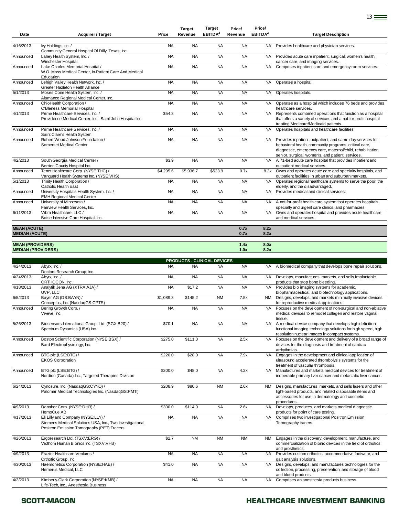| Date                                                 | <b>Acquirer / Target</b>                                                                                                                     | Price     | <b>Target</b><br>Revenue | Target<br>EBITDA <sup>2</sup> | Price/<br>Revenue | Price/<br>EBITDA <sup>2</sup> | <b>Target Description</b>                                                                                                                                                                                                              |
|------------------------------------------------------|----------------------------------------------------------------------------------------------------------------------------------------------|-----------|--------------------------|-------------------------------|-------------------|-------------------------------|----------------------------------------------------------------------------------------------------------------------------------------------------------------------------------------------------------------------------------------|
| 4/16/2013                                            | Ivy Holdings Inc. /<br>Community General Hospital Of Dilly, Texas, Inc.                                                                      | <b>NA</b> | <b>NA</b>                | <b>NA</b>                     | <b>NA</b>         | NA.                           | Provides healthcare and physician services.                                                                                                                                                                                            |
| Announced                                            | Lahey Health System, Inc. /<br>Winchester Hospital                                                                                           | <b>NA</b> | <b>NA</b>                | <b>NA</b>                     | <b>NA</b>         | <b>NA</b>                     | Provides acute care inpatient, surgical, women's health,<br>cancer care, and imaging services.                                                                                                                                         |
| Announced                                            | Lake Charles Memorial Hospital /<br>W.O. Moss Medical Center, In-Patient Care And Medical<br>Education                                       | <b>NA</b> | <b>NA</b>                | <b>NA</b>                     | <b>NA</b>         | <b>NA</b>                     | Comprises inpatient care and emergency room services.                                                                                                                                                                                  |
| Announced                                            | Lehigh Valley Health Network, Inc. /<br>Greater Hazleton Health Alliance                                                                     | <b>NA</b> | <b>NA</b>                | <b>NA</b>                     | <b>NA</b>         | <b>NA</b>                     | Operates a hospital.                                                                                                                                                                                                                   |
| 5/1/2013                                             | Moses Cone Health System, Inc. /<br>Alamance Regional Medical Center, Inc.                                                                   | <b>NA</b> | <b>NA</b>                | <b>NA</b>                     | <b>NA</b>         | <b>NA</b>                     | Operates hospitals.                                                                                                                                                                                                                    |
| Announced                                            | OhioHealth Corporation /<br>O'Bleness Memorial Hospital                                                                                      | <b>NA</b> | <b>NA</b>                | <b>NA</b>                     | <b>NA</b>         | <b>NA</b>                     | Operates as a hospital which includes 76 beds and provides<br>healthcare services.                                                                                                                                                     |
| 4/1/2013                                             | Prime Healthcare Services, Inc. /<br>Providence Medical Center, Inc.; Saint John Hospital Inc.                                               | \$54.3    | <b>NA</b>                | <b>NA</b>                     | <b>NA</b>         | <b>NA</b>                     | Represents combined operations that function as a hospital<br>that offers a variety of services and a not-for-profit hospital<br>treating Medicare/Medicaid patients.                                                                  |
| Announced                                            | Prime Healthcare Services, Inc. /<br>Saint Clare's Health System                                                                             | <b>NA</b> | <b>NA</b>                | <b>NA</b>                     | <b>NA</b>         | <b>NA</b>                     | Operates hospitals and healthcare facilities.                                                                                                                                                                                          |
| Announced                                            | Robert Wood Johnson Foundation /<br>Somerset Medical Center                                                                                  | <b>NA</b> | <b>NA</b>                | <b>NA</b>                     | <b>NA</b>         | NA.                           | Provides inpatient, outpatient, and same day services for<br>behavioral health, community programs, critical care,<br>diagnostic, emergency care, maternal/child, rehabilitation,<br>senior, surgical, women's, and patient, services. |
| 4/2/2013                                             | South Georgia Medical Center /<br>Berrien County Hospital Inc.                                                                               | \$3.9     | <b>NA</b>                | <b>NA</b>                     | <b>NA</b>         | <b>NA</b>                     | A 71-bed acute care hospital that provides inpatient and<br>outpatient medical services.                                                                                                                                               |
| Announced                                            | Tenet Healthcare Corp. (NYSE:THC) /<br>Vanguard Health Systems Inc. (NYSE:VHS)                                                               | \$4,295.6 | \$5,936.7                | \$523.9                       | 0.7x              | 8.2x                          | Owns and operates acute care and specialty hospitals, and<br>outpatient facilities in urban and suburban markets.                                                                                                                      |
| 5/1/2013                                             | Trinity Health Corporation /<br>Catholic Health East                                                                                         | <b>NA</b> | <b>NA</b>                | <b>NA</b>                     | <b>NA</b>         | <b>NA</b>                     | Operates regional healthcare systems to serve the poor, the<br>elderly, and the disadvantaged.                                                                                                                                         |
| Announced                                            | University Hospitals Health System, Inc. /<br><b>EMH Regional Medical Center</b>                                                             | <b>NA</b> | <b>NA</b>                | <b>NA</b>                     | <b>NA</b>         | <b>NA</b>                     | Provides medical and clinical services.                                                                                                                                                                                                |
| Announced                                            | University of Minnesota /<br>Fairview Health Services, Inc.                                                                                  | <b>NA</b> | <b>NA</b>                | <b>NA</b>                     | <b>NA</b>         | <b>NA</b>                     | A not-for-profit health care system that operates hospitals,<br>specialty and urgent care clinics, and pharmacies.                                                                                                                     |
| 6/11/2013                                            | Vibra Healthcare, LLC /<br>Boise Intensive Care Hospital, Inc.                                                                               | <b>NA</b> | <b>NA</b>                | <b>NA</b>                     | <b>NA</b>         | <b>NA</b>                     | Owns and operates hospital and provides acute healthcare<br>and medical services.                                                                                                                                                      |
| <b>MEAN (ACUTE)</b><br><b>MEDIAN (ACUTE)</b>         |                                                                                                                                              |           |                          |                               | 0.7x<br>0.7x      | 8.2x<br>8.2x                  |                                                                                                                                                                                                                                        |
| <b>MEAN (PROVIDERS)</b><br><b>MEDIAN (PROVIDERS)</b> |                                                                                                                                              |           |                          |                               | 1.4x<br>1.0x      | 8.0x<br>8.2x                  |                                                                                                                                                                                                                                        |
|                                                      |                                                                                                                                              |           |                          | PRODUCTS - CLINICAL DEVICES   |                   |                               |                                                                                                                                                                                                                                        |
| 4/24/2013                                            | Abyrx, Inc. /<br>Doctors Research Group, Inc.                                                                                                | <b>NA</b> | <b>NA</b>                | <b>NA</b>                     | <b>NA</b>         | NA .                          | A biomedical company that develops bone repair solutions.                                                                                                                                                                              |
| 4/24/2013                                            | Abyrx, Inc./<br>ORTHOCON, Inc.                                                                                                               | <b>NA</b> | <b>NA</b>                | <b>NA</b>                     | <b>NA</b>         | NA.                           | Develops, manufactures, markets, and sells implantable<br>products that stop bone bleeding.                                                                                                                                            |
| 4/18/2013                                            | Analytik Jena AG (XTRA:AJA) /<br>UVP, LLC                                                                                                    | <b>NA</b> | \$17.2                   | <b>NA</b>                     | <b>NA</b>         | <b>NA</b>                     | Provides bio imaging systems for academic,<br>biopharmaceutical, and biotechnology applications.                                                                                                                                       |
| 6/5/2013                                             | Bayer AG (DB:BAYN) /<br>Conceptus, Inc. (NasdaqGS:CPTS)                                                                                      | \$1,089.3 | \$145.2                  | <b>NM</b>                     | 7.5x              | NM .                          | Designs, develops, and markets minimally invasive devices<br>for reproductive medical applications.                                                                                                                                    |
| Announced                                            | Bering Growth Corp. /<br>Viveve, Inc.                                                                                                        | <b>NA</b> | <b>NA</b>                | <b>NA</b>                     | <b>NA</b>         | <b>NA</b>                     | Focuses on the development of non-surgical and non-ablative<br>medical devices to remodel collagen and restore vaginal<br>tissue.                                                                                                      |
| 5/26/2013                                            | Biosensors International Group, Ltd. (SGX:B20) /<br>Spectrum Dynamics (USA) Inc.                                                             | \$70.1    | <b>NA</b>                | <b>NA</b>                     | <b>NA</b>         | NA                            | A medical device company that develops high definition<br>functional imaging technology solutions for high speed, high                                                                                                                 |
| Announced                                            | Boston Scientific Corporation (NYSE:BSX) /<br>Bard Electrophysiology, Inc.                                                                   | \$275.0   | \$111.0                  | <b>NA</b>                     | 2.5x              | <b>NA</b>                     | resolution nuclear images in compact systems.<br>Focuses on the development and delivery of a broad range of<br>devices for the diagnosis and treatment of cardiac<br>arrhythmias.                                                     |
| Announced                                            | BTG plc (LSE:BTG) /<br><b>EKOS Corporation</b>                                                                                               | \$220.0   | \$28.0                   | <b>NA</b>                     | 7.9x              | <b>NA</b>                     | Engages in the development and clinical application of<br>ultrasound accelerated thrombolysis systems for the<br>treatment of vascular thrombosis.                                                                                     |
| Announced                                            | BTG plc (LSE:BTG) /<br>Nordion (Canada) Inc., Targeted Therapies Division                                                                    | \$200.0   | \$48.0                   | <b>NA</b>                     | 4.2x              | <b>NA</b>                     | Manufactures and markets medical devices for treatment of<br>inoperable primary liver cancer and metastatic liver cancer.                                                                                                              |
| 6/24/2013                                            | Cynosure, Inc. (NasdaqGS:CYNO) /<br>Palomar Medical Technologies Inc. (NasdaqGS:PMTI)                                                        | \$208.9   | \$80.6                   | <b>NM</b>                     | 2.6x              | <b>NM</b>                     | Designs, manufactures, markets, and sells lasers and other<br>light-based products, and related disposable items and<br>accessories for use in dermatology and cosmetic<br>procedures.                                                 |
| 4/9/2013                                             | Danaher Corp. (NYSE:DHR) /<br>HemoCue AB                                                                                                     | \$300.0   | \$114.0                  | <b>NA</b>                     | 2.6x              | NA                            | Develops, produces, and markets medical diagnostic<br>products for point of care testing.                                                                                                                                              |
| 4/17/2013                                            | Eli Lilly and Company (NYSE:LLY) /<br>Siemens Medical Solutions USA, Inc., Two Investigational<br>Positron Emission Tomography (PET) Tracers | <b>NA</b> | <b>NA</b>                | <b>NA</b>                     | <b>NA</b>         | <b>NA</b>                     | Comprises two investigational Positron Emission<br>Tomography tracers.                                                                                                                                                                 |
| 4/26/2013                                            | Ergoresearch Ltd. (TSXV:ERG) /<br>Victhom Human Bionics Inc. (TSXV:VHB)                                                                      | \$2.7     | <b>NM</b>                | <b>NM</b>                     | <b>NM</b>         | <b>NM</b>                     | Engages in the discovery, development, manufacture, and<br>commercialization of bionic devices in the field of orthotics<br>and prosthetics.                                                                                           |
| 4/9/2013                                             | Frazier Healthcare Ventures /<br>Orthotic Group, Inc.                                                                                        | <b>NA</b> | <b>NA</b>                | <b>NA</b>                     | <b>NA</b>         | NA                            | Provides custom orthotics, accommodative footwear, and<br>gait analysis solutions.                                                                                                                                                     |
| 4/30/2013                                            | Haemonetics Corporation (NYSE:HAE) /<br>Hemerus Medical, LLC                                                                                 | \$41.0    | <b>NA</b>                | <b>NA</b>                     | <b>NA</b>         | <b>NA</b>                     | Designs, develops, and manufactures technologies for the<br>collection, processing, preservation, and storage of blood                                                                                                                 |
| 4/2/2013                                             | Kimberly-Clark Corporation (NYSE:KMB) /<br>Life-Tech, Inc., Anesthesia Business                                                              | <b>NA</b> | <b>NA</b>                | <b>NA</b>                     | <b>NA</b>         | NA.                           | and blood products.<br>Comprises an anesthesia products business.                                                                                                                                                                      |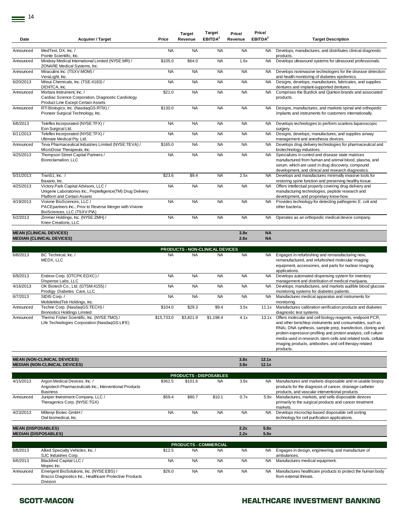|           |                                                                                                                                   |           | <b>Target</b> | <b>Target</b>       | Price/    | Price/              |                                                                                                                                                                                                                        |
|-----------|-----------------------------------------------------------------------------------------------------------------------------------|-----------|---------------|---------------------|-----------|---------------------|------------------------------------------------------------------------------------------------------------------------------------------------------------------------------------------------------------------------|
| Date      | <b>Acquirer / Target</b>                                                                                                          | Price     | Revenue       | EBITDA <sup>2</sup> | Revenue   | EBITDA <sup>2</sup> | <b>Target Description</b>                                                                                                                                                                                              |
| Announced | MedTest, DX, Inc. /                                                                                                               | <b>NA</b> | <b>NA</b>     | <b>NA</b>           | <b>NA</b> | NA.                 | Develops, manufactures, and distributes clinical diagnostic                                                                                                                                                            |
|           | Pointe Scientific, Inc.                                                                                                           |           |               |                     |           |                     | products.                                                                                                                                                                                                              |
| Announced | Mindray Medical International Limited (NYSE:MR) /<br>ZONARE Medical Systems, Inc.                                                 | \$105.0   | \$64.0        | <b>NA</b>           | 1.6x      | <b>NA</b>           | Develops ultrasound systems for ultrasound professionals.                                                                                                                                                              |
| Announced | Miraculins Inc. (TSXV:MOM) /<br>VeraLight, Inc.                                                                                   | <b>NA</b> | <b>NA</b>     | <b>NA</b>           | <b>NA</b> | NA.                 | Develops noninvasive technologies for the disease detection<br>and health monitoring of diabetes epidemics.                                                                                                            |
| 6/20/2013 | Mitsui Chemicals, Inc. (TSE:4183) /<br>DENTCA, Inc.                                                                               | <b>NA</b> | <b>NA</b>     | <b>NA</b>           | <b>NA</b> | NA.                 | Designs, develops, manufactures, fabricates, and supplies<br>dentures and implant-supported dentures.                                                                                                                  |
| Announced | Mortara Instrument. Inc. /<br>Cardiac Science Corporation, Diagnostic Cardiology<br>Product Line Except Certain Assets            | \$21.0    | <b>NA</b>     | <b>NA</b>           | <b>NA</b> | <b>NA</b>           | Comprises the Burdick and Quinton brands and associated<br>products.                                                                                                                                                   |
| Announced | RTI Biologics, Inc. (NasdaqGS:RTIX) /<br>Pioneer Surgical Technology, Inc.                                                        | \$130.0   | <b>NA</b>     | <b>NA</b>           | <b>NA</b> | <b>NA</b>           | Designs, manufactures, and markets spinal and orthopedic<br>implants and instruments for customers internationally.                                                                                                    |
| 6/6/2013  | Teleflex Incorporated (NYSE:TFX) /<br>Eon Surgical Ltd.                                                                           | <b>NA</b> | <b>NA</b>     | <b>NA</b>           | <b>NA</b> | <b>NA</b>           | Develops technologies to perform scarless laparoscopic<br>surgery.                                                                                                                                                     |
| 6/11/2013 | Teleflex Incorporated (NYSE:TFX) /<br>Ultimate Medical Ptv. Ltd.                                                                  | <b>NA</b> | <b>NA</b>     | <b>NA</b>           | <b>NA</b> | <b>NA</b>           | Designs, develops, manufactures, and supplies airway<br>management and anesthesia devices.                                                                                                                             |
| Announced | Teva Pharmaceutical Industries Limited (NYSE:TEVA) /<br>MicroDose Therapeutx, Inc.                                                | \$165.0   | <b>NA</b>     | <b>NA</b>           | <b>NA</b> | <b>NA</b>           | Develops drug delivery technologies for pharmaceutical and<br>biotechnology industries.                                                                                                                                |
| 4/25/2013 | Thompson Street Capital Partners /<br>Bioreclamation, LLC                                                                         | <b>NA</b> | <b>NA</b>     | <b>NA</b>           | <b>NA</b> | <b>NA</b>           | Specializes in control and disease state matrices<br>manufactured from human and animal blood, plasma, and<br>serum, which are used in drug discovery, compound<br>development, and clinical and research diagnostics. |
| 5/31/2013 | TranS1, Inc. /<br>Baxano, Inc.                                                                                                    | \$23.6    | \$9.4         | <b>NA</b>           | 2.5x      | <b>NA</b>           | Develops and manufactures minimally invasive tools for<br>restoring spine function and preserving healthy tissue.                                                                                                      |
| 4/25/2013 | Victory Park Capital Advisors, LLC /<br>Unigene Laboratories Inc., Peptelligence(TM) Drug Delivery<br>Platform and Certain Assets | <b>NA</b> | <b>NA</b>     | <b>NA</b>           | <b>NA</b> | <b>NA</b>           | Offers intellectual property covering drug delivery and<br>manufacturing technologies, peptide research and<br>development, and proprietary know-how.                                                                  |
| 4/19/2013 | Vivione BioSciences, LLC /<br>PACEpartners Inc., Prior to Reverse Merger with Vivione<br>BioSciences, LLC (TSXV:PIA)              | <b>NA</b> | <b>NA</b>     | <b>NA</b>           | <b>NA</b> | NA.                 | Provides technology for detecting pathogenic E. coli and<br>other bacteria.                                                                                                                                            |
| 5/2/2013  | Zimmer Holdings, Inc. (NYSE:ZMH) /<br>Knee Creations, LLC                                                                         | <b>NA</b> | <b>NA</b>     | <b>NA</b>           | <b>NA</b> | NA.                 | Operates as an orthopedic medical device company.                                                                                                                                                                      |
|           | <b>MEAN (CLINICAL DEVICES)</b>                                                                                                    |           |               |                     | 3.9x      | <b>NA</b>           |                                                                                                                                                                                                                        |
|           | <b>MEDIAN (CLINICAL DEVICES)</b>                                                                                                  |           |               |                     | 2.6x      | <b>NA</b>           |                                                                                                                                                                                                                        |
|           |                                                                                                                                   |           |               |                     |           |                     |                                                                                                                                                                                                                        |

|           |                                                                                              |            |           | <b>PRODUCTS - NON-CLINICAL DEVICES</b> |           |       |                                                                                                                                                                                                                                                                                                                                                                                                 |
|-----------|----------------------------------------------------------------------------------------------|------------|-----------|----------------------------------------|-----------|-------|-------------------------------------------------------------------------------------------------------------------------------------------------------------------------------------------------------------------------------------------------------------------------------------------------------------------------------------------------------------------------------------------------|
| 6/8/2013  | BC Technical, Inc. /<br>MEDX, LLC                                                            | <b>NA</b>  | <b>NA</b> | <b>NA</b>                              | <b>NA</b> | NA.   | Engages in refurbishing and remanufacturing new,<br>remanufactured, and refurbished molecular imaging<br>equipment, accessories, and parts for nuclear imaging<br>applications.                                                                                                                                                                                                                 |
| 6/9/2013  | Endexx Corp. (OTCPK:EDXC) /<br>Dispense Labs, LLC                                            | <b>NA</b>  | <b>NA</b> | <b>NA</b>                              | <b>NA</b> | NA.   | Develops automated dispensing system for inventory<br>management and distribution of medical marijuana.                                                                                                                                                                                                                                                                                         |
| 4/16/2013 | OK Biotech Co., Ltd. (GTSM:4155) /<br>Prodigy Diabetes Care, LLC                             | <b>NA</b>  | <b>NA</b> | <b>NA</b>                              | <b>NA</b> | NA.   | Develops, manufactures, and markets audible blood glucose<br>monitoring systems for diabetes patients.                                                                                                                                                                                                                                                                                          |
| 6/7/2013  | SIDIS Corp./<br>MobileMedTek Holdings, Inc.                                                  | <b>NA</b>  | <b>NA</b> | <b>NA</b>                              | <b>NA</b> | NA.   | Manufactures medical apparatus and instruments for<br>monitoring.                                                                                                                                                                                                                                                                                                                               |
| Announced | Techne Corp. (NasdaqGS:TECH) /<br><b>Bionostics Holdings Limited</b>                         | \$104.0    | \$29.3    | \$9.4                                  | 3.5x      | 11.1x | Manufactures calibration verification products and diabetes<br>diagnostic test systems.                                                                                                                                                                                                                                                                                                         |
| Announced | Thermo Fisher Scientific, Inc. (NYSE:TMO) /<br>Life Technologies Corporation (NasdaqGS:LIFE) | \$15,733.0 | \$3,821.9 | \$1,198.4                              | 4.1x      | 13.1x | Offers molecular and cell biology reagents, endpoint PCR,<br>and other benchtop instruments and consumables, such as<br>RNAi, DNA synthesis, sample prep, transfection, cloning and<br>protein expression profiling and protein analysis, cell culture<br>media used in research, stem cells and related tools, cellular<br>imaging products, antibodies, and cell therapy related<br>products. |

| <b>MEAN (NON-CLINICAL DEVICES)</b>   | 3.8x             | 49.4<br>14.1A             |
|--------------------------------------|------------------|---------------------------|
| <b>MEDIAN (NON-CLINICAL DEVICES)</b> | 3.8 <sub>2</sub> | $\overline{101}$<br>14.IA |

|                                                          | <b>PRODUCTS - DISPOSABLES</b>                                                                               |           |           |           |              |              |                                                                                                                                                                        |  |  |  |  |  |
|----------------------------------------------------------|-------------------------------------------------------------------------------------------------------------|-----------|-----------|-----------|--------------|--------------|------------------------------------------------------------------------------------------------------------------------------------------------------------------------|--|--|--|--|--|
| 4/15/2013                                                | Argon Medical Devices, Inc. /<br>Angiotech Pharmaceuticals Inc., Interventional Products<br><b>Business</b> | \$362.5   | \$101.6   | <b>NA</b> | 3.6x         | <b>NA</b>    | Manufactures and markets disposable and re-usable biopsy<br>products for the diagnosis of cancer, drainage catheter<br>products, and vascular interventional products. |  |  |  |  |  |
| Announced                                                | Juniper Investment Company, LLC /<br>Theragenics Corp. (NYSE:TGX)                                           | \$59.4    | \$80.7    | \$10.1    | 0.7x         | 5.9x         | Manufactures, markets, and sells disposable devices<br>primarily to the surgical products and cancer treatment<br>markets.                                             |  |  |  |  |  |
| 4/23/2013                                                | Miltenyi Biotec GmbH /<br>Owl biomedical, Inc.                                                              | <b>NA</b> | <b>NA</b> | <b>NA</b> | <b>NA</b>    | <b>NA</b>    | Develops microchip-based disposable cell sorting<br>technology for cell purification applications.                                                                     |  |  |  |  |  |
| <b>MEAN (DISPOSABLES)</b><br><b>MEDIAN (DISPOSABLES)</b> |                                                                                                             |           |           |           | 2.2x<br>2.2x | 5.9x<br>5.9x |                                                                                                                                                                        |  |  |  |  |  |

|           | <b>PRODUCTS - COMMERCIAL</b>                            |           |           |           |           |     |                                                            |  |  |  |  |  |
|-----------|---------------------------------------------------------|-----------|-----------|-----------|-----------|-----|------------------------------------------------------------|--|--|--|--|--|
| 5/6/2013  | Allied Specialty Vehicles, Inc. /                       | \$12.5    | <b>NA</b> | <b>NA</b> | NA        | NA. | Engages in design, engineering, and manufacture of         |  |  |  |  |  |
|           | SJC Industries Corp.                                    |           |           |           |           |     | ambulances.                                                |  |  |  |  |  |
| 6/6/2013  | Blackford Capital LLC /                                 | <b>NA</b> | <b>NA</b> | <b>NA</b> | <b>NA</b> | NA. | Manufactures medical equipment.                            |  |  |  |  |  |
|           | Mopec Inc.                                              |           |           |           |           |     |                                                            |  |  |  |  |  |
| Announced | Emergent BioSolutions, Inc. (NYSE:EBS) /                | \$26.0    | <b>NA</b> | <b>NA</b> | <b>NA</b> | NA. | Manufactures healthcare products to protect the human body |  |  |  |  |  |
|           | Bracco Diagnostics Inc., Healthcare Protective Products |           |           |           |           |     | from external threats.                                     |  |  |  |  |  |
|           | <b>Division</b>                                         |           |           |           |           |     |                                                            |  |  |  |  |  |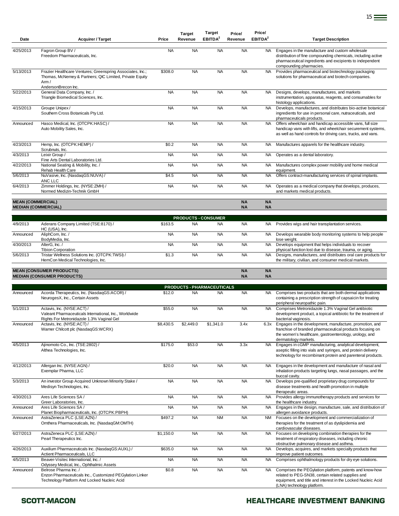| Date                       | <b>Acquirer / Target</b>                                                                                                                                                     | Price     | Target<br>Revenue                       | Target<br>EBITDA <sup>2</sup> | Price/<br>Revenue      | Price/<br>EBITDA <sup>2</sup> | <b>Target Description</b>                                                                                                                                                                                      |
|----------------------------|------------------------------------------------------------------------------------------------------------------------------------------------------------------------------|-----------|-----------------------------------------|-------------------------------|------------------------|-------------------------------|----------------------------------------------------------------------------------------------------------------------------------------------------------------------------------------------------------------|
| 4/25/2013                  | Fagron Group BV /<br>Freedom Pharmaceuticals, Inc.                                                                                                                           | <b>NA</b> | <b>NA</b>                               | <b>NA</b>                     | <b>NA</b>              | <b>NA</b>                     | Engages in the manufacture and custom wholesale<br>distribution of fine compounding chemicals, including active<br>pharmaceutical ingredients and excipients to independent<br>compounding pharmacies.         |
| 5/13/2013                  | Frazier Healthcare Ventures; Greenspring Associates, Inc.;<br>Thomas, McNerney & Partners; QIC Limited, Private Equity<br>Arm /                                              | \$308.0   | <b>NA</b>                               | <b>NA</b>                     | <b>NA</b>              | <b>NA</b>                     | Provides pharmaceutical and biotechnology packaging<br>solutions for pharmaceutical and biotech companies.                                                                                                     |
| 5/22/2013                  | AndersonBrecon Inc.<br>General Data Company, Inc. /<br>Triangle Biomedical Sciences, Inc.                                                                                    | <b>NA</b> | <b>NA</b>                               | <b>NA</b>                     | <b>NA</b>              | <b>NA</b>                     | Designs, develops, manufactures, and markets<br>instrumentation, apparatus, reagents, and consumables for                                                                                                      |
| 4/15/2013                  | Groupe Unipex/<br>Southern Cross Botanicals Pty Ltd.                                                                                                                         | <b>NA</b> | <b>NA</b>                               | <b>NA</b>                     | <b>NA</b>              | <b>NA</b>                     | histology applications.<br>Develops, manufactures, and distributes bio-active botanical<br>ingredients for use in personal care, nutraceuticals, and<br>pharmaceuticals products.                              |
| Announced                  | Hasco Medical, Inc. (OTCPK:HASC) /<br>Auto Mobility Sales, Inc.                                                                                                              | <b>NA</b> | <b>NA</b>                               | <b>NA</b>                     | <b>NA</b>              | <b>NA</b>                     | Offers wheelchair and handicap accessible vans, full size<br>handicap vans with lifts, and wheelchair securement systems,<br>as well as hand controls for driving cars, trucks, and vans.                      |
| 4/23/2013                  | Hemp, Inc. (OTCPK:HEMP) /<br>Scrubnuts, Inc.                                                                                                                                 | \$0.2     | <b>NA</b>                               | <b>NA</b>                     | <b>NA</b>              | NA.                           | Manufactures apparels for the healthcare industry.                                                                                                                                                             |
| 4/3/2013                   | Leixir Group /                                                                                                                                                               | <b>NA</b> | <b>NA</b>                               | <b>NA</b>                     | <b>NA</b>              | <b>NA</b>                     | Operates as a dental laboratory.                                                                                                                                                                               |
| 4/22/2013                  | Fine Arts Dental Laboratories Ltd.<br>National Seating & Mobility, Inc. /<br>Rehab Health Care                                                                               | <b>NA</b> | <b>NA</b>                               | <b>NA</b>                     | <b>NA</b>              | NA.                           | Manufactures complex power mobility and home medical<br>equipment.                                                                                                                                             |
| 5/6/2013                   | NuVasive, Inc. (NasdaqGS:NUVA) /<br>ANC LLC                                                                                                                                  | \$4.5     | <b>NA</b>                               | <b>NA</b>                     | <b>NA</b>              | <b>NA</b>                     | Offers contract-manufacturing services of spinal implants.                                                                                                                                                     |
| 6/4/2013                   | Zimmer Holdings, Inc. (NYSE:ZMH) /<br>Normed Medizin-Technik GmbH                                                                                                            | <b>NA</b> | <b>NA</b>                               | <b>NA</b>                     | <b>NA</b>              | <b>NA</b>                     | Operates as a medical company that develops, produces,<br>and markets medical products.                                                                                                                        |
| <b>MEAN (COMMERCIAL)</b>   |                                                                                                                                                                              |           |                                         |                               | <b>NA</b>              | <b>NA</b>                     |                                                                                                                                                                                                                |
| <b>MEDIAN (COMMERCIAL)</b> |                                                                                                                                                                              |           |                                         |                               | <b>NA</b>              | <b>NA</b>                     |                                                                                                                                                                                                                |
| 4/9/2013                   | Aderans Company Limited (TSE:8170) /<br>HC (USA), Inc.                                                                                                                       | \$163.5   | <b>PRODUCTS - CONSUMER</b><br><b>NA</b> | <b>NA</b>                     | <b>NA</b>              | NA.                           | Provides wigs and hair transplantation services.                                                                                                                                                               |
| Announced                  | AliphCom, Inc. /                                                                                                                                                             | <b>NA</b> | <b>NA</b>                               | <b>NA</b>                     | <b>NA</b>              | <b>NA</b>                     | Develops wearable body monitoring systems to help people                                                                                                                                                       |
| 4/30/2013                  | BodyMedia, Inc.<br>AlterG, Inc./                                                                                                                                             | <b>NA</b> | <b>NA</b>                               | <b>NA</b>                     | <b>NA</b>              | NA.                           | lose weight.<br>Develops equipment that helps individuals to recover                                                                                                                                           |
| 5/6/2013                   | <b>Tibion Corporation</b><br>Tristar Wellness Solutions Inc. (OTCPK:TWSI) /<br>HemCon Medical Technologies, Inc.                                                             | \$1.3     | <b>NA</b>                               | <b>NA</b>                     | <b>NA</b>              | <b>NA</b>                     | physical function lost due to disease, trauma, or aging.<br>Designs, manufactures, and distributes oral care products for<br>the military, civilian, and consumer medical markets.                             |
|                            | <b>MEAN (CONSUMER PRODUCTS)</b><br><b>MEDIAN (CONSUMER PRODUCTS)</b>                                                                                                         |           |                                         |                               | <b>NA</b><br><b>NA</b> | <b>NA</b><br><b>NA</b>        |                                                                                                                                                                                                                |
|                            |                                                                                                                                                                              |           | <b>PRODUCTS - PHARMACEUTICALS</b>       |                               |                        |                               |                                                                                                                                                                                                                |
| Announced                  | Acorda Therapeutics, Inc. (NasdaqGS:ACOR) /<br>NeurogesX, Inc., Certain Assets                                                                                               | \$12.0    | <b>NA</b>                               | <b>NA</b>                     | <b>NA</b>              | NA.                           | Comprises two products that are both dermal applications<br>containing a prescription strength of capsaicin for treating                                                                                       |
| 5/1/2013                   | Actavis, Inc. (NYSE:ACT) /<br>Valeant Pharmaceuticals International, Inc., Worldwide<br>Rights For Metronidazole 1.3% Vaginal Gel                                            | \$55.0    | <b>NA</b>                               | <b>NA</b>                     | <b>NA</b>              | <b>NA</b>                     | peripheral neuropathic pain.<br>Comprises Metronidazole 1.3% Vaginal Gel antibiotic<br>development product, a topical antibiotic for the treatment of<br>bacterial vaginosis.                                  |
| Announced                  | Actavis, Inc. (NYSE:ACT) /<br>Warner Chilcott plc (NasdaqGS:WCRX)                                                                                                            | \$8,430.5 | \$2,449.0                               |                               | 3.4x                   | 6.3x                          | Engages in the development, manufacture, promotion, and<br>franchise of branded pharmaceutical products focusing on<br>the women's healthcare, gastroenterology, urology, and                                  |
| 4/5/2013                   | Ajinomoto Co., Inc. (TSE:2802) /<br>Althea Technologies, Inc.                                                                                                                | \$175.0   | \$53.0                                  | <b>NA</b>                     | 3.3x                   | <b>NA</b>                     | dermatology markets.<br>Engages in cGMP manufacturing, analytical development,<br>aseptic filling into vials and syringes, and protein delivery<br>technology for recombinant protein and parenteral products. |
| 4/12/2013                  | Allergan Inc. (NYSE:AGN) /<br>Exemplar Pharma, LLC                                                                                                                           | \$20.0    | <b>NA</b>                               | <b>NA</b>                     | <b>NA</b>              | <b>NA</b>                     | Engages in the development and manufacture of nasal and<br>inhalation products targeting lungs, nasal passages, and the<br>buccal cavity.                                                                      |
| 5/3/2013                   | An investor Group Acquired Unknown Minority Stake /<br>Medisyn Technologies, Inc.                                                                                            | <b>NA</b> | <b>NA</b>                               | <b>NA</b>                     | <b>NA</b>              | <b>NA</b>                     | Develops pre-qualified proprietary drug compounds for<br>disease treatments and health promotion in multiple                                                                                                   |
| 4/30/2013                  | Ares Life Sciences SA /<br>Greer Laboratories, Inc.                                                                                                                          | <b>NA</b> | <b>NA</b>                               | <b>NA</b>                     | <b>NA</b>              | <b>NA</b>                     | therapeutic areas.<br>Provides allergy immunotherapy products and services for<br>the healthcare industry.                                                                                                     |
| Announced                  | Ares Life Sciences SA /                                                                                                                                                      | <b>NA</b> | <b>NA</b>                               | <b>NA</b>                     | <b>NA</b>              | NA.                           | Engages in the design, manufacture, sale, and distribution of                                                                                                                                                  |
| Announced                  | Planet Biopharmaceuticals, Inc. (OTCPK:PBPH)<br>AstraZeneca PLC (LSE:AZN) /<br>Omthera Pharmaceuticals, Inc. (NasdaqGM:OMTH)                                                 | \$497.2   | <b>NA</b>                               | <b>NM</b>                     | <b>NA</b>              | NM                            | allergen avoidance products.<br>Focuses on the development and commercialization of<br>therapies for the treatment of as dyslipidemia and                                                                      |
| 6/27/2013                  | AstraZeneca PLC (LSE:AZN) /<br>Pearl Therapeutics Inc.                                                                                                                       | \$1,150.0 | <b>NA</b>                               | <b>NA</b>                     | <b>NA</b>              | <b>NA</b>                     | cardiovascular diseases.<br>Focuses on developing combination therapies for the<br>treatment of respiratory diseases, including chronic                                                                        |
| 4/26/2013                  | Auxilium Pharmaceuticals Inc. (NasdaqGS:AUXL) /                                                                                                                              | \$635.0   | <b>NA</b>                               | <b>NA</b>                     | <b>NA</b>              | <b>NA</b>                     | obstructive pulmonary disease and asthma.<br>Develops, acquires, and markets specialty products that                                                                                                           |
| 4/5/2013                   | Actient Pharmaceuticals, LLC<br>Beaver-Visitec International, Inc. /                                                                                                         | <b>NA</b> | <b>NA</b>                               | <b>NA</b>                     | <b>NA</b>              | NA.                           | improve patient outcomes.<br>Comprises ophthalmology products for dry eye solutions.                                                                                                                           |
| Announced                  | Odyssey Medical, Inc., Ophthalmic Assets<br>Belrose Pharma Inc. /<br>Enzon Pharmaceuticals Inc., Customized PEGylation Linker<br>Technology Platform And Locked Nucleic Acid | \$0.8     | <b>NA</b>                               | <b>NA</b>                     | <b>NA</b>              | <b>NA</b>                     | Comprises the PEGylation platform, patents and know-how<br>related to PEG-SN38, certain related supplies and<br>equipment, and title and interest in the Locked Nucleic Acid<br>(LNA) technology platform.     |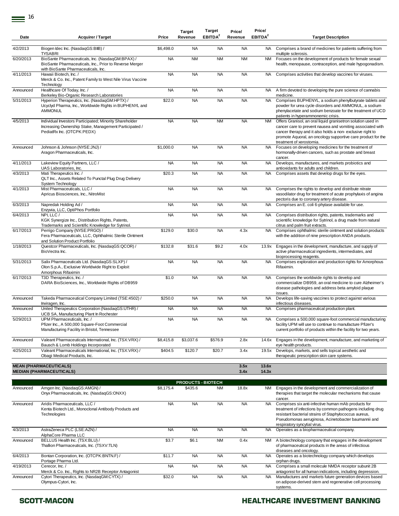| Date      | <b>Acquirer / Target</b>                                                                                                                                                 | Price     | <b>Target</b><br>Revenue             | Target<br>EBITDA <sup>2</sup> | Price/<br>Revenue | Price/<br>EBITDA <sup>2</sup> | <b>Target Description</b>                                                                                                                                                                                                                                                           |
|-----------|--------------------------------------------------------------------------------------------------------------------------------------------------------------------------|-----------|--------------------------------------|-------------------------------|-------------------|-------------------------------|-------------------------------------------------------------------------------------------------------------------------------------------------------------------------------------------------------------------------------------------------------------------------------------|
| 4/2/2013  | Biogen Idec Inc. (NasdaqGS:BIIB) /<br><b>TYSABRI</b>                                                                                                                     | \$6,498.0 | <b>NA</b>                            | <b>NA</b>                     | <b>NA</b>         | NA.                           | Comprises a brand of medicines for patients suffering from<br>multiple sclerosis.                                                                                                                                                                                                   |
| 6/20/2013 | BioSante Pharmaceuticals, Inc. (NasdaqGM:BPAX) /<br>BioSante Pharmaceuticals, Inc., Prior to Reverse Merger<br>with BioSante Pharmaceuticals, Inc.                       | <b>NA</b> | <b>NM</b>                            | <b>NM</b>                     | <b>NM</b>         | NM                            | Focuses on the development of products for female sexual<br>health, menopause, contraception, and male hypogonadism.                                                                                                                                                                |
| 4/11/2013 | Hawaii Biotech. Inc. /<br>Merck & Co. Inc., Patent Family to West Nile Virus Vaccine<br>Technology                                                                       | <b>NA</b> | <b>NA</b>                            | <b>NA</b>                     | <b>NA</b>         | <b>NA</b>                     | Comprises activities that develop vaccines for viruses.                                                                                                                                                                                                                             |
| Announced | Healthcare Of Today, Inc. /                                                                                                                                              | <b>NA</b> | <b>NA</b>                            | <b>NA</b>                     | <b>NA</b>         | NA                            | A firm devoted to developing the pure science of cannabis                                                                                                                                                                                                                           |
| 5/31/2013 | Berkeley Bio-Organic Research Laboratories<br>Hyperion Therapeutics, Inc. (NasdaqGM:HPTX) /<br>Ucyclyd Pharma, Inc., Worldwide Rights in BUPHENYL and<br><b>AMMONUL</b>  | \$22.0    | <b>NA</b>                            | <b>NA</b>                     | <b>NA</b>         | <b>NA</b>                     | medicine.<br>Comprises BUPHENYL, a sodium phenylbutyrate tablets and<br>powder for urea cycle disorders and AMMONUL, a sodium<br>phenylacetate and sodium benzoate for the treatment of UCD<br>patients in hyperammonemic crisis.                                                   |
| 4/5/2013  | Individual Investors Participated; Minority Shareholder<br>Increasing Ownership Stake, Management Participated /<br>PediatRx Inc. (OTCPK:PEDX)                           | <b>NA</b> | <b>NA</b>                            | <b>NM</b>                     | <b>NA</b>         | NM                            | Offers Granisol, an oral liquid granisetron solution used in<br>cancer care to prevent nausea and vomiting associated with<br>cancer therapy and it also holds a non-exclusive right to<br>promote Aquoral, an oncology supportive care product for the<br>treatment of xerostomia. |
| Announced | Johnson & Johnson (NYSE:JNJ) /<br>Aragon Pharmaceuticals, Inc.                                                                                                           | \$1,000.0 | <b>NA</b>                            | <b>NA</b>                     | <b>NA</b>         | <b>NA</b>                     | Focuses on developing medicines for the treatment of<br>hormonally-driven cancers, such as prostate and breast<br>cancer.                                                                                                                                                           |
| 4/11/2013 | Lakeview Equity Partners, LLC /<br>UAS Laboratories, Inc.                                                                                                                | <b>NA</b> | <b>NA</b>                            | <b>NA</b>                     | <b>NA</b>         | <b>NA</b>                     | Develops, manufactures, and markets probiotics and<br>antioxidants for adults and children.                                                                                                                                                                                         |
| 4/3/2013  | Mati Therapeutics Inc. /<br>QLT Inc., Assets Related To Punctal Plug Drug Delivery<br>System Technology                                                                  | \$20.3    | <b>NA</b>                            | <b>NA</b>                     | <b>NA</b>         | <b>NA</b>                     | Comprises assets that develop drugs for the eyes.                                                                                                                                                                                                                                   |
| 4/1/2013  | Mist Pharmaceuticals, LLC /<br>Apricus Biosciences, Inc., NitroMist                                                                                                      | <b>NA</b> | <b>NA</b>                            | <b>NA</b>                     | <b>NA</b>         | <b>NA</b>                     | Comprises the rights to develop and distribute nitrate<br>vasodilator drug for treatment of acute prophylaxis of angina<br>pectoris due to coronary artery disease.                                                                                                                 |
| 6/3/2013  | Napredak Holding Ad /<br>Enzyvia, LLC, OptiPhos Portfolio                                                                                                                | <b>NA</b> | <b>NA</b>                            | <b>NA</b>                     | <b>NA</b>         | <b>NA</b>                     | Comprises an E. coli 6-phytase available for use.                                                                                                                                                                                                                                   |
| 6/4/2013  | NPI, LLC /<br>KGK Synergize Inc., Distribution Rights, Patents,<br>Trademarks and Scientific Knowledge for Sytrinol.                                                     | <b>NA</b> | <b>NA</b>                            | <b>NA</b>                     | <b>NA</b>         | NA                            | Comprises distribution rights, patents, trademarks and<br>scientific knowledge for Sytrinol, a drug made from natural<br>citrus and palm fruit extracts.                                                                                                                            |
| 6/17/2013 | Perrigo Company (NYSE:PRGO) /<br>Fera Pharmaceuticals, LLC, Ophthalmic Sterile Ointment<br>and Solution Product Portfolio                                                | \$129.0   | \$30.0                               | <b>NA</b>                     | 4.3x              | <b>NA</b>                     | Comprises ophthalmic sterile ointment and solution products<br>with the addition of nine prescription ANDA products.                                                                                                                                                                |
| 1/18/2013 | Questcor Pharmaceuticals, Inc. (NasdaqGS:QCOR) /<br>BioVectra Inc.                                                                                                       | \$132.8   | \$31.6                               | \$9.2                         | 4.0x              | 13.9x                         | Engages in the development, manufacture, and supply of<br>active pharmaceutical ingredients, intermediates, and<br>bioprocessing reagents.                                                                                                                                          |
| 5/31/2013 | Salix Pharmaceuticals Ltd. (NasdaqGS:SLXP) /<br>Olon S.p.A., Exclusive Worldwide Right to Exploit<br>Amorphous Rifaximin                                                 | <b>NA</b> | <b>NA</b>                            | <b>NA</b>                     | <b>NA</b>         | <b>NA</b>                     | Comprises exploration and production rights for Amorphous<br>Rifaximin.                                                                                                                                                                                                             |
| 6/17/2013 | T3D Therapeutics, Inc. /<br>DARA BioSciences, Inc., Worldwide Rights of DB959                                                                                            | \$1.0     | <b>NA</b>                            | <b>NA</b>                     | <b>NA</b>         | <b>NA</b>                     | Comprises the worldwide rights to develop and<br>commercialize DB959, an oral medicine to cure Alzheimer's<br>disease pathologies and address beta amyloid plaque<br>issues.                                                                                                        |
| Announced | Takeda Pharmaceutical Company Limited (TSE:4502) /<br>Inviragen, Inc.                                                                                                    | \$250.0   | <b>NA</b>                            | <b>NA</b>                     | <b>NA</b>         | <b>NA</b>                     | Develops life-saving vaccines to protect against various<br>infectious diseases.                                                                                                                                                                                                    |
| Announced | United Therapeutics Corporation (NasdaqGS:UTHR) /                                                                                                                        | <b>NA</b> | <b>NA</b>                            | <b>NA</b>                     | <b>NA</b>         | <b>NA</b>                     | Comprises pharmaceutical production plant.                                                                                                                                                                                                                                          |
| 5/29/2013 | UCB SA, Manufacturing Plant In Rochester<br>UPM Pharmaceuticals. Inc. /<br>Pfizer Inc., A 500,000 Square-Foot Commercial<br>Manufacturing Facility in Bristol, Tennessee | <b>NA</b> | <b>NA</b>                            | <b>NA</b>                     | <b>NA</b>         | <b>NA</b>                     | Comprises a 500,000 square-foot commercial manufacturing<br>facility UPM will use to continue to manufacture Pfizer's<br>current portfolio of products within the facility for two years.                                                                                           |
| Announced | Valeant Pharmaceuticals International, Inc. (TSX:VRX) /<br>Bausch & Lomb Holdings Incorporated                                                                           | \$8,415.8 | \$3,037.6                            | \$576.9                       | 2.8x              | 14.6x                         | Engages in the development, manufacture, and marketing of<br>eye health products.                                                                                                                                                                                                   |
| 4/25/2013 | Valeant Pharmaceuticals International, Inc. (TSX:VRX) /<br>Obagi Medical Products, Inc.                                                                                  | \$404.5   | \$120.7                              | \$20.7                        | 3.4x              | 19.5x                         | Develops, markets, and sells topical aesthetic and<br>therapeutic prescription skin care systems.                                                                                                                                                                                   |
|           | <b>MEAN (PHARMACEUTICALS)</b>                                                                                                                                            |           |                                      |                               | 3.5x              | 13.6x                         |                                                                                                                                                                                                                                                                                     |
|           | <b>MEDIAN (PHARMACEUTICALS)</b>                                                                                                                                          |           |                                      |                               | 3.4x              | 14.3x                         |                                                                                                                                                                                                                                                                                     |
| Announced | Amgen Inc. (NasdaqGS:AMGN) /<br>Onyx Pharmaceuticals, Inc. (NasdaqGS:ONXX)                                                                                               | \$8,175.4 | <b>PRODUCTS - BIOTECH</b><br>\$435.6 | <b>NM</b>                     | 18.8x             | NM                            | Engages in the development and commercialization of<br>therapies that target the molecular mechanisms that cause                                                                                                                                                                    |
| Announced | Aridis Pharmaceuticals, LLC /<br>Kenta Biotech Ltd., Monoclonal Antibody Products and<br>Technologies                                                                    | <b>NA</b> | <b>NA</b>                            | <b>NA</b>                     | <b>NA</b>         | <b>NA</b>                     | cancer.<br>Comprises six anti-infective human mAb products for<br>treatment of infections by common pathogens including drug<br>resistant bacterial strains of Staphylococcus aureus,<br>Pseudomonas aeruginosa, Acinetobacter baumannii and<br>respiratory syncytial virus.        |
| 4/3/2013  | AstraZeneca PLC (LSE:AZN) /<br>AlphaCore Pharma LLC                                                                                                                      | <b>NA</b> | <b>NA</b>                            | <b>NA</b>                     | <b>NA</b>         | <b>NA</b>                     | Operates as a biopharmaceutical company.                                                                                                                                                                                                                                            |
| Announced | BELLUS Health Inc. (TSX:BLU) /<br>Thallion Pharmaceuticals, Inc. (TSXV:TLN)                                                                                              | \$3.7     | \$6.1                                | <b>NM</b>                     | 0.4x              | NM                            | A biotechnology company that engages in the development<br>of pharmaceutical products in the areas of infectious<br>diseases and oncology.                                                                                                                                          |
| 6/4/2013  | Bontan Corporation, Inc. (OTCPK:BNTN.F) /                                                                                                                                | \$11.7    | <b>NA</b>                            | <b>NA</b>                     | <b>NA</b>         | <b>NA</b>                     | Operates as a biotechnology company which develops                                                                                                                                                                                                                                  |
| 4/19/2013 | Portage Pharma Ltd.<br>Cerecor, Inc. /                                                                                                                                   | <b>NA</b> | <b>NA</b>                            | <b>NA</b>                     | <b>NA</b>         | <b>NA</b>                     | orphan drugs.<br>Comprises a small molecule NMDA receptor subunit 2B                                                                                                                                                                                                                |
| Announced | Merck & Co. Inc., Rights to NR2B Receptor Antagonist<br>Cytori Therapeutics, Inc. (NasdaqGM:CYTX) /<br>Olympus-Cytori, Inc.                                              | \$32.0    | <b>NA</b>                            | <b>NA</b>                     | <b>NA</b>         | <b>NA</b>                     | antagonist for all human indications, including depression.<br>Manufactures and markets future generation devices based<br>on adipose-derived stem and regenerative cell processing                                                                                                 |

systems.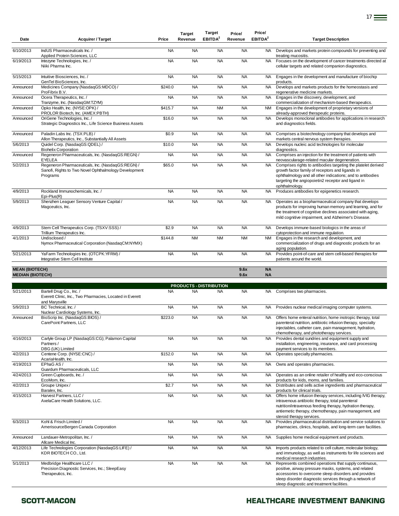| Date                                             | <b>Acquirer / Target</b>                                                                                               | Price               | <b>Target</b><br>Revenue | <b>Target</b><br>EBITDA <sup>2</sup> | Price/<br>Revenue | Price/<br>EBITDA <sup>2</sup> | <b>Target Description</b>                                                                                                                                                                                                                                                        |
|--------------------------------------------------|------------------------------------------------------------------------------------------------------------------------|---------------------|--------------------------|--------------------------------------|-------------------|-------------------------------|----------------------------------------------------------------------------------------------------------------------------------------------------------------------------------------------------------------------------------------------------------------------------------|
| 6/10/2013                                        | IndUS Pharmaceuticals Inc. /<br>Applied Protein Sciences, LLC                                                          | <b>NA</b>           | <b>NA</b>                | <b>NA</b>                            | <b>NA</b>         | <b>NA</b>                     | Develops and markets protein compounds for preventing and<br>treating mucositis.                                                                                                                                                                                                 |
| 6/19/2013                                        | Intezyne Technologies, Inc. /<br>Niiki Pharma Inc.                                                                     | <b>NA</b>           | <b>NA</b>                | <b>NA</b>                            | <b>NA</b>         | <b>NA</b>                     | Focuses on the development of cancer treatments directed at<br>cellular targets and related companion diagnostics.                                                                                                                                                               |
| 5/15/2013                                        | Intuitive Biosciences, Inc. /<br>GenTel BioSciences, Inc.                                                              | <b>NA</b>           | <b>NA</b>                | <b>NA</b>                            | <b>NA</b>         | <b>NA</b>                     | Engages in the development and manufacture of biochip<br>products.                                                                                                                                                                                                               |
| Announced                                        | Medicines Company (NasdaqGS:MDCO) /<br>ProFibrix B.V.                                                                  | \$240.0             | <b>NA</b>                | <b>NA</b>                            | <b>NA</b>         | <b>NA</b>                     | Develops and markets products for the homeostasis and<br>regenerative medicine markets.                                                                                                                                                                                          |
| Announced                                        | Ocera Therapeutics, Inc. /<br>Tranzyme, Inc. (NasdaqGM:TZYM)                                                           | <b>NA</b>           | <b>NA</b>                | <b>NA</b>                            | <b>NA</b>         | <b>NA</b>                     | Engages in the discovery, development, and<br>commercialization of mechanism-based therapeutics.                                                                                                                                                                                 |
| Announced                                        | Opko Health, Inc. (NYSE:OPK) /<br>PROLOR Biotech, Inc. (AMEX:PBTH)                                                     | $\overline{$}415.7$ | <b>NA</b>                | <b>NM</b>                            | <b>NA</b>         | NM                            | Engages in the development of proprietary versions of<br>already-approved therapeutic proteins.                                                                                                                                                                                  |
| Announced                                        | OriGene Technologies, Inc. /<br>Strategic Diagnostics Inc., Life Science Business Assets                               | \$16.0              | <b>NA</b>                | <b>NA</b>                            | <b>NA</b>         | NA.                           | Develops monoclonal antibodies for applications in research<br>and diagnostics fields.                                                                                                                                                                                           |
| Announced                                        | Paladin Labs Inc. (TSX:PLB) /<br>Allon Therapeutics, Inc., Substantially All Assets                                    | \$0.9               | <b>NA</b>                | <b>NA</b>                            | <b>NA</b>         | <b>NA</b>                     | Comprises a biotechnology company that develops and<br>markets central nervous system therapies.                                                                                                                                                                                 |
| 5/6/2013                                         | Quidel Corp. (NasdaqGS:QDEL) /<br><b>Biohelix Corporation</b>                                                          | \$10.0              | <b>NA</b>                | <b>NA</b>                            | <b>NA</b>         | <b>NA</b>                     | Develops nucleic acid technologies for molecular<br>diagnostics.                                                                                                                                                                                                                 |
| Announced                                        | Regeneron Pharmaceuticals, Inc. (NasdaqGS:REGN) /<br>EYELEA                                                            | <b>NA</b>           | <b>NA</b>                | <b>NA</b>                            | <b>NA</b>         | <b>NA</b>                     | Comprises an injection for the treatment of patients with<br>neovascularage-related macular degeneration.                                                                                                                                                                        |
| 5/2/2013                                         | Regeneron Pharmaceuticals, Inc. (NasdaqGS:REGN) /<br>Sanofi, Rights to Two Novel Ophthalmology Development<br>Programs | \$65.0              | <b>NA</b>                | <b>NA</b>                            | <b>NA</b>         | <b>NA</b>                     | Comprises rights to antibodies targeting the platelet derived<br>growth factor family of receptors and ligands in<br>ophthalmology and all other indications; and to antibodies<br>targeting the angiopoietin2 receptor and ligand in<br>ophthalmology.                          |
| 4/9/2013                                         | Rockland Immunochemicals. Inc. /<br>$Epi-Plus(R)$                                                                      | <b>NA</b>           | <b>NA</b>                | <b>NA</b>                            | <b>NA</b>         | <b>NA</b>                     | Produces antibodies for epigenetics research.                                                                                                                                                                                                                                    |
| 5/9/2013                                         | Shenzhen Leaguer Sensory Venture Capital /<br>Magceutics, Inc.                                                         | <b>NA</b>           | <b>NA</b>                | <b>NA</b>                            | <b>NA</b>         | <b>NA</b>                     | Operates as a biopharmaceutical company that develops<br>products for improving human memory and learning, and for<br>the treatment of cognitive declines associated with aging,<br>mild cognitive impairment, and Alzheimer's Disease.                                          |
| 4/9/2013                                         | Stem Cell Therapeutics Corp. (TSXV:SSS) /<br>Trillium Therapeutics Inc.                                                | \$2.9               | <b>NA</b>                | <b>NA</b>                            | <b>NA</b>         | <b>NA</b>                     | Develops immune-based biologics in the areas of<br>cytoprotection and immune regulation.                                                                                                                                                                                         |
| 4/1/2013                                         | Undisclosed /<br>Nymox Pharmaceutical Corporation (NasdaqCM:NYMX)                                                      | \$144.8             | <b>NM</b>                | <b>NM</b>                            | <b>NM</b>         | <b>NM</b>                     | Engages in the research and development, and<br>commercialization of drugs and diagnostic products for an<br>aging population.                                                                                                                                                   |
| 5/21/2013                                        | YaFarm Technologies Inc. (OTCPK:YFRM) /<br>Integrative Stem Cell Institute                                             | <b>NA</b>           | <b>NA</b>                | <b>NA</b>                            | <b>NA</b>         | <b>NA</b>                     | Provides point-of-care and stem cell-based therapies for<br>patients around the world.                                                                                                                                                                                           |
| <b>MEAN (BIOTECH)</b><br><b>MEDIAN (BIOTECH)</b> |                                                                                                                        |                     |                          |                                      | 9.6x<br>9.6x      | <b>NA</b><br><b>NA</b>        |                                                                                                                                                                                                                                                                                  |
|                                                  |                                                                                                                        |                     |                          | <b>PRODUCTS - DISTRIBUTION</b>       |                   |                               |                                                                                                                                                                                                                                                                                  |
| 5/21/2013                                        | Bartell Drug Co., Inc. /<br>Everett Clinic, Inc., Two Pharmacies, Located in Everett<br>and Marysville                 | <b>NA</b>           | <b>NA</b>                | <b>NA</b>                            | <b>NA</b>         | NA.                           | Comprises two pharmacies.                                                                                                                                                                                                                                                        |
| 5/9/2013                                         | BC Technical, Inc. /<br>Nuclear Cardiology Systems, Inc.                                                               | <b>NA</b>           | <b>NA</b>                | <b>NA</b>                            | <b>NA</b>         | <b>NA</b>                     | Provides nuclear medical imaging computer systems.                                                                                                                                                                                                                               |
| Announced                                        | BioScrip Inc. (NasdaqGS:BIOS) /<br>CarePoint Partners, LLC                                                             | \$223.0             | <b>NA</b>                | <b>NA</b>                            | <b>NA</b>         | NA.                           | Offers home enteral nutrition, home inotropic therapy, total<br>parenteral nutrition, antibiotic infusion therapy, specialty<br>injectables, catheter care, pain management, hydration,<br>chemotherapy, and phototherapy services.                                              |
| 4/16/2013                                        | Carlyle Group LP (NasdaqGS:CG); Palamon Capital<br>Partners /<br>DBG (UK) Limited                                      | <b>NA</b>           | <b>NA</b>                | <b>NA</b>                            | <b>NA</b>         | <b>NA</b>                     | Provides dental sundries and equipment supply and<br>installation, engineering, insurance, and card processing<br>payment services to its members.                                                                                                                               |
| 4/2/2013                                         | Centene Corp. (NYSE:CNC) /<br>AcariaHealth, Inc.                                                                       | \$152.0             | <b>NA</b>                | <b>NA</b>                            | <b>NA</b>         | <b>NA</b>                     | Operates specialty pharmacies.                                                                                                                                                                                                                                                   |
| 4/19/2013                                        | EPhaG AS /<br>Guardum Pharmaceuticals, LLC                                                                             | <b>NA</b>           | <b>NA</b>                | <b>NA</b>                            | <b>NA</b>         | NA.                           | Owns and operates pharmacies.                                                                                                                                                                                                                                                    |
| 4/24/2013                                        | Green Cupboards, Inc. /<br>EcoMom, Inc.                                                                                | <b>NA</b>           | <b>NA</b>                | <b>NA</b>                            | <b>NA</b>         | <b>NA</b>                     | Operates as an online retailer of healthy and eco-conscious<br>products for kids, moms, and families.                                                                                                                                                                            |
| 4/2/2013                                         | Groupe Unipex/<br>Baralex, Inc.                                                                                        | \$2.7               | <b>NA</b>                | <b>NA</b>                            | <b>NA</b>         | <b>NA</b>                     | Distributes and sells active ingredients and pharmaceutical<br>products for clinical trials.                                                                                                                                                                                     |
| 4/15/2013                                        | Harvest Partners, LLC /<br>AxelaCare Health Solutions, LLC.                                                            | <b>NA</b>           | <b>NA</b>                | <b>NA</b>                            | <b>NA</b>         | NA.                           | Offers home infusion therapy services, including IVIG therapy,<br>intravenous antibiotic therapy, total parenteral<br>nutrition/intravenous feeding therapy, hydration therapy,<br>antiemetic therapy, chemotherapy, pain management, and<br>steroid therapy services.           |
| 6/3/2013                                         | Kohl & Frisch Limited /<br>AmerisourceBergen Canada Corporation                                                        | <b>NA</b>           | <b>NA</b>                | <b>NA</b>                            | <b>NA</b>         | <b>NA</b>                     | Provides pharmaceutical distribution and service solutions to<br>pharmacies, clinics, hospitals, and long-term care facilities.                                                                                                                                                  |
| Announced                                        | Landauer-Metropolitan, Inc. /<br>Allcare Medical Inc.                                                                  | <b>NA</b>           | <b>NA</b>                | <b>NA</b>                            | <b>NA</b>         | NA.                           | Supplies home medical equipment and products.                                                                                                                                                                                                                                    |
| 4/12/2013                                        | Life Technologies Corporation (NasdaqGS:LIFE) /<br>KDR BIOTECH CO., Ltd.                                               | <b>NA</b>           | <b>NA</b>                | <b>NA</b>                            | <b>NA</b>         | NA                            | Imports products related to cell culture, molecular biology,<br>and immunology, as well as instruments for life sciences and<br>medical research industries.                                                                                                                     |
| 5/1/2013                                         | Medbridge Healthcare LLC /<br>Precision Diagnostic Services, Inc.; SleepEasy<br>Therapeutics, Inc.                     | <b>NA</b>           | <b>NA</b>                | <b>NA</b>                            | <b>NA</b>         | NA.                           | Represents combined operations that supply continuous,<br>positive, airway pressure masks, systems, and related<br>accessories to overcome sleep disorders and provides<br>sleep disorder diagnostic services through a network of<br>sleep diagnostic and treatment facilities. |

### SCOTT-MACON **SCOTT-MACON HEALTHCARE INVESTMENT BANKING**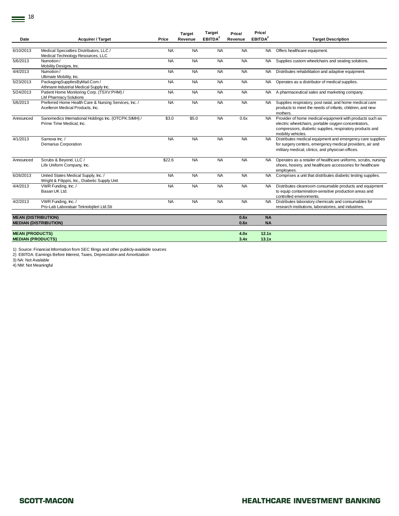|                            |                                                          |           | <b>Target</b> | <b>Target</b>       | Price/    | Price/              |                                                                |
|----------------------------|----------------------------------------------------------|-----------|---------------|---------------------|-----------|---------------------|----------------------------------------------------------------|
| Date                       | <b>Acquirer / Target</b>                                 | Price     | Revenue       | EBITDA <sup>2</sup> | Revenue   | EBITDA <sup>2</sup> | <b>Target Description</b>                                      |
|                            |                                                          |           |               |                     |           |                     |                                                                |
| 6/10/2013                  | Medical Specialties Distributors, LLC /                  | <b>NA</b> | <b>NA</b>     | <b>NA</b>           | <b>NA</b> | <b>NA</b>           | Offers healthcare equipment.                                   |
|                            | Medical Technology Resources, LLC                        |           |               |                     |           |                     |                                                                |
| 5/6/2013                   | Numotion /                                               | <b>NA</b> | <b>NA</b>     | <b>NA</b>           | <b>NA</b> | <b>NA</b>           | Supplies custom wheelchairs and seating solutions.             |
|                            | Mobility Designs, Inc.                                   |           |               |                     |           |                     |                                                                |
| 4/4/2013                   | Numotion /                                               | <b>NA</b> | <b>NA</b>     | <b>NA</b>           | <b>NA</b> | <b>NA</b>           | Distributes rehabilitation and adaptive equipment.             |
| 5/23/2013                  | Ultimate Mobility, Inc.<br>PackagingSuppliesByMail.Com / | <b>NA</b> | <b>NA</b>     | <b>NA</b>           | <b>NA</b> | <b>NA</b>           |                                                                |
|                            | Athmann Industrial Medical Supply Inc.                   |           |               |                     |           |                     | Operates as a distributor of medical supplies.                 |
| 5/24/2013                  | Patient Home Monitoring Corp. (TSXV:PHM) /               | <b>NA</b> | <b>NA</b>     | <b>NA</b>           | <b>NA</b> | NA.                 | A pharmaceutical sales and marketing company.                  |
|                            | <b>LM Pharmacy Solutions</b>                             |           |               |                     |           |                     |                                                                |
| 5/6/2013                   | Preferred Home Health Care & Nursing Services, Inc. /    | <b>NA</b> | <b>NA</b>     | <b>NA</b>           | <b>NA</b> | <b>NA</b>           | Supplies respiratory, post natal, and home medical care        |
|                            | Acelleron Medical Products, Inc.                         |           |               |                     |           |                     | products to meet the needs of infants, children, and new       |
|                            |                                                          |           |               |                     |           |                     | mothers.                                                       |
| Announced                  | Sanomedics International Holdings Inc. (OTCPK:SIMH) /    | \$3.0     | \$5.0         | <b>NA</b>           | 0.6x      | <b>NA</b>           | Provider of home medical equipment with products such as       |
|                            | Prime Time Medical, Inc.                                 |           |               |                     |           |                     | electric wheelchairs, portable oxygen concentrators,           |
|                            |                                                          |           |               |                     |           |                     | compressors, diabetic supplies, respiratory products and       |
|                            |                                                          |           |               |                     |           |                     | mobility vehicles.                                             |
| 4/1/2013                   | Sarnova Inc. /                                           | <b>NA</b> | <b>NA</b>     | <b>NA</b>           | <b>NA</b> | <b>NA</b>           | Distributes medical equipment and emergency care supplies      |
|                            | <b>Demarius Corporation</b>                              |           |               |                     |           |                     | for surgery centers, emergency medical providers, air and      |
|                            |                                                          |           |               |                     |           |                     | military medical, clinics, and physician offices.              |
|                            |                                                          |           |               |                     |           |                     |                                                                |
| Announced                  | Scrubs & Beyond, LLC /                                   | \$22.6    | <b>NA</b>     | <b>NA</b>           | <b>NA</b> | <b>NA</b>           | Operates as a retailer of healthcare uniforms, scrubs, nursing |
|                            | Life Uniform Company, Inc.                               |           |               |                     |           |                     | shoes, hosiery, and healthcare accessories for healthcare      |
| 6/26/2013                  | United States Medical Supply, Inc. /                     | <b>NA</b> | <b>NA</b>     | <b>NA</b>           | <b>NA</b> | <b>NA</b>           | employees.                                                     |
|                            | Wright & Filippis, Inc., Diabetic Supply Unit            |           |               |                     |           |                     | Comprises a unit that distributes diabetic testing supplies.   |
| 4/4/2013                   | VWR Funding, Inc. /                                      | <b>NA</b> | <b>NA</b>     | <b>NA</b>           | <b>NA</b> | NA.                 | Distributes cleanroom consumable products and equipment        |
|                            | Basan UK Ltd.                                            |           |               |                     |           |                     | to equip contamination-sensitive production areas and          |
|                            |                                                          |           |               |                     |           |                     | controlled environments.                                       |
| 4/2/2013                   | VWR Funding, Inc. /                                      | <b>NA</b> | <b>NA</b>     | <b>NA</b>           | <b>NA</b> | <b>NA</b>           | Distributes laboratory chemicals and consumables for           |
|                            | Pro-Lab Laboratuar Teknolojileri Ltd.Sti                 |           |               |                     |           |                     | research institutions, laboratories, and industries.           |
|                            |                                                          |           |               |                     |           |                     |                                                                |
| <b>MEAN (DISTRIBUTION)</b> |                                                          |           |               |                     | 0.6x      | <b>NA</b>           |                                                                |
|                            | <b>MEDIAN (DISTRIBUTION)</b>                             |           |               |                     | 0.6x      | <b>NA</b>           |                                                                |
|                            |                                                          |           |               |                     |           |                     |                                                                |
| <b>MEAN (PRODUCTS)</b>     |                                                          |           |               |                     | 4.0x      | 12.1x               |                                                                |
| <b>MEDIAN (PRODUCTS)</b>   |                                                          |           |               |                     | 3.4x      | 13.1x               |                                                                |

1) Source: Financial Information from SEC filings and other publicly-available sources 2) EBITDA: Earnings Before Interest, Taxes, Depreciation and Amortization

3) NA: Not Available

4) NM: Not Meaningful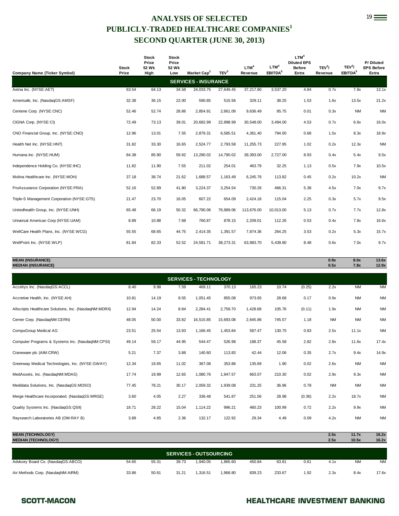### **ANALYSIS OF SELECTED** 19 **PUBLICLY-TRADED HEALTHCARE COMPANIES<sup>1</sup> SECOND QUARTER (JUNE 30, 2013)**

| <b>Company Name (Ticker Symbol)</b>                  | <b>Stock</b><br>Price | <b>Stock</b><br>Price<br>52 Wk<br>High | <b>Stock</b><br>Price<br>52 Wk<br>Low | Market Cap <sup>2</sup>     | TEV <sup>3</sup> | LTM <sup>4</sup><br>Revenue | LTM <sup>4</sup><br>EBITDA <sup>5</sup> | LTM <sup>4</sup><br><b>Diluted EPS</b><br><b>Before</b><br>Extra | TEV <sup>3</sup> /<br>Revenue | TEV <sup>3</sup> /<br>EBITDA <sup>5</sup> | P/Diluted<br><b>EPS Before</b><br>Extra |
|------------------------------------------------------|-----------------------|----------------------------------------|---------------------------------------|-----------------------------|------------------|-----------------------------|-----------------------------------------|------------------------------------------------------------------|-------------------------------|-------------------------------------------|-----------------------------------------|
|                                                      |                       |                                        |                                       | <b>SERVICES - INSURANCE</b> |                  |                             |                                         |                                                                  |                               |                                           |                                         |
| Aetna Inc. (NYSE:AET)                                | 63.54                 | 64.13                                  | 34.58                                 | 24,033.75                   | 27,649.45        | 37,217.80                   | 3,537.20                                | 4.84                                                             | 0.7x                          | 7.8x                                      | 13.1x                                   |
| Amerisafe, Inc. (NasdaqGS:AMSF)                      | 32.38                 | 36.15                                  | 22.00                                 | 590.85                      | 515.56           | 329.11                      | 38.25                                   | 1.53                                                             | 1.6x                          | 13.5x                                     | 21.2x                                   |
| Centene Corp. (NYSE:CNC)                             | 52.46                 | 52.74                                  | 28.86                                 | 2,854.91                    | 2,661.09         | 9,636.49                    | 95.75                                   | 0.01                                                             | 0.3x                          | <b>NM</b>                                 | <b>NM</b>                               |
| CIGNA Corp. (NYSE:CI)                                | 72.49                 | 73.13                                  | 39.01                                 | 20,682.99                   | 22,898.99        | 30,548.00                   | 3,494.00                                | 4.53                                                             | 0.7x                          | 6.6x                                      | 16.0x                                   |
| CNO Financial Group, Inc. (NYSE:CNO)                 | 12.96                 | 13.01                                  | 7.55                                  | 2,879.31                    | 6,585.51         | 4,361.40                    | 794.00                                  | 0.68                                                             | 1.5x                          | 8.3x                                      | 18.9x                                   |
| Health Net Inc. (NYSE:HNT)                           | 31.82                 | 33.30                                  | 16.65                                 | 2,524.77                    | 2,793.58         | 11,255.73                   | 227.95                                  | 1.02                                                             | 0.2x                          | 12.3x                                     | <b>NM</b>                               |
| Humana Inc. (NYSE:HUM)                               | 84.38                 | 85.90                                  | 59.92                                 | 13,290.02                   | 14,790.02        | 39,393.00                   | 2,727.00                                | 8.93                                                             | 0.4x                          | 5.4x                                      | 9.5x                                    |
| Independence Holding Co. (NYSE:IHC)                  | 11.82                 | 11.90                                  | 7.55                                  | 211.02                      | 254.01           | 463.79                      | 32.25                                   | 1.13                                                             | 0.5x                          | 7.9x                                      | 10.5x                                   |
| Molina Healthcare Inc. (NYSE:MOH)                    | 37.18                 | 38.74                                  | 21.62                                 | 1,688.57                    | 1,163.49         | 6,245.76                    | 113.82                                  | 0.45                                                             | 0.2x                          | 10.2x                                     | <b>NM</b>                               |
| ProAssurance Corporation (NYSE:PRA)                  | 52.16                 | 52.89                                  | 41.80                                 | 3,224.37                    | 3,254.54         | 730.26                      | 466.31                                  | 5.38                                                             | 4.5x                          | 7.0x                                      | 9.7x                                    |
| Triple-S Management Corporation (NYSE:GTS)           | 21.47                 | 23.70                                  | 16.05                                 | 607.22                      | 654.09           | 2,424.18                    | 115.04                                  | 2.25                                                             | 0.3x                          | 5.7x                                      | 9.5x                                    |
| Unitedhealth Group, Inc. (NYSE:UNH)                  | 65.48                 | 66.19                                  | 50.32                                 | 66,790.06                   | 76,989.06        | 113,676.00                  | 10,013.00                               | 5.13                                                             | 0.7x                          | 7.7x                                      | 12.8x                                   |
| Universal American Corp (NYSE:UAM)                   | 8.89                  | 10.88                                  | 7.68                                  | 760.87                      | 878.15           | 2,209.01                    | 112.26                                  | 0.53                                                             | 0.4x                          | 7.8x                                      | 16.6x                                   |
| WellCare Health Plans, Inc. (NYSE:WCG)               | 55.55                 | 68.65                                  | 44.75                                 | 2,414.35                    | 1,391.57         | 7,874.36                    | 264.25                                  | 3.53                                                             | 0.2x                          | 5.3x                                      | 15.7x                                   |
| WellPoint Inc. (NYSE:WLP)                            | 81.84                 | 82.33                                  | 52.52                                 | 24,581.71                   | 38,273.31        | 63,983.70                   | 5,439.80                                | 8.48                                                             | 0.6x                          | 7.0x                                      | 9.7x                                    |
| <b>MEAN (INSURANCE)</b><br><b>MEDIAN (INSURANCE)</b> |                       |                                        |                                       |                             |                  |                             |                                         |                                                                  | 0.9x<br>0.5x                  | 8.0x<br>7.8x                              | 13.6x<br>12.9x                          |

|                                                       | <b>SERVICES - TECHNOLOGY</b> |       |       |           |           |          |        |        |           |           |           |  |  |
|-------------------------------------------------------|------------------------------|-------|-------|-----------|-----------|----------|--------|--------|-----------|-----------|-----------|--|--|
| Accelrys Inc. (NasdaqGS:ACCL)                         | 8.40                         | 9.98  | 7.59  | 469.11    | 370.13    | 165.23   | 10.74  | (0.25) | 2.2x      | <b>NM</b> | <b>NM</b> |  |  |
| Accretive Health, Inc. (NYSE:AH)                      | 10.81                        | 14.19 | 8.55  | 1,051.45  | 855.08    | 973.65   | 28.68  | 0.17   | 0.9x      | <b>NM</b> | <b>NM</b> |  |  |
| Allscripts Healthcare Solutions, Inc. (NasdaqNM:MDRX) | 12.94                        | 14.24 | 8.84  | 2,284.41  | 2,759.70  | 1,428.68 | 105.76 | (0.11) | 1.9x      | <b>NM</b> | <b>NM</b> |  |  |
| Cerner Corp. (NasdaqNM:CERN)                          | 48.05                        | 50.00 | 33.82 | 16,515.85 | 15,693.08 | 2,645.86 | 745.57 | 1.18   | <b>NM</b> | <b>NM</b> | <b>NM</b> |  |  |
| CompuGroup Medical AG                                 | 23.51                        | 25.54 | 13.93 | 1,166.45  | 1,453.84  | 587.47   | 130.75 | 0.83   | 2.5x      | 11.1x     | <b>NM</b> |  |  |
| Computer Programs & Systems Inc. (NasdagNM:CPSI)      | 49.14                        | 59.17 | 44.95 | 544.47    | 526.98    | 188.37   | 45.58  | 2.82   | 2.8x      | 11.6x     | 17.4x     |  |  |
| Craneware plc (AIM:CRW)                               | 5.21                         | 7.37  | 3.88  | 140.60    | 113.83    | 42.44    | 12.06  | 0.35   | 2.7x      | 9.4x      | 14.9x     |  |  |
| Greenway Medical Technologies, Inc. (NYSE:GWAY)       | 12.34                        | 19.65 | 11.02 | 367.08    | 353.86    | 135.69   | 1.90   | 0.02   | 2.6x      | <b>NM</b> | <b>NM</b> |  |  |
| MedAssets, Inc. (NasdaqNM:MDAS)                       | 17.74                        | 19.99 | 12.65 | 1,080.76  | 1,947.57  | 663.07   | 210.30 | 0.02   | 2.9x      | 9.3x      | <b>NM</b> |  |  |
| Medidata Solutions, Inc. (NasdaqGS:MDSO)              | 77.45                        | 78.21 | 30.17 | 2,059.32  | 1,939.08  | 231.25   | 36.96  | 0.78   | <b>NM</b> | <b>NM</b> | <b>NM</b> |  |  |
| Merge Healthcare Incorporated. (NasdagGS:MRGE)        | 3.60                         | 4.05  | 2.27  | 336.48    | 541.87    | 251.56   | 28.98  | (0.36) | 2.2x      | 18.7x     | <b>NM</b> |  |  |
| Quality Systems Inc. (NasdaqGS:QSII)                  | 18.71                        | 28.22 | 15.04 | 1,114.22  | 996.21    | 460.23   | 100.99 | 0.72   | 2.2x      | 9.9x      | <b>NM</b> |  |  |
| Raysearch Laboratories AB (OM:RAY B)                  | 3.89                         | 4.85  | 2.36  | 132.17    | 122.92    | 29.34    | 4.49   | 0.09   | 4.2x      | <b>NM</b> | <b>NM</b> |  |  |
|                                                       |                              |       |       |           |           |          |        |        |           |           |           |  |  |

| <b>MEAN (TECHNOLOGY)</b>           |       |       |       |          |          |        |        |      | 2.5x | 11.7x     | 16.2x     |  |  |
|------------------------------------|-------|-------|-------|----------|----------|--------|--------|------|------|-----------|-----------|--|--|
| <b>MEDIAN (TECHNOLOGY)</b>         | 2.5x  | 10.5x | 16.2x |          |          |        |        |      |      |           |           |  |  |
|                                    |       |       |       |          |          |        |        |      |      |           |           |  |  |
| <b>SERVICES - OUTSOURCING</b>      |       |       |       |          |          |        |        |      |      |           |           |  |  |
| Advisory Board Co. (NasdaqGS:ABCO) | 54.65 | 55.31 | 39.73 | 1.940.05 | 1.865.60 | 450.84 | 63.81  | 0.61 | 4.1x | <b>NM</b> | <b>NM</b> |  |  |
| Air Methods Corp. (NasdaqNM:AIRM)  | 33.86 | 50.61 | 31.21 | 1.316.51 | 1.968.80 | 839.23 | 233.67 | 1.92 | 2.3x | 8.4x      | 17.6x     |  |  |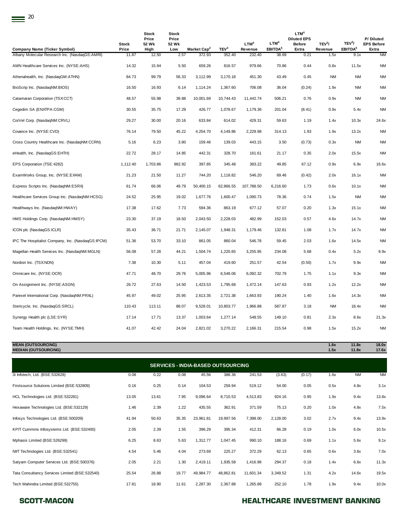|                                                                                       | <b>Stock</b>   | <b>Stock</b><br>Price<br>52 Wk | <b>Stock</b><br>Price<br>52 Wk |                                   |                            | LTM <sup>4</sup>  | LTM <sup>4</sup>             | LTM <sup>4</sup><br><b>Diluted EPS</b><br><b>Before</b> | TEV <sup>3</sup> / | TEV <sup>3</sup> /          | P/Diluted<br><b>EPS Before</b> |
|---------------------------------------------------------------------------------------|----------------|--------------------------------|--------------------------------|-----------------------------------|----------------------------|-------------------|------------------------------|---------------------------------------------------------|--------------------|-----------------------------|--------------------------------|
| <b>Company Name (Ticker Symbol)</b><br>Albany Molecular Research Inc. (NasdaqGS:AMRI) | Price<br>11.87 | High<br>12.50                  | Low<br>2.57                    | Market Cap <sup>2</sup><br>372.93 | TEV <sup>3</sup><br>352.40 | Revenue<br>232.40 | EBITDA <sup>5</sup><br>38.69 | Extra<br>0.21                                           | Revenue<br>1.5x    | EBITDA <sup>5</sup><br>9.1x | Extra<br><b>NM</b>             |
| AMN Healthcare Services Inc. (NYSE:AHS)                                               | 14.32          | 15.94                          | 5.50                           | 659.26                            | 816.57                     | 979.66            | 70.86                        | 0.44                                                    | 0.8x               | 11.5x                       | <b>NM</b>                      |
| Athenahealth, Inc. (NasdaqGM:ATHN)                                                    | 84.73          | 99.79                          | 56.33                          | 3,112.99                          | 3,170.18                   | 451.30            | 43.49                        | 0.45                                                    | NM                 | <b>NM</b>                   | <b>NM</b>                      |
| BioScrip Inc. (NasdaqNM:BIOS)                                                         | 16.50          | 16.93                          | 6.14                           | 1,114.24                          | 1,367.60                   | 706.08            | 36.04                        | (0.24)                                                  | 1.9x               | <b>NM</b>                   | <b>NM</b>                      |
| Catamaran Corporation (TSX:CCT)                                                       | 48.57          | 55.98                          | 39.88                          | 10,001.69                         | 10,744.43                  | 11,442.74         | 506.21                       | 0.76                                                    | 0.9x               | <b>NM</b>                   | <b>NM</b>                      |
| Cegedim SA (ENXTPA:CGM)                                                               | 30.55          | 35.75                          | 17.29                          | 426.77                            | 1,078.67                   | 1,179.36          | 201.04                       | (8.41)                                                  | 0.9x               | 5.4x                        | <b>NM</b>                      |
| CorVel Corp. (NasdaqNM:CRVL)                                                          | 29.27          | 30.00                          | 20.16                          | 633.84                            | 614.02                     | 429.31            | 59.63                        | 1.19                                                    | 1.4x               | 10.3x                       | 24.6x                          |
| Covance Inc. (NYSE:CVD)                                                               | 76.14          | 79.50                          | 45.22                          | 4,254.70                          | 4,149.86                   | 2,229.98          | 314.13                       | 1.93                                                    | 1.9x               | 13.2x                       | <b>NM</b>                      |
| Cross Country Healthcare Inc. (NasdaqNM:CCRN)                                         | 5.16           | 6.23                           | 3.80                           | 159.46                            | 139.03                     | 443.15            | 3.50                         | (0.73)                                                  | 0.3x               | <b>NM</b>                   | <b>NM</b>                      |
| eHealth, Inc. (NasdaqGS:EHTH)                                                         | 22.72          | 28.17                          | 14.85                          | 442.31                            | 328.70                     | 161.61            | 21.17                        | 0.35                                                    | 2.0x               | 15.5x                       | <b>NM</b>                      |
| EPS Corporation (TSE:4282)                                                            | 1,112.40       | 1,703.86                       | 982.92                         | 397.85                            | 345.48                     | 383.22            | 49.85                        | 67.12                                                   | 0.9x               | 6.9x                        | 16.6x                          |
| ExamWorks Group, Inc. (NYSE:EXAM)                                                     | 21.23          | 21.50                          | 11.27                          | 744.20                            | 1,118.82                   | 546.20            | 69.46                        | (0.42)                                                  | 2.0x               | 16.1x                       | <b>NM</b>                      |
| Express Scripts Inc. (NasdaqNM:ESRX)                                                  | 61.74          | 66.06                          | 49.79                          | 50,400.15                         | 62,866.55                  | 107,788.50        | 6,216.60                     | 1.73                                                    | 0.6x               | 10.1x                       | <b>NM</b>                      |
| Healthcare Services Group Inc. (NasdaqNM:HCSG)                                        | 24.52          | 25.95                          | 19.02                          | 1,677.76                          | 1,600.47                   | 1,090.73          | 78.36                        | 0.74                                                    | 1.5x               | <b>NM</b>                   | <b>NM</b>                      |
| Healthways Inc. (NasdaqNM:HWAY)                                                       | 17.38          | 17.62                          | 7.73                           | 594.36                            | 863.19                     | 677.12            | 57.07                        | 0.20                                                    | 1.3x               | 15.1x                       | <b>NM</b>                      |
| HMS Holdings Corp. (NasdaqNM:HMSY)                                                    | 23.30          | 37.19                          | 18.50                          | 2,043.50                          | 2,228.03                   | 482.99            | 152.03                       | 0.57                                                    | 4.6x               | 14.7x                       | <b>NM</b>                      |
| ICON plc (NasdaqGS:ICLR)                                                              | 35.43          | 36.71                          | 21.71                          | 2,145.07                          | 1,948.31                   | 1,179.46          | 132.81                       | 1.08                                                    | 1.7x               | 14.7x                       | <b>NM</b>                      |
| IPC The Hospitalist Company, Inc. (NasdaqGS:IPCM)                                     | 51.36          | 53.70                          | 33.10                          | 861.05                            | 860.04                     | 546.78            | 59.45                        | 2.03                                                    | 1.6x               | 14.5x                       | <b>NM</b>                      |
| Magellan Health Services Inc. (NasdaqNM:MGLN)                                         | 56.08          | 57.28                          | 44.21                          | 1,504.74                          | 1,220.65                   | 3,255.95          | 234.08                       | 5.68                                                    | 0.4x               | 5.2x                        | 9.9x                           |
| Nordion Inc. (TSX:NDN)                                                                | 7.38           | 10.30                          | 5.11                           | 457.04                            | 419.60                     | 251.57            | 42.54                        | (0.50)                                                  | 1.7x               | 9.9x                        | <b>NM</b>                      |
| Omnicare Inc. (NYSE:OCR)                                                              | 47.71          | 48.70                          | 29.76                          | 5,005.96                          | 6,548.06                   | 6,092.32          | 702.79                       | 1.75                                                    | 1.1x               | 9.3x                        | <b>NM</b>                      |
| On Assignment Inc. (NYSE:ASGN)                                                        | 26.72          | 27.63                          | 14.50                          | 1,423.53                          | 1,795.68                   | 1,472.14          | 147.63                       | 0.93                                                    | 1.2x               | 12.2x                       | <b>NM</b>                      |
| Parexel International Corp. (NasdaqNM:PRXL)                                           | 45.97          | 49.02                          | 25.95                          | 2,613.35                          | 2,721.38                   | 1,663.93          | 190.24                       | 1.40                                                    | 1.6x               | 14.3x                       | <b>NM</b>                      |
| Stericycle, Inc. (NasdaqGS:SRCL)                                                      | 110.43         | 113.11                         | 88.07                          | 9,528.01                          | 10,803.77                  | 1,966.88          | 587.87                       | 3.18                                                    | <b>NM</b>          | 18.4x                       | <b>NM</b>                      |
| Synergy Health plc (LSE:SYR)                                                          | 17.14          | 17.71                          | 13.37                          | 1,003.64                          | 1,277.14                   | 548.55            | 149.10                       | 0.81                                                    | 2.3x               | 8.6x                        | 21.3x                          |
| Team Health Holdings, Inc. (NYSE:TMH)                                                 | 41.07          | 42.42                          | 24.04                          | 2,821.02                          | 3,270.22                   | 2,166.31          | 215.54                       | 0.98                                                    | 1.5x               | 15.2x                       | <b>NM</b>                      |
|                                                                                       |                |                                |                                |                                   |                            |                   |                              |                                                         |                    |                             |                                |

3i Infotech, Ltd. (BSE:532628) 0.08 0.22 0.08 45.56 388.36 241.53 (3.63) (0.17) 1.6x NM NM Firstsource Solutions Limited (BSE:532809) 0.16 0.25 0.14 104.53 259.94 519.12 54.00 0.05 0.5x 4.8x 3.1x HCL Technologies Ltd. (BSE:532281) 13.05 13.61 7.95 9,096.64 8,710.53 4,513.83 924.16 0.95 1.9x 9.4x 13.8x Hexaware Technologies Ltd. (BSE:532129) 1.46 2.39 1.22 435.55 362.91 371.59 75.13 0.20 1.0x 4.8x 7.5x Infosys Technologies Ltd. (BSE:500209) 41.94 50.63 35.35 23,961.81 19,997.56 7,398.00 2,128.00 3.02 2.7x 9.4x 13.9x KPIT Cummins Infosystems Ltd. (BSE:532400) 2.05 2.39 1.55 396.29 395.34 412.31 66.28 0.19 1.0x 6.0x 10.5x Mphasis Limited (BSE:526299) 6.25 8.63 5.63 1,312.77 1,047.45 990.10 188.16 0.69 1.1x 5.6x 9.1x NIIT Technologies Ltd. (BSE:532541) 4.54 5.46 4.04 273.69 225.27 372.29 62.13 0.65 0.6x 3.6x 7.0x Satyam Computer Services Ltd. (BSE:500376) 2.05 2.21 1.30 2,419.11 1,935.58 1,416.98 294.37 0.18 1.4x 6.6x 11.3x Tata Consultancy Services Limited (BSE:532540) 25.54 26.88 19.77 49,984.77 48,862.81 11,601.34 3,349.52 1.31 4.2x 14.6x 19.5x Tech Mahindra Limited (BSE:532755) 17.81 18.90 11.61 2,287.30 2,367.88 1,265.88 252.10 1.78 1.9x 9.4x 10.0x **SERVICES - INDIA-BASED OUTSOURCING**

**MEAN (OUTSOURCING) 1.6x 11.8x 18.0x MEDIAN (OUTSOURCING) 1.5x 11.8x 17.6x**

### SCOTT-MACON **SCOTT-MACON HEALTHCARE INVESTMENT BANKING**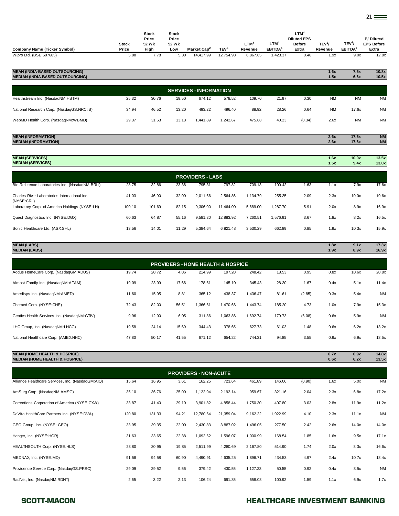| <b>Company Name (Ticker Symbol)</b>                                              | <b>Stock</b><br>Price | <b>Stock</b><br>Price<br>52 Wk<br>High | <b>Stock</b><br>Price<br>52 Wk<br>Low | Market Cap <sup>2</sup>                      | TEV <sup>3</sup> | LTM <sup>4</sup><br>Revenue | LTM <sup>4</sup><br>EBITDA <sup>5</sup> | LTM <sup>4</sup><br><b>Diluted EPS</b><br><b>Before</b><br>Extra | TEV <sup>3</sup> /<br>Revenue | TEV <sup>3</sup> /<br>EBITDA <sup>5</sup> | P/Diluted<br><b>EPS Before</b><br>Extra |
|----------------------------------------------------------------------------------|-----------------------|----------------------------------------|---------------------------------------|----------------------------------------------|------------------|-----------------------------|-----------------------------------------|------------------------------------------------------------------|-------------------------------|-------------------------------------------|-----------------------------------------|
| Wipro Ltd. (BSE:507685)                                                          | 5.88                  | 7.78                                   | 5.30                                  | 14,417.99                                    | 12,754.98        | 6,867.65                    | 1,423.37                                | 0.46                                                             | 1.9x                          | 9.0x                                      | 12.8x                                   |
|                                                                                  |                       |                                        |                                       |                                              |                  |                             |                                         |                                                                  |                               |                                           |                                         |
| <b>MEAN (INDIA-BASED OUTSOURCING)</b><br><b>MEDIAN (INDIA-BASED OUTSOURCING)</b> |                       |                                        |                                       |                                              |                  |                             |                                         |                                                                  | 1.6x<br>1.5x                  | 7.6x<br>6.6x                              | 10.8x<br>10.5x                          |
|                                                                                  |                       |                                        |                                       |                                              |                  |                             |                                         |                                                                  |                               |                                           |                                         |
|                                                                                  |                       |                                        |                                       | <b>SERVICES - INFORMATION</b>                |                  |                             |                                         |                                                                  |                               |                                           |                                         |
| Healthstream Inc. (NasdaqNM:HSTM)                                                | 25.32                 | 30.76                                  | 19.50                                 | 674.12                                       | 578.52           | 109.70                      | 21.97                                   | 0.30                                                             | NM                            | <b>NM</b>                                 | <b>NM</b>                               |
| National Research Corp. (NasdaqGS:NRCl.B)                                        | 34.94                 | 46.52                                  | 13.20                                 | 493.22                                       | 496.40           | 88.92                       | 28.26                                   | 0.64                                                             | <b>NM</b>                     | 17.6x                                     | <b>NM</b>                               |
| WebMD Health Corp. (NasdaqNM:WBMD)                                               | 29.37                 | 31.63                                  | 13.13                                 | 1,441.89                                     | 1,242.67         | 475.68                      | 40.23                                   | (0.34)                                                           | 2.6x                          | <b>NM</b>                                 | <b>NM</b>                               |
|                                                                                  |                       |                                        |                                       |                                              |                  |                             |                                         |                                                                  |                               |                                           |                                         |
| <b>MEAN (INFORMATION)</b><br><b>MEDIAN (INFORMATION)</b>                         |                       |                                        |                                       |                                              |                  |                             |                                         |                                                                  | 2.6x<br>2.6x                  | 17.6x<br>17.6x                            | <b>NM</b><br><b>NM</b>                  |
|                                                                                  |                       |                                        |                                       |                                              |                  |                             |                                         |                                                                  |                               |                                           |                                         |
| <b>MEAN (SERVICES)</b>                                                           |                       |                                        |                                       |                                              |                  |                             |                                         |                                                                  | 1.6x                          | 10.0x                                     | 13.5x                                   |
| <b>MEDIAN (SERVICES)</b>                                                         |                       |                                        |                                       |                                              |                  |                             |                                         |                                                                  | 1.5x                          | 9.4x                                      | 13.0x                                   |
|                                                                                  |                       |                                        |                                       | <b>PROVIDERS - LABS</b>                      |                  |                             |                                         |                                                                  |                               |                                           |                                         |
| Bio-Reference Laboratories Inc. (NasdaqNM:BRLI)                                  | 28.75                 | 32.86                                  | 23.36                                 | 795.31                                       | 797.82           | 709.13                      | 100.42                                  | 1.63                                                             | 1.1x                          | 7.9x                                      | 17.6x                                   |
| Charles River Laboratories International Inc.<br>(NYSE:CRL)                      | 41.03                 | 46.90                                  | 32.00                                 | 2,011.66                                     | 2,564.86         | 1,134.79                    | 255.35                                  | 2.09                                                             | 2.3x                          | 10.0x                                     | 19.6x                                   |
| Laboratory Corp. of America Holdings (NYSE:LH)                                   | 100.10                | 101.69                                 | 82.15                                 | 9,306.00                                     | 11,464.00        | 5,689.00                    | 1,287.70                                | 5.91                                                             | 2.0x                          | 8.9x                                      | 16.9x                                   |
| Quest Diagnostics Inc. (NYSE:DGX)                                                | 60.63                 | 64.87                                  | 55.16                                 | 9,581.30                                     | 12,883.92        | 7,260.51                    | 1,576.91                                | 3.67                                                             | 1.8x                          | 8.2x                                      | 16.5x                                   |
| Sonic Healthcare Ltd. (ASX:SHL)                                                  | 13.56                 | 14.01                                  | 11.29                                 | 5,384.64                                     | 6,821.48         | 3,530.29                    | 662.89                                  | 0.85                                                             | 1.9x                          | 10.3x                                     | 15.9x                                   |
|                                                                                  |                       |                                        |                                       |                                              |                  |                             |                                         |                                                                  |                               |                                           |                                         |
| <b>MEAN (LABS)</b><br><b>MEDIAN (LABS)</b>                                       |                       |                                        |                                       |                                              |                  |                             |                                         |                                                                  | 1.8x<br>1.9x                  | 9.1x<br>8.9x                              | 17.3x<br>16.9x                          |
|                                                                                  |                       |                                        |                                       | <b>PROVIDERS - HOME HEALTH &amp; HOSPICE</b> |                  |                             |                                         |                                                                  |                               |                                           |                                         |
| Addus HomeCare Corp. (NasdaqGM:ADUS)                                             | 19.74                 | 20.72                                  | 4.06                                  | 214.99                                       | 197.20           | 248.42                      | 18.53                                   | 0.95                                                             | 0.8x                          | 10.6x                                     | 20.8x                                   |
|                                                                                  |                       |                                        |                                       |                                              |                  |                             |                                         |                                                                  |                               |                                           |                                         |
| Almost Family Inc. (NasdaqNM:AFAM)                                               | 19.09                 | 23.99                                  | 17.66                                 | 178.61                                       | 145.10           | 345.43                      | 28.30                                   | 1.67                                                             | 0.4x                          | 5.1x                                      | 11.4x                                   |
| Amedisys Inc. (NasdaqNM:AMED)                                                    | 11.60                 | 15.95                                  | 8.81                                  | 365.12                                       | 438.37           | 1,436.47                    | 81.61                                   | (2.85)                                                           | 0.3x                          | 5.4x                                      | <b>NM</b>                               |
| Chemed Corp. (NYSE:CHE)                                                          | 72.43                 | 82.00                                  | 56.51                                 | 1,366.61                                     | 1,470.66         | 1,443.74                    | 185.20                                  | 4.73                                                             | 1.0x                          | 7.9x                                      | 15.3x                                   |

| <b>MEAN (HOME HEALTH &amp; HOSPICE)</b><br><b>MEDIAN (HOME HEALTH &amp; HOSPICE)</b> |       |       |       |        |          |          |        |        | 0.7x<br>0.6x | 6.9x<br>6.2x | 14.8x<br>13.5x |
|--------------------------------------------------------------------------------------|-------|-------|-------|--------|----------|----------|--------|--------|--------------|--------------|----------------|
|                                                                                      |       |       |       |        |          |          |        |        |              |              |                |
| National Healthcare Corp. (AMEX:NHC)                                                 | 47.80 | 50.17 | 41.55 | 671.12 | 654.22   | 744.31   | 94.85  | 3.55   | 0.9x         | 6.9x         | 13.5x          |
| LHC Group, Inc. (NasdaqNM:LHCG)                                                      | 19.58 | 24.14 | 15.69 | 344.43 | 378.65   | 627.73   | 61.03  | 1.48   | 0.6x         | 6.2x         | 13.2x          |
| Gentiva Health Services Inc. (NasdaqNM:GTIV)                                         | 9.96  | 12.90 | 6.05  | 311.86 | 1.063.86 | 1.692.74 | 179.73 | (6.08) | 0.6x         | 5.9x         | <b>NM</b>      |
|                                                                                      |       |       |       |        |          |          |        |        |              |              |                |

| <b>PROVIDERS - NON-ACUTE</b>                      |        |        |       |           |           |          |          |        |      |       |           |  |  |
|---------------------------------------------------|--------|--------|-------|-----------|-----------|----------|----------|--------|------|-------|-----------|--|--|
| Alliance Healthcare Services, Inc. (NasdaqGM:AIQ) | 15.64  | 16.95  | 3.61  | 162.25    | 723.64    | 461.89   | 146.06   | (0.90) | 1.6x | 5.0x  | <b>NM</b> |  |  |
| AmSurg Corp. (NasdaqNM:AMSG)                      | 35.10  | 36.76  | 25.00 | 1,122.94  | 2,192.14  | 959.67   | 321.16   | 2.04   | 2.3x | 6.8x  | 17.2x     |  |  |
| Corrections Corporation of America (NYSE:CXW)     | 33.87  | 41.40  | 29.10 | 3,901.82  | 4,858.44  | 1,750.30 | 407.80   | 3.03   | 2.8x | 11.9x | 11.2x     |  |  |
| DaVita HealthCare Partners Inc. (NYSE:DVA)        | 120.80 | 131.33 | 94.21 | 12,780.64 | 21,359.04 | 9,162.22 | 1,922.99 | 4.10   | 2.3x | 11.1x | <b>NM</b> |  |  |
| GEO Group, Inc. (NYSE: GEO)                       | 33.95  | 39.35  | 22.00 | 2,430.83  | 3,887.02  | 1,496.05 | 277.50   | 2.42   | 2.6x | 14.0x | 14.0x     |  |  |
| Hanger, Inc. (NYSE:HGR)                           | 31.63  | 33.65  | 22.38 | 1,092.62  | 1,596.07  | 1,000.99 | 168.54   | 1.85   | 1.6x | 9.5x  | 17.1x     |  |  |
| HEALTHSOUTH Corp. (NYSE:HLS)                      | 28.80  | 30.95  | 19.85 | 2,511.99  | 4,280.69  | 2,167.80 | 514.90   | 1.74   | 2.0x | 8.3x  | 16.6x     |  |  |
| MEDNAX, Inc. (NYSE:MD)                            | 91.58  | 94.58  | 60.90 | 4,490.91  | 4,635.25  | 1,896.71 | 434.53   | 4.97   | 2.4x | 10.7x | 18.4x     |  |  |
| Providence Service Corp. (NasdaqGS:PRSC)          | 29.09  | 29.52  | 9.56  | 379.42    | 430.55    | 1,127.23 | 50.55    | 0.92   | 0.4x | 8.5x  | <b>NM</b> |  |  |
| RadNet, Inc. (NasdaqNM:RDNT)                      | 2.65   | 3.22   | 2.13  | 106.24    | 691.85    | 658.08   | 100.92   | 1.59   | 1.1x | 6.9x  | 1.7x      |  |  |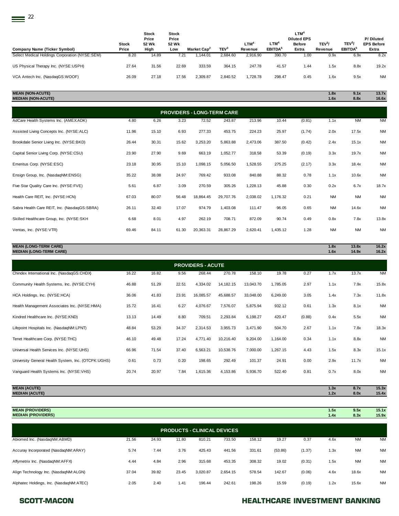$\equiv$ <sup>22</sup>

| <b>Company Name (Ticker Symbol)</b>            | <b>Stock</b><br>Price | <b>Stock</b><br>Price<br>52 Wk<br>High | <b>Stock</b><br>Price<br>52 Wk<br>Low | Market Cap <sup>2</sup> | TEV <sup>3</sup> | $LTM^4$<br>Revenue | LTM <sup>4</sup><br><b>EBITDA</b> <sup>5</sup> | $LTM^4$<br><b>Diluted EPS</b><br><b>Before</b><br>Extra | TEV <sup>3</sup><br>Revenue | TEV <sup>3</sup><br>EBITDA <sup>5</sup> | P/Diluted<br><b>EPS Before</b><br>Extra |
|------------------------------------------------|-----------------------|----------------------------------------|---------------------------------------|-------------------------|------------------|--------------------|------------------------------------------------|---------------------------------------------------------|-----------------------------|-----------------------------------------|-----------------------------------------|
| Select Medical Holdings Corporation (NYSE:SEM) | 8.20                  | 14.89                                  | 7.21                                  | .144.01                 | 2.684.60         | 2.916.90           | 390.70                                         | 1.00                                                    | 0.9x                        | 6.9x                                    | 8.2x                                    |
| US Physical Therapy Inc. (NYSE:USPH)           | 27.64                 | 31.56                                  | 22.69                                 | 333.59                  | 364.15           | 247.78             | 41.57                                          | 1.44                                                    | i.5x                        | 8.8x                                    | 19.2x                                   |
| VCA Antech Inc. (NasdaqGS:WOOF)                | 26.09                 | 27.18                                  | 17.56                                 | 2.309.87                | 2.840.52         | 1.728.78           | 298.47                                         | 0.45                                                    | 1.6x                        | 9.5x                                    | <b>NM</b>                               |

### **MEAN (NON-ACUTE) 1.8x 9.1x 13.7x MEDIAN (NON-ACUTE) 1.6x 8.8x 16.6x**

| <b>PROVIDERS - LONG-TERM CARE</b>            |       |       |       |           |           |          |          |        |           |           |           |  |
|----------------------------------------------|-------|-------|-------|-----------|-----------|----------|----------|--------|-----------|-----------|-----------|--|
| AdCare Health Systems Inc. (AMEX:ADK)        | 4.80  | 6.26  | 3.23  | 72.52     | 243.87    | 213.96   | 10.44    | (0.81) | 1.1x      | <b>NM</b> | <b>NM</b> |  |
| Assisted Living Concepts Inc. (NYSE:ALC)     | 11.96 | 15.10 | 6.93  | 277.33    | 453.75    | 224.23   | 25.97    | (1.74) | 2.0x      | 17.5x     | <b>NM</b> |  |
| Brookdale Senior Living Inc. (NYSE:BKD)      | 26.44 | 30.31 | 15.62 | 3,253.20  | 5,863.88  | 2,473.06 | 387.50   | (0.42) | 2.4x      | 15.1x     | <b>NM</b> |  |
| Capital Senior Living Corp. (NYSE:CSU)       | 23.90 | 27.90 | 9.69  | 663.19    | 1,052.77  | 318.58   | 53.39    | (0.19) | 3.3x      | 19.7x     | <b>NM</b> |  |
| Emeritus Corp. (NYSE:ESC)                    | 23.18 | 30.95 | 15.10 | 1,098.15  | 5,056.50  | 1,528.55 | 275.25   | (2.17) | 3.3x      | 18.4x     | <b>NM</b> |  |
| Ensign Group, Inc. (NasdaqNM:ENSG)           | 35.22 | 38.08 | 24.97 | 769.42    | 933.08    | 840.88   | 88.32    | 0.78   | 1.1x      | 10.6x     | <b>NM</b> |  |
| Five Star Quality Care Inc. (NYSE:FVE)       | 5.61  | 6.87  | 3.09  | 270.59    | 305.26    | 1,228.13 | 45.88    | 0.30   | 0.2x      | 6.7x      | 18.7x     |  |
| Health Care REIT, Inc. (NYSE:HCN)            | 67.03 | 80.07 | 56.48 | 18,864.45 | 29,707.76 | 2,038.02 | 1,176.32 | 0.21   | <b>NM</b> | <b>NM</b> | <b>NM</b> |  |
| Sabra Health Care REIT, Inc. (NasdaqGS:SBRA) | 26.11 | 32.40 | 17.07 | 974.79    | 1,403.08  | 111.47   | 96.05    | 0.65   | <b>NM</b> | 14.6x     | <b>NM</b> |  |
| Skilled Healthcare Group, Inc. (NYSE:SKH     | 6.68  | 8.01  | 4.97  | 262.19    | 708.71    | 872.09   | 90.74    | 0.49   | 0.8x      | 7.8x      | 13.8x     |  |
| Ventas, Inc. (NYSE:VTR)                      | 69.46 | 84.11 | 61.30 | 20,363.31 | 28,867.29 | 2,620.41 | 1,435.12 | 1.28   | <b>NM</b> | <b>NM</b> | <b>NM</b> |  |

| <b>MEAN (LONG-TERM CARE)</b><br><b>MEDIAN (LONG-TERM CARE)</b> |       |       |       |                          |             |           |          |        | 1.8x<br>1.6x | 13.8x<br>14.9x | 16.2x<br>16.2x |
|----------------------------------------------------------------|-------|-------|-------|--------------------------|-------------|-----------|----------|--------|--------------|----------------|----------------|
|                                                                |       |       |       |                          |             |           |          |        |              |                |                |
|                                                                |       |       |       | <b>PROVIDERS - ACUTE</b> |             |           |          |        |              |                |                |
| Chindex International Inc. (NasdaqGS:CHDX)                     | 16.22 | 16.82 | 9.56  | 268.44                   | 270.78      | 158.10    | 19.78    | 0.27   | 1.7x         | 13.7x          | <b>NM</b>      |
| Community Health Systems, Inc. (NYSE:CYH)                      | 46.88 | 51.29 | 22.51 | 4,334.02                 | 14, 182. 15 | 13,043.70 | 1,785.05 | 2.97   | 1.1x         | 7.9x           | 15.8x          |
| HCA Holdings, Inc. (NYSE: HCA)                                 | 36.06 | 41.83 | 23.91 | 16,085.57                | 45,688.57   | 33,048.00 | 6,249.00 | 3.05   | 1.4x         | 7.3x           | 11.8x          |
| Health Management Associates Inc. (NYSE:HMA)                   | 15.72 | 16.41 | 6.27  | 4,076.67                 | 7,576.07    | 5,875.94  | 932.12   | 0.61   | 1.3x         | 8.1x           | <b>NM</b>      |
| Kindred Healthcare Inc. (NYSE:KND)                             | 13.13 | 14.49 | 8.80  | 709.51                   | 2,293.84    | 6,198.27  | 420.47   | (0.88) | 0.4x         | 5.5x           | <b>NM</b>      |
| Lifepoint Hospitals Inc. (NasdaqNM:LPNT)                       | 48.84 | 53.29 | 34.37 | 2,314.53                 | 3,955.73    | 3,471.90  | 504.70   | 2.67   | 1.1x         | 7.8x           | 18.3x          |
| Tenet Healthcare Corp. (NYSE:THC)                              | 46.10 | 49.48 | 17.24 | 4,771.40                 | 10,216.40   | 9,204.00  | 1,164.00 | 0.34   | 1.1x         | 8.8x           | <b>NM</b>      |
| Universal Health Services Inc. (NYSE:UHS)                      | 66.96 | 71.54 | 37.40 | 6,563.21                 | 10,538.76   | 7,000.00  | 1,267.15 | 4.43   | 1.5x         | 8.3x           | 15.1x          |
| University General Health System, Inc. (OTCPK:UGHS)            | 0.61  | 0.73  | 0.20  | 198.65                   | 292.49      | 101.37    | 24.91    | 0.00   | 2.9x         | 11.7x          | <b>NM</b>      |
| Vanguard Health Systems Inc. (NYSE:VHS)                        | 20.74 | 20.97 | 7.84  | 1,615.36                 | 4,153.86    | 5,936.70  | 522.40   | 0.81   | 0.7x         | 8.0x           | <b>NM</b>      |

**MEAN (ACUTE) 1.3x 8.7x 15.3x MEDIAN (ACUTE) 1.2x 8.0x 15.4x**

| <b>MEAN (PROVIDERS)</b><br><b>MEDIAN (PROVIDERS)</b> |       |       |       |                                    |          |        |         |        | 1.5x<br>1.4x | 9.5x<br>8.3x | 15.1x<br>15.9x |
|------------------------------------------------------|-------|-------|-------|------------------------------------|----------|--------|---------|--------|--------------|--------------|----------------|
|                                                      |       |       |       | <b>PRODUCTS - CLINICAL DEVICES</b> |          |        |         |        |              |              |                |
| Abiomed Inc. (NasdaqNM:ABMD)                         | 21.56 | 24.93 | 11.80 | 810.21                             | 733.50   | 158.12 | 19.27   | 0.37   | 4.6x         | <b>NM</b>    | <b>NM</b>      |
| Accuray Incorporated (NasdaqNM:ARAY)                 | 5.74  | 7.44  | 3.76  | 425.43                             | 441.56   | 331.61 | (53.86) | (1.37) | 1.3x         | <b>NM</b>    | <b>NM</b>      |
| Affymetrix Inc. (NasdaqNM:AFFX)                      | 4.44  | 4.84  | 2.96  | 315.68                             | 453.35   | 308.32 | 19.02   | (0.31) | 1.5x         | <b>NM</b>    | <b>NM</b>      |
| Align Technology Inc. (NasdagNM:ALGN)                | 37.04 | 39.82 | 23.45 | 3.020.87                           | 2,654.15 | 578.54 | 142.67  | (0.06) | 4.6x         | 18.6x        | <b>NM</b>      |
| Alphatec Holdings, Inc. (NasdaqNM:ATEC)              | 2.05  | 2.40  | 1.41  | 196.44                             | 242.61   | 198.26 | 15.59   | (0.19) | 1.2x         | 15.6x        | <b>NM</b>      |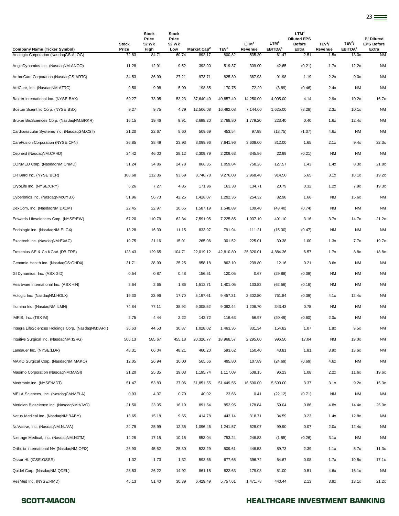| Company Name (Ticker Symbol)                        | <b>Stock</b><br>Price | Stock<br>Price<br>52 Wk<br>High | <b>Stock</b><br>Price<br>52 Wk<br>Low | Market Cap <sup>2</sup> | TEV <sup>3</sup> | LTM <sup>4</sup><br>Revenue | LTM <sup>4</sup><br>EBITDA <sup>5</sup> | LTM <sup>4</sup><br><b>Diluted EPS</b><br><b>Before</b><br>Extra | TEV <sup>3</sup> /<br>Revenue | TEV <sup>3</sup> /<br>EBITDA <sup>5</sup> | P/Diluted<br><b>EPS Before</b><br>Extra |
|-----------------------------------------------------|-----------------------|---------------------------------|---------------------------------------|-------------------------|------------------|-----------------------------|-----------------------------------------|------------------------------------------------------------------|-------------------------------|-------------------------------------------|-----------------------------------------|
| Analogic Corporation (NasdaqGS:ALOG)                | 72.83                 | 84.71                           | 60.74                                 | 892.17                  | 800.82           | 535.20                      | 61.47                                   | 2.51                                                             | 1.5x                          | 13.0x                                     | <b>NM</b>                               |
| AngioDynamics Inc. (NasdagNM:ANGO)                  | 11.28                 | 12.91                           | 9.52                                  | 392.90                  | 519.37           | 309.00                      | 42.65                                   | (0.21)                                                           | 1.7x                          | 12.2x                                     | <b>NM</b>                               |
| ArthroCare Corporation (NasdaqGS:ARTC)              | 34.53                 | 36.99                           | 27.21                                 | 973.71                  | 825.39           | 367.93                      | 91.98                                   | 1.19                                                             | 2.2x                          | 9.0x                                      | <b>NM</b>                               |
| AtriCure, Inc. (NasdaqNM:ATRC)                      | 9.50                  | 9.98                            | 5.90                                  | 198.85                  | 170.75           | 72.20                       | (3.89)                                  | (0.46)                                                           | 2.4x                          | <b>NM</b>                                 | <b>NM</b>                               |
| Baxter International Inc. (NYSE:BAX)                | 69.27                 | 73.95                           | 53.23                                 | 37,640.49               | 40,857.49        | 14,250.00                   | 4,005.00                                | 4.14                                                             | 2.9x                          | 10.2x                                     | 16.7x                                   |
| Boston Scientific Corp. (NYSE:BSX)                  | 9.27                  | 9.75                            | 4.79                                  | 12,506.08               | 16,492.08        | 7,144.00                    | 1,625.00                                | (3.28)                                                           | 2.3x                          | 10.1x                                     | <b>NM</b>                               |
| Bruker BioSciences Corp. (NasdaqNM:BRKR)            | 16.15                 | 19.46                           | 9.91                                  | 2,698.20                | 2,768.80         | 1,779.20                    | 223.40                                  | 0.40                                                             | 1.6x                          | 12.4x                                     | <b>NM</b>                               |
| Cardiovascular Systems Inc. (NasdaqGM:CSII)         | 21.20                 | 22.67                           | 8.60                                  | 509.69                  | 453.54           | 97.98                       | (18.75)                                 | (1.07)                                                           | 4.6x                          | <b>NM</b>                                 | <b>NM</b>                               |
| CareFusion Corporation (NYSE:CFN)                   | 36.85                 | 38.49                           | 23.93                                 | 8,099.96                | 7,641.96         | 3,608.00                    | 812.00                                  | 1.65                                                             | 2.1x                          | 9.4x                                      | 22.3x                                   |
| Cepheid (NasdaqNM:CPHD)                             | 34.42                 | 46.00                           | 28.12                                 | 2,309.79                | 2,209.63         | 345.86                      | 22.99                                   | (0.21)                                                           | NM                            | <b>NM</b>                                 | <b>NM</b>                               |
| CONMED Corp. (NasdaqNM:CNMD)                        | 31.24                 | 34.86                           | 24.78                                 | 866.35                  | 1,059.84         | 758.26                      | 127.57                                  | 1.43                                                             | 1.4x                          | 8.3x                                      | 21.8x                                   |
| CR Bard Inc. (NYSE:BCR)                             | 108.68                | 112.36                          | 93.69                                 | 8,746.78                | 9,276.08         | 2,968.40                    | 914.50                                  | 5.65                                                             | 3.1x                          | 10.1x                                     | 19.2x                                   |
| CryoLife Inc. (NYSE:CRY)                            | 6.26                  | 7.27                            | 4.85                                  | 171.96                  | 163.33           | 134.71                      | 20.79                                   | 0.32                                                             | 1.2x                          | 7.9x                                      | 19.3x                                   |
| Cyberonics Inc. (NasdaqNM:CYBX)                     | 51.96                 | 56.73                           | 42.25                                 | 1,428.07                | 1,292.36         | 254.32                      | 82.98                                   | 1.66                                                             | <b>NM</b>                     | 15.6x                                     | <b>NM</b>                               |
| DexCom, Inc. (NasdaqNM:DXCM)                        | 22.45                 | 22.97                           | 10.65                                 | 1,587.19                | 1,548.89         | 109.40                      | (43.40)                                 | (0.74)                                                           | NM                            | <b>NM</b>                                 | <b>NM</b>                               |
| Edwards Lifesciences Corp. (NYSE:EW)                | 67.20                 | 110.79                          | 62.34                                 | 7,591.05                | 7,225.85         | 1,937.10                    | 491.10                                  | 3.16                                                             | 3.7x                          | 14.7x                                     | 21.2x                                   |
| Endologix Inc. (NasdaqNM:ELGX)                      | 13.28                 | 16.39                           | 11.15                                 | 833.97                  | 791.94           | 111.21                      | (15.30)                                 | (0.47)                                                           | <b>NM</b>                     | <b>NM</b>                                 | <b>NM</b>                               |
| Exactech Inc. (NasdaqNM:EXAC)                       | 19.75                 | 21.16                           | 15.01                                 | 265.06                  | 301.52           | 225.01                      | 39.38                                   | 1.00                                                             | 1.3x                          | 7.7x                                      | 19.7x                                   |
| Fresenius SE & Co KGaA (DB:FRE)                     | 123.43                | 129.65                          | 104.71                                | 22,019.12               | 42,810.80        | 25,320.01                   | 4,884.36                                | 6.57                                                             | 1.7x                          | 8.8x                                      | 18.8x                                   |
| Genomic Health Inc. (NasdaqGS:GHDX)                 | 31.71                 | 38.99                           | 25.25                                 | 958.18                  | 862.10           | 239.80                      | 12.16                                   | 0.21                                                             | 3.6x                          | <b>NM</b>                                 | <b>NM</b>                               |
| GI Dynamics, Inc. (ASX:GID)                         | 0.54                  | 0.87                            | 0.48                                  | 156.51                  | 120.05           | 0.67                        | (29.88)                                 | (0.09)                                                           | NM                            | <b>NM</b>                                 | <b>NM</b>                               |
| Heartware International Inc. (ASX:HIN)              | 2.64                  | 2.65                            | 1.86                                  | 1,512.71                | 1,401.05         | 133.82                      | (62.56)                                 | (0.16)                                                           | NM                            | <b>NM</b>                                 | <b>NM</b>                               |
| Hologic Inc. (NasdaqNM:HOLX)                        | 19.30                 | 23.96                           | 17.70                                 | 5,197.61                | 9,457.31         | 2,302.80                    | 761.84                                  | (0.39)                                                           | 4.1x                          | 12.4x                                     | <b>NM</b>                               |
| Illumina Inc. (NasdaqNM:ILMN)                       | 74.84                 | 77.11                           | 38.92                                 | 9,308.52                | 9,092.44         | 1,206.70                    | 343.43                                  | 0.78                                                             | <b>NM</b>                     | <b>NM</b>                                 | <b>NM</b>                               |
| IMRIS, Inc. (TSX:IM)                                | 2.75                  | 4.44                            | 2.22                                  | 142.72                  | 116.63           | 56.97                       | (20.49)                                 | (0.60)                                                           | 2.0x                          | NM                                        | <b>NM</b>                               |
| Integra LifeSciences Holdings Corp. (NasdaqNM:IART) | 36.63                 | 44.53                           | 30.87                                 | 1,028.02                | 1,463.36         | 831.34                      | 154.82                                  | 1.07                                                             | 1.8x                          | 9.5x                                      | <b>NM</b>                               |
| Intuitive Surgical Inc. (NasdaqNM:ISRG)             | 506.13                | 585.67                          | 455.18                                | 20,326.77               | 18,968.57        | 2,295.00                    | 996.50                                  | 17.04                                                            | <b>NM</b>                     | 19.0x                                     | <b>NM</b>                               |
| Landauer Inc. (NYSE:LDR)                            | 48.31                 | 66.04                           | 48.21                                 | 460.20                  | 593.62           | 150.40                      | 43.81                                   | 1.81                                                             | 3.9x                          | 13.6x                                     | <b>NM</b>                               |
| MAKO Surgical Corp. (NasdagNM:MAKO)                 | 12.05                 | 26.94                           | 10.00                                 | 565.66                  | 495.80           | 107.89                      | (24.69)                                 | (0.69)                                                           | 4.6x                          | <b>NM</b>                                 | <b>NM</b>                               |
| Masimo Corporation (NasdaqNM:MASI)                  | 21.20                 | 25.35                           | 19.03                                 | 1,195.74                | 1,117.09         | 508.15                      | 96.23                                   | 1.08                                                             | 2.2x                          | 11.6x                                     | 19.6x                                   |
| Medtronic Inc. (NYSE:MDT)                           | 51.47                 | 53.83                           | 37.06                                 | 51,851.55               | 51,449.55        | 16,590.00                   | 5,593.00                                | 3.37                                                             | 3.1x                          | 9.2x                                      | 15.3x                                   |
| MELA Sciences, Inc. (NasdaqCM:MELA)                 | 0.93                  | 4.37                            | 0.70                                  | 40.02                   | 23.66            | 0.41                        | (22.12)                                 | (0.71)                                                           | <b>NM</b>                     | <b>NM</b>                                 | <b>NM</b>                               |
| Meridian Bioscience Inc. (NasdaqNM:VIVO)            | 21.50                 | 23.05                           | 16.19                                 | 891.54                  | 852.95           | 178.84                      | 59.04                                   | 0.86                                                             | 4.8x                          | 14.4x                                     | 25.0x                                   |
| Natus Medical Inc. (NasdaqNM:BABY)                  | 13.65                 | 15.18                           | 9.65                                  | 414.78                  | 443.14           | 318.71                      | 34.59                                   | 0.23                                                             | 1.4x                          | 12.8x                                     | <b>NM</b>                               |
| NuVasive, Inc. (NasdaqNM:NUVA)                      | 24.79                 | 25.99                           | 12.35                                 | 1,096.46                | 1,241.57         | 628.07                      | 99.90                                   | 0.07                                                             | 2.0x                          | 12.4x                                     | <b>NM</b>                               |
| Nxstage Medical, Inc. (NasdaqNM:NXTM)               | 14.28                 | 17.15                           | 10.15                                 | 853.04                  | 753.24           | 246.83                      | (1.55)                                  | (0.26)                                                           | 3.1x                          | <b>NM</b>                                 | <b>NM</b>                               |
| Orthofix International NV (NasdaqNM:OFIX)           | 26.90                 | 45.62                           | 25.30                                 | 523.29                  | 509.61           | 446.53                      | 89.73                                   | 2.39                                                             | 1.1x                          | 5.7x                                      | 11.3x                                   |
| Ossur Hf. (ICSE:OSSR)                               | 1.32                  | 1.73                            | 1.32                                  | 593.66                  | 677.65           | 396.72                      | 64.67                                   | 0.08                                                             | 1.7x                          | 10.5x                                     | 17.1x                                   |
| Quidel Corp. (NasdaqNM:QDEL)                        | 25.53                 | 26.22                           | 14.92                                 | 861.15                  | 822.63           | 179.08                      | 51.00                                   | 0.51                                                             | 4.6x                          | 16.1x                                     | <b>NM</b>                               |
| ResMed Inc. (NYSE:RMD)                              | 45.13                 | 51.40                           | 30.39                                 | 6,429.49                | 5,757.61         | 1,471.78                    | 440.44                                  | 2.13                                                             | 3.9x                          | 13.1x                                     | 21.2x                                   |

### SCOTT-MACON **SCOTT-MACON HEALTHCARE INVESTMENT BANKING**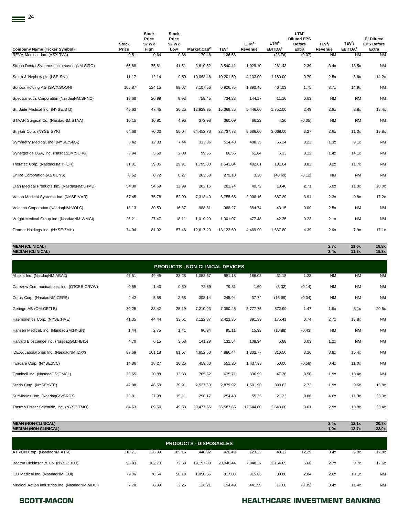| <b>Company Name (Ticker Symbol)</b>        | <b>Stock</b><br>Price | <b>Stock</b><br>Price<br>52 Wk<br>High | <b>Stock</b><br>Price<br>52 Wk<br>Low | Market Cap <sup>2</sup> | TEV <sup>3</sup> | LTM <sup>4</sup><br>Revenue | LTM <sup>4</sup><br>EBITDA <sup>5</sup> | LTM <sup>4</sup><br><b>Diluted EPS</b><br><b>Before</b><br>Extra | TEV <sup>3</sup> /<br>Revenue | TEV <sup>3</sup> /<br>EBITDA <sup>5</sup> | P/Diluted<br><b>EPS Before</b><br>Extra |
|--------------------------------------------|-----------------------|----------------------------------------|---------------------------------------|-------------------------|------------------|-----------------------------|-----------------------------------------|------------------------------------------------------------------|-------------------------------|-------------------------------------------|-----------------------------------------|
| REVA Medical, Inc. (ASX:RVA)               | 0.51                  | 0.64                                   | 0.36                                  | 170.46                  | 136.58           |                             | (23.76)                                 | (0.07)                                                           | <b>NM</b>                     | <b>NM</b>                                 | <b>NM</b>                               |
| Sirona Dental Systems Inc. (NasdaqNM:SIRO) | 65.88                 | 75.81                                  | 41.51                                 | 3,619.32                | 3,540.41         | 1,029.10                    | 261.43                                  | 2.39                                                             | 3.4x                          | 13.5x                                     | <b>NM</b>                               |
| Smith & Nephew plc (LSE:SN.)               | 11.17                 | 12.14                                  | 9.50                                  | 10,063.46               | 10,201.59        | 4,133.00                    | 1,180.00                                | 0.79                                                             | 2.5x                          | 8.6x                                      | 14.2x                                   |
| Sonova Holding AG (SWX:SOON)               | 105.87                | 124.15                                 | 88.07                                 | 7,107.56                | 6,926.75         | 1,890.45                    | 464.03                                  | 1.75                                                             | 3.7x                          | 14.9x                                     | <b>NM</b>                               |
| Spectranetics Corporation (NasdaqNM:SPNC)  | 18.68                 | 20.99                                  | 9.93                                  | 759.45                  | 734.23           | 144.17                      | 11.16                                   | 0.03                                                             | <b>NM</b>                     | <b>NM</b>                                 | <b>NM</b>                               |
| St. Jude Medical Inc. (NYSE:STJ)           | 45.63                 | 47.45                                  | 30.25                                 | 12,929.85               | 15,368.85        | 5,446.00                    | 1,752.00                                | 2.49                                                             | 2.8x                          | 8.8x                                      | 18.4x                                   |
| STAAR Surgical Co. (NasdaqNM:STAA)         | 10.15                 | 10.81                                  | 4.96                                  | 372.98                  | 360.09           | 66.22                       | 4.20                                    | (0.05)                                                           | <b>NM</b>                     | <b>NM</b>                                 | <b>NM</b>                               |
| Stryker Corp. (NYSE:SYK)                   | 64.68                 | 70.00                                  | 50.04                                 | 24,452.73               | 22,737.73        | 8,686.00                    | 2,068.00                                | 3.27                                                             | 2.6x                          | 11.0x                                     | 19.8x                                   |
| Symmetry Medical, Inc. (NYSE:SMA)          | 8.42                  | 12.83                                  | 7.44                                  | 313.86                  | 514.48           | 408.35                      | 56.24                                   | 0.22                                                             | 1.3x                          | 9.1x                                      | <b>NM</b>                               |
| Synergetics USA, Inc. (NasdaqCM:SURG)      | 3.94                  | 5.50                                   | 2.88                                  | 99.65                   | 86.55            | 61.64                       | 6.13                                    | 0.12                                                             | 1.4x                          | 14.1x                                     | <b>NM</b>                               |
| Thoratec Corp. (NasdaqNM:THOR)             | 31.31                 | 39.86                                  | 29.91                                 | 1,795.00                | 1,543.04         | 482.61                      | 131.64                                  | 0.82                                                             | 3.2x                          | 11.7x                                     | <b>NM</b>                               |
| Unilife Corporation (ASX:UNS)              | 0.52                  | 0.72                                   | 0.27                                  | 263.68                  | 279.10           | 3.30                        | (48.69)                                 | (0.12)                                                           | <b>NM</b>                     | <b>NM</b>                                 | <b>NM</b>                               |
| Utah Medical Products Inc. (NasdaqNM:UTMD) | 54.30                 | 54.59                                  | 32.99                                 | 202.16                  | 202.74           | 40.72                       | 18.46                                   | 2.71                                                             | 5.0x                          | 11.0x                                     | 20.0x                                   |
| Varian Medical Systems Inc. (NYSE:VAR)     | 67.45                 | 75.78                                  | 52.90                                 | 7,313.40                | 6,755.65         | 2,908.16                    | 687.29                                  | 3.91                                                             | 2.3x                          | 9.8x                                      | 17.2x                                   |
| Volcano Corporation (NasdaqNM:VOLC)        | 18.13                 | 30.59                                  | 16.37                                 | 988.81                  | 968.27           | 384.74                      | 43.15                                   | 0.09                                                             | 2.5x                          | <b>NM</b>                                 | <b>NM</b>                               |
| Wright Medical Group Inc. (NasdaqNM:WMGI)  | 26.21                 | 27.47                                  | 18.11                                 | 1,019.29                | 1,001.07         | 477.48                      | 42.35                                   | 0.23                                                             | 2.1x                          | <b>NM</b>                                 | <b>NM</b>                               |
| Zimmer Holdings Inc. (NYSE:ZMH)            | 74.94                 | 81.92                                  | 57.46                                 | 12,617.20               | 13,123.60        | 4,469.90                    | 1,667.80                                | 4.39                                                             | 2.9x                          | 7.9x                                      | 17.1x                                   |

**MEAN (CLINICAL) 2.7x 11.6x 18.8x MEDIAN (CLINICAL) 2.4x 11.3x 19.3x PRODUCTS - NON-CLINICAL DEVICES**

| <b>FRODUCTS-NON-CEINICAL DEVICES</b>       |       |        |       |           |           |           |          |        |           |           |           |  |  |
|--------------------------------------------|-------|--------|-------|-----------|-----------|-----------|----------|--------|-----------|-----------|-----------|--|--|
| Abaxis Inc. (NasdaqNM:ABAX)                | 47.51 | 49.45  | 33.28 | 1,058.67  | 981.18    | 186.03    | 31.18    | 1.23   | <b>NM</b> | <b>NM</b> | <b>NM</b> |  |  |
| Careview Communications, Inc. (OTCBB:CRVW) | 0.55  | 1.40   | 0.50  | 72.89     | 79.81     | 1.60      | (8.32)   | (0.14) | <b>NM</b> | <b>NM</b> | <b>NM</b> |  |  |
| Cerus Corp. (NasdaqNM:CERS)                | 4.42  | 5.58   | 2.68  | 308.14    | 245.94    | 37.74     | (16.99)  | (0.34) | <b>NM</b> | <b>NM</b> | <b>NM</b> |  |  |
| Getinge AB (OM:GETI B)                     | 30.25 | 33.42  | 25.19 | 7,210.03  | 7,050.45  | 3,777.75  | 872.99   | 1.47   | 1.9x      | 8.1x      | 20.6x     |  |  |
| Haemonetics Corp. (NYSE:HAE)               | 41.35 | 44.44  | 33.51 | 2,122.37  | 2,423.35  | 891.99    | 175.41   | 0.74   | 2.7x      | 13.8x     | <b>NM</b> |  |  |
| Hansen Medical, Inc. (NasdaqGM:HNSN)       | 1.44  | 2.75   | 1.41  | 96.94     | 95.11     | 15.93     | (16.88)  | (0.43) | <b>NM</b> | <b>NM</b> | <b>NM</b> |  |  |
| Harvard Bioscience Inc. (NasdaqGM:HBIO)    | 4.70  | 6.15   | 3.58  | 141.29    | 132.54    | 108.94    | 5.88     | 0.03   | 1.2x      | <b>NM</b> | <b>NM</b> |  |  |
| IDEXX Laboratories Inc. (NasdaqNM:IDXX)    | 89.69 | 101.18 | 81.57 | 4,852.50  | 4,886.44  | 1,302.77  | 316.56   | 3.26   | 3.8x      | 15.4x     | <b>NM</b> |  |  |
| Invacare Corp. (NYSE:IVC)                  | 14.36 | 18.27  | 10.26 | 459.60    | 551.26    | 1,437.98  | 50.00    | (0.58) | 0.4x      | 11.0x     | <b>NM</b> |  |  |
| Omnicell Inc. (NasdaqGS:OMCL)              | 20.55 | 20.88  | 12.33 | 705.52    | 635.71    | 336.99    | 47.38    | 0.50   | 1.9x      | 13.4x     | <b>NM</b> |  |  |
| Steris Corp. (NYSE:STE)                    | 42.88 | 46.59  | 29.91 | 2,527.60  | 2,879.92  | 1,501.90  | 300.83   | 2.72   | 1.9x      | 9.6x      | 15.8x     |  |  |
| SurModics, Inc. (NasdaqGS:SRDX)            | 20.01 | 27.98  | 15.11 | 290.17    | 254.48    | 55.35     | 21.33    | 0.86   | 4.6x      | 11.9x     | 23.3x     |  |  |
| Thermo Fisher Scientific, Inc. (NYSE:TMO)  | 84.63 | 89.50  | 49.63 | 30,477.55 | 36,587.65 | 12,644.60 | 2,648.00 | 3.61   | 2.9x      | 13.8x     | 23.4x     |  |  |

| <b>MEAN (NON-CLINICAL)</b>      | $\sim$<br>2.4x | 12.1x | 20.8x |
|---------------------------------|----------------|-------|-------|
| (NON-CLINICAL)<br><b>MEDIAN</b> | 1.9x           | 12.7x | 22.0x |
|                                 |                |       |       |

| <b>PRODUCTS - DISPOSABLES</b>                  |        |        |        |           |           |          |          |        |      |       |           |  |  |
|------------------------------------------------|--------|--------|--------|-----------|-----------|----------|----------|--------|------|-------|-----------|--|--|
| ATRION Corp. (NasdaqNM:ATRI)                   | 218.71 | 226.99 | 185.16 | 440.92    | 420.49    | 123.32   | 43.12    | 12.29  | 3.4x | 9.8x  | 17.8x     |  |  |
| Becton Dickinson & Co. (NYSE:BDX)              | 98.83  | 102.73 | 72.68  | 19.197.83 | 20.946.44 | 7.848.27 | 2.154.65 | 5.60   | 2.7x | 9.7x  | 17.6x     |  |  |
| ICU Medical Inc. (NasdaqNM:ICUI)               | 72.06  | 76.64  | 50.19  | 1.050.56  | 817.00    | 315.66   | 80.86    | 2.84   | 2.6x | 10.1x | <b>NM</b> |  |  |
| Medical Action Industries Inc. (NasdaqNM:MDCI) | 7.70   | 8.99   | 2.25   | 126.21    | 194.49    | 441.59   | 17.08    | (3.35) | 0.4x | 11.4x | <b>NM</b> |  |  |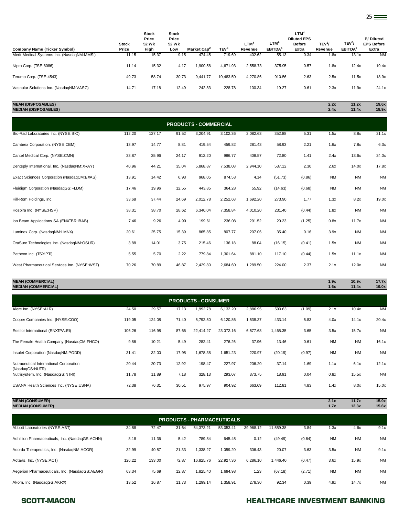| Company Name (Ticker Symbol)               | <b>Stock</b><br>Price | Stock<br>Price<br>52 Wk<br>High | <b>Stock</b><br>Price<br>52 Wk<br>Low | Market Cap <sup>2</sup> | TEV <sup>3</sup> | $LTM^4$<br>Revenue | LTM <sup>4</sup><br>EBITDA <sup>5</sup> | <b>LTM<sup>4</sup></b><br><b>Diluted EPS</b><br><b>Before</b><br>Extra | TEV <sup>3</sup><br>Revenue | TEV <sup>3</sup><br>EBITDA <sup>5</sup> | P/Diluted<br><b>EPS Before</b><br>Extra |
|--------------------------------------------|-----------------------|---------------------------------|---------------------------------------|-------------------------|------------------|--------------------|-----------------------------------------|------------------------------------------------------------------------|-----------------------------|-----------------------------------------|-----------------------------------------|
| Merit Medical Systems Inc. (NasdaqNM:MMSI) | 11.15                 | 15.37                           | 9.15                                  | 474.45                  | 719.69           | 402.62             | 55.13                                   | 0.34                                                                   | 1.8x                        | 13.1x                                   | <b>NM</b>                               |
| Nipro Corp. (TSE:8086)                     | 11.14                 | 15.32                           | 4.17                                  | 1,900.58                | 4,671.93         | 2.558.73           | 375.95                                  | 0.57                                                                   | 1.8x                        | 12.4x                                   | 19.4x                                   |
| Terumo Corp. (TSE: 4543)                   | 49.73                 | 58.74                           | 30.73                                 | 9.441.77                | 10,483.50        | 4.270.86           | 910.56                                  | 2.63                                                                   | 2.5x                        | 11.5x                                   | 18.9x                                   |
| Vascular Solutions Inc. (NasdaqNM:VASC)    | 14.71                 | 17.18                           | 12.49                                 | 242.83                  | 228.78           | 100.34             | 19.27                                   | 0.61                                                                   | 2.3x                        | 11.9x                                   | 24.1x                                   |

**MEAN (DISPOSABLES) 2.2x 11.2x 19.6x MEDIAN (DISPOSABLES) 2.4x 11.4x 18.9x**

| <b>PRODUCTS - COMMERCIAL</b>                 |        |        |       |          |          |          |         |        |           |           |           |  |
|----------------------------------------------|--------|--------|-------|----------|----------|----------|---------|--------|-----------|-----------|-----------|--|
| Bio-Rad Laboratories Inc. (NYSE:BIO)         | 112.20 | 127.17 | 91.52 | 3,204.91 | 3,102.36 | 2,082.63 | 352.88  | 5.31   | 1.5x      | 8.8x      | 21.1x     |  |
| Cambrex Corporation. (NYSE:CBM)              | 13.97  | 14.77  | 8.81  | 419.54   | 459.82   | 281.43   | 58.93   | 2.21   | 1.6x      | 7.8x      | 6.3x      |  |
| Cantel Medical Corp. (NYSE:CMN)              | 33.87  | 35.96  | 24.17 | 912.20   | 986.77   | 408.57   | 72.80   | 1.41   | 2.4x      | 13.6x     | 24.0x     |  |
| Dentsply International, Inc. (NasdaqNM:XRAY) | 40.96  | 44.21  | 35.04 | 5,868.87 | 7,538.08 | 2,944.10 | 537.12  | 2.30   | 2.6x      | 14.0x     | 17.8x     |  |
| Exact Sciences Corporation (NasdaqCM:EXAS)   | 13.91  | 14.42  | 6.93  | 968.05   | 874.53   | 4.14     | (51.73) | (0.86) | <b>NM</b> | <b>NM</b> | <b>NM</b> |  |
| Fluidigm Corporation (NasdaqGS:FLDM)         | 17.46  | 19.96  | 12.55 | 443.85   | 364.28   | 55.92    | (14.63) | (0.68) | <b>NM</b> | <b>NM</b> | <b>NM</b> |  |
| Hill-Rom Holdings, Inc.                      | 33.68  | 37.44  | 24.69 | 2,012.78 | 2,252.68 | 1,692.20 | 273.90  | 1.77   | 1.3x      | 8.2x      | 19.0x     |  |
| Hospira Inc. (NYSE:HSP)                      | 38.31  | 38.70  | 28.62 | 6,340.04 | 7,358.84 | 4,010.20 | 231.40  | (0.44) | 1.8x      | <b>NM</b> | <b>NM</b> |  |
| Ion Beam Applications SA (ENXTBR:IBAB)       | 7.46   | 9.26   | 4.90  | 199.61   | 236.08   | 291.52   | 20.23   | (1.25) | 0.8x      | 11.7x     | <b>NM</b> |  |
| Luminex Corp. (NasdaqNM:LMNX)                | 20.61  | 25.75  | 15.39 | 865.85   | 807.77   | 207.06   | 35.40   | 0.16   | 3.9x      | <b>NM</b> | <b>NM</b> |  |
| OraSure Technologies Inc. (NasdaqNM:OSUR)    | 3.88   | 14.01  | 3.75  | 215.46   | 136.18   | 88.04    | (16.15) | (0.41) | 1.5x      | <b>NM</b> | <b>NM</b> |  |
| Patheon Inc. (TSX:PTI)                       | 5.55   | 5.70   | 2.22  | 779.84   | 1,301.64 | 881.10   | 117.10  | (0.44) | 1.5x      | 11.1x     | <b>NM</b> |  |
| West Pharmaceutical Services Inc. (NYSE:WST) | 70.26  | 70.89  | 46.87 | 2,429.80 | 2,684.60 | 1,289.50 | 224.00  | 2.37   | 2.1x      | 12.0x     | <b>NM</b> |  |

### **MEAN (COMMERCIAL) 1.9x 10.9x 17.7x MEDIAN (COMMERCIAL) 1.6x 11.4x 19.0x**

| <b>PRODUCTS - CONSUMER</b>                                 |        |        |       |           |           |          |          |        |              |                |                |  |
|------------------------------------------------------------|--------|--------|-------|-----------|-----------|----------|----------|--------|--------------|----------------|----------------|--|
| Alere Inc. (NYSE:ALR)                                      | 24.50  | 29.57  | 17.13 | 1,992.78  | 6,132.20  | 2,886.95 | 590.63   | (1.09) | 2.1x         | 10.4x          | <b>NM</b>      |  |
| Cooper Companies Inc. (NYSE:COO)                           | 119.05 | 124.08 | 71.40 | 5,792.50  | 6,120.86  | 1,538.37 | 433.14   | 5.83   | 4.0x         | 14.1x          | 20.4x          |  |
| Essilor International (ENXTPA:EI)                          | 106.26 | 116.98 | 87.66 | 22,414.27 | 23,072.16 | 6,577.68 | 1,465.35 | 3.65   | 3.5x         | 15.7x          | <b>NM</b>      |  |
| The Female Health Company (NasdaqCM:FHCO)                  | 9.86   | 10.21  | 5.49  | 282.41    | 276.26    | 37.96    | 13.46    | 0.61   | <b>NM</b>    | <b>NM</b>      | 16.1x          |  |
| Insulet Corporation (NasdaqNM:PODD)                        | 31.41  | 32.00  | 17.95 | 1,678.38  | 1,651.23  | 220.97   | (20.19)  | (0.97) | <b>NM</b>    | <b>NM</b>      | <b>NM</b>      |  |
| Nutraceutical International Corporation<br>(NasdagGS:NUTR) | 20.44  | 20.73  | 12.92 | 198.47    | 227.97    | 206.20   | 37.14    | 1.69   | 1.1x         | 6.1x           | 12.1x          |  |
| Nutrisystem, Inc. (NasdagGS:NTRI)                          | 11.78  | 11.89  | 7.18  | 328.13    | 293.07    | 373.75   | 18.91    | 0.04   | 0.8x         | 15.5x          | <b>NM</b>      |  |
| USANA Health Sciences Inc. (NYSE:USNA)                     | 72.38  | 76.31  | 30.51 | 975.97    | 904.92    | 663.69   | 112.81   | 4.83   | 1.4x         | 8.0x           | 15.0x          |  |
| <b>MEAN (CONSUMER)</b><br><b>MEDIAN (CONSUMER)</b>         |        |        |       |           |           |          |          |        | 2.1x<br>1.7x | 11.7x<br>12.3x | 15.9x<br>15.6x |  |

| x | 11.7x | 15.9x |
|---|-------|-------|
|   |       | ---   |

| <b>PRODUCTS - PHARMACEUTICALS</b>               |        |        |       |           |           |           |           |        |           |           |           |  |
|-------------------------------------------------|--------|--------|-------|-----------|-----------|-----------|-----------|--------|-----------|-----------|-----------|--|
| Abbott Laboratories (NYSE:ABT)                  | 34.88  | 72.47  | 31.64 | 54.373.21 | 53.053.41 | 39,968.12 | 11.559.38 | 3.84   | 1.3x      | 4.6x      | 9.1x      |  |
| Achillion Pharmaceuticals, Inc. (NasdaqGS:ACHN) | 8.18   | 11.36  | 5.42  | 789.84    | 645.45    | 0.12      | (49.49)   | (0.64) | <b>NM</b> | <b>NM</b> | <b>NM</b> |  |
| Acorda Therapeutics, Inc. (NasdaqNM:ACOR)       | 32.99  | 40.87  | 21.33 | 1.338.27  | 1.059.20  | 306.43    | 20.07     | 3.63   | 3.5x      | <b>NM</b> | 9.1x      |  |
| Actavis, Inc. (NYSE:ACT)                        | 126.22 | 133.00 | 72.87 | 16,825.76 | 22.927.36 | 6,286.10  | 1.446.40  | (0.47) | 3.6x      | 15.9x     | <b>NM</b> |  |
| Aegerion Pharmaceuticals, Inc. (NasdaqGS:AEGR)  | 63.34  | 75.69  | 12.87 | 1,825.40  | 1,694.98  | 1.23      | (67.18)   | (2.71) | <b>NM</b> | <b>NM</b> | <b>NM</b> |  |
| Akorn, Inc. (NasdaqGS:AKRX)                     | 13.52  | 16.87  | 11.73 | 1.299.14  | 1.358.91  | 278.30    | 92.34     | 0.39   | 4.9x      | 14.7x     | <b>NM</b> |  |

### SCOTT-MACON **SCOTT-MACON HEALTHCARE INVESTMENT BANKING**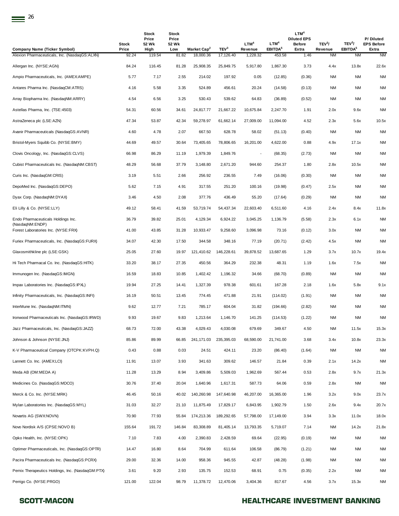| <b>Company Name (Ticker Symbol)</b>                    | <b>Stock</b><br>Price | Stock<br>Price<br>52 Wk<br>High | <b>Stock</b><br>Price<br>52 Wk<br>Low | Market Cap <sup>2</sup> | TEV <sup>3</sup> | LTM <sup>4</sup><br>Revenue | LTM <sup>4</sup><br>EBITDA <sup>5</sup> | LTM <sup>4</sup><br><b>Diluted EPS</b><br><b>Before</b><br>Extra | TEV <sup>3</sup> /<br>Revenue | TEV <sup>3</sup> /<br>EBITDA <sup>5</sup> | P/Diluted<br><b>EPS Before</b><br>Extra |
|--------------------------------------------------------|-----------------------|---------------------------------|---------------------------------------|-------------------------|------------------|-----------------------------|-----------------------------------------|------------------------------------------------------------------|-------------------------------|-------------------------------------------|-----------------------------------------|
| Alexion Pharmaceuticals, Inc. (NasdaqGS:ALXN)          | 92.24                 | 119.54                          | 81.82                                 | 18,000.36               | 17,126.40        | 1,228.32                    | 453.58                                  | 1.46                                                             | <b>NM</b>                     | <b>NM</b>                                 | <b>NM</b>                               |
| Allergan Inc. (NYSE:AGN)                               | 84.24                 | 116.45                          | 81.28                                 | 25,908.35               | 25,849.75        | 5,917.80                    | 1,867.30                                | 3.73                                                             | 4.4x                          | 13.8x                                     | 22.6x                                   |
| Ampio Pharmaceuticals, Inc. (AMEX:AMPE)                | 5.77                  | 7.17                            | 2.55                                  | 214.02                  | 197.92           | 0.05                        | (12.85)                                 | (0.36)                                                           | <b>NM</b>                     | <b>NM</b>                                 | <b>NM</b>                               |
| Antares Pharma Inc. (NasdaqCM:ATRS)                    | 4.16                  | 5.58                            | 3.35                                  | 524.89                  | 456.61           | 20.24                       | (14.58)                                 | (0.13)                                                           | NM                            | <b>NM</b>                                 | <b>NM</b>                               |
| Array Biopharma Inc. (NasdaqNM:ARRY)                   | 4.54                  | 6.56                            | 3.25                                  | 530.43                  | 539.62           | 64.83                       | (36.89)                                 | (0.52)                                                           | <b>NM</b>                     | NM                                        | <b>NM</b>                               |
| Astellas Pharma, Inc. (TSE:4503)                       | 54.31                 | 60.56                           | 34.61                                 | 24,817.77               | 21,667.22        | 10,675.84                   | 2,247.70                                | 1.91                                                             | 2.0x                          | 9.6x                                      | <b>NM</b>                               |
| AstraZeneca plc (LSE:AZN)                              | 47.34                 | 53.87                           | 42.34                                 | 59,278.97               | 61,662.14        | 27,009.00                   | 11,094.00                               | 4.52                                                             | 2.3x                          | 5.6x                                      | 10.5x                                   |
| Avanir Pharmaceuticals (NasdaqGS:AVNR)                 | 4.60                  | 4.78                            | 2.07                                  | 667.50                  | 628.78           | 58.02                       | (51.13)                                 | (0.40)                                                           | <b>NM</b>                     | <b>NM</b>                                 | <b>NM</b>                               |
| Bristol-Myers Squibb Co. (NYSE:BMY)                    | 44.69                 | 49.57                           | 30.64                                 | 73,405.65               | 78,806.65        | 16,201.00                   | 4,622.00                                | 0.88                                                             | 4.9x                          | 17.1x                                     | <b>NM</b>                               |
| Clovis Oncology, Inc. (NasdaqGS:CLVS)                  | 66.98                 | 86.29                           | 11.19                                 | 1,979.39                | 1,849.76         | $\overline{\phantom{a}}$    | (68.35)                                 | (2.73)                                                           | <b>NM</b>                     | <b>NM</b>                                 | <b>NM</b>                               |
| Cubist Pharmaceuticals Inc. (NasdaqNM:CBST)            | 48.29                 | 56.68                           | 37.79                                 | 3,148.80                | 2,671.20         | 944.60                      | 254.37                                  | 1.80                                                             | 2.8x                          | 10.5x                                     | <b>NM</b>                               |
| Curis Inc. (NasdaqGM:CRIS)                             | 3.19                  | 5.51                            | 2.66                                  | 256.92                  | 236.55           | 7.49                        | (16.06)                                 | (0.30)                                                           | NM                            | NM                                        | <b>NM</b>                               |
| DepoMed Inc. (NasdaqGS:DEPO)                           | 5.62                  | 7.15                            | 4.91                                  | 317.55                  | 251.20           | 100.16                      | (19.98)                                 | (0.47)                                                           | 2.5x                          | <b>NM</b>                                 | <b>NM</b>                               |
| Dyax Corp. (NasdaqNM:DYAX)                             | 3.46                  | 4.50                            | 2.08                                  | 377.76                  | 436.49           | 55.20                       | (17.64)                                 | (0.29)                                                           | <b>NM</b>                     | <b>NM</b>                                 | <b>NM</b>                               |
| Eli Lilly & Co. (NYSE:LLY)                             | 49.12                 | 58.41                           | 41.59                                 | 53,719.74               | 54,437.34        | 22,603.40                   | 6,511.60                                | 4.16                                                             | 2.4x                          | 8.4x                                      | 11.8x                                   |
| Endo Pharmaceuticals Holdings Inc.                     | 36.79                 | 39.82                           | 25.01                                 | 4,129.34                | 6,924.22         | 3,045.25                    | 1,136.79                                | (5.58)                                                           | 2.3x                          | 6.1x                                      | <b>NM</b>                               |
| (NasdaqNM:ENDP)<br>Forest Laboratories Inc. (NYSE:FRX) | 41.00                 | 43.85                           | 31.28                                 | 10,933.47               | 9,258.60         | 3,096.98                    | 73.16                                   | (0.12)                                                           | 3.0x                          | NM                                        | <b>NM</b>                               |
| Furiex Pharmaceuticals, Inc. (NasdaqGS:FURX)           | 34.07                 | 42.30                           | 17.50                                 | 344.58                  | 348.16           | 77.19                       | (20.71)                                 | (2.42)                                                           | 4.5x                          | <b>NM</b>                                 | <b>NM</b>                               |
| Glaxosmithkline plc (LSE:GSK)                          | 25.05                 | 27.60                           | 19.97                                 | 121,410.62              | 146,228.61       | 39,878.52                   | 13,687.65                               | 1.29                                                             | 3.7x                          | 10.7x                                     | 19.4x                                   |
| Hi Tech Pharmacal Co. Inc. (NasdaqGS:HITK)             | 33.20                 | 38.17                           | 27.35                                 | 450.56                  | 364.29           | 232.38                      | 48.31                                   | 1.19                                                             | 1.6x                          | 7.5x                                      | <b>NM</b>                               |
| Immunogen Inc. (NasdaqGS:IMGN)                         | 16.59                 | 18.83                           | 10.85                                 | 1,402.42                | 1,196.32         | 34.66                       | (68.70)                                 | (0.89)                                                           | <b>NM</b>                     | NM                                        | <b>NM</b>                               |
| Impax Laboratories Inc. (NasdaqGS:IPXL)                | 19.94                 | 27.25                           | 14.41                                 | 1,327.39                | 978.38           | 601.61                      | 167.28                                  | 2.18                                                             | 1.6x                          | 5.8x                                      | 9.1x                                    |
| Infinity Pharmaceuticals, Inc. (NasdaqGS:INFI)         | 16.19                 | 50.51                           | 13.45                                 | 774.45                  | 471.88           | 21.91                       | (114.02)                                | (1.91)                                                           | NM                            | <b>NM</b>                                 | <b>NM</b>                               |
| InterMune Inc. (NasdaqNM:ITMN)                         | 9.62                  | 12.77                           | 7.21                                  | 785.17                  | 604.04           | 31.82                       | (194.66)                                | (2.82)                                                           | <b>NM</b>                     | <b>NM</b>                                 | <b>NM</b>                               |
| Ironwood Pharmaceuticals Inc. (NasdaqGS:IRWD)          | 9.93                  | 19.67                           | 9.83                                  | 1,213.64                | 1,146.70         | 141.25                      | (114.53)                                | (1.22)                                                           | ΝM                            | <b>NM</b>                                 | <b>NM</b>                               |
| Jazz Pharmaceuticals, Inc. (NasdaqGS:JAZZ)             | 68.73                 | 72.00                           | 43.38                                 | 4,029.43                | 4,030.08         | 679.69                      | 349.67                                  | 4.50                                                             | <b>NM</b>                     | 11.5x                                     | 15.3x                                   |
| Johnson & Johnson (NYSE: JNJ)                          | 85.86                 | 89.99                           | 66.85                                 | 241,171.03              | 235,395.03       | 68,590.00                   | 21,741.00                               | 3.68                                                             | 3.4x                          | 10.8x                                     | 23.3x                                   |
| K-V Pharmaceutical Company (OTCPK:KVPH.Q)              | 0.43                  | 0.88                            | 0.03                                  | 24.51                   | 424.11           | 23.20                       | (86.40)                                 | (1.64)                                                           | <b>NM</b>                     | <b>NM</b>                                 | <b>NM</b>                               |
| Lannett Co. Inc. (AMEX:LCI)                            | 11.91                 | 13.07                           | 3.93                                  | 341.63                  | 309.62           | 146.57                      | 21.84                                   | 0.39                                                             | 2.1x                          | 14.2x                                     | <b>NM</b>                               |
| Meda AB (OM:MEDA A)                                    | 11.28                 | 13.29                           | 8.94                                  | 3,409.86                | 5,509.03         | 1,962.69                    | 567.44                                  | 0.53                                                             | 2.8x                          | 9.7x                                      | 21.3x                                   |
| Medicines Co. (NasdaqGS:MDCO)                          | 30.76                 | 37.40                           | 20.04                                 | 1,640.96                | 1,617.31         | 587.73                      | 64.06                                   | 0.59                                                             | 2.8x                          | NM                                        | <b>NM</b>                               |
| Merck & Co. Inc. (NYSE:MRK)                            | 46.45                 | 50.16                           | 40.02                                 | 140,260.98              | 147,640.98       | 46,207.00                   | 16,365.00                               | 1.96                                                             | 3.2x                          | 9.0x                                      | 23.7x                                   |
| Mylan Laboratories Inc. (NasdaqGS:MYL)                 | 31.03                 | 32.27                           | 21.10                                 | 11,875.49               | 17,829.17        | 6,843.95                    | 1,902.79                                | 1.50                                                             | 2.6x                          | 9.4x                                      | 20.7x                                   |
| Novartis AG (SWX:NOVN)                                 | 70.90                 | 77.93                           | 55.84                                 | 174,213.36              | 189,292.65       | 57,798.00                   | 17,149.00                               | 3.94                                                             | 3.3x                          | 11.0x                                     | 18.0x                                   |
| Novo Nordisk A/S (CPSE:NOVO B)                         | 155.64                | 191.72                          | 146.84                                | 83,308.89               | 81,405.14        | 13,793.35                   | 5,719.07                                | 7.14                                                             | <b>NM</b>                     | 14.2x                                     | 21.8x                                   |
| Opko Health, Inc. (NYSE:OPK)                           | 7.10                  | 7.83                            | 4.00                                  | 2,390.83                | 2,428.59         | 69.64                       | (22.95)                                 | (0.19)                                                           | NM                            | NM                                        | <b>NM</b>                               |
| Optimer Pharmaceuticals, Inc. (NasdaqGS:OPTR)          | 14.47                 | 16.80                           | 8.64                                  | 704.99                  | 611.64           | 106.58                      | (86.79)                                 | (1.21)                                                           | NM                            | NM                                        | NM                                      |
| Pacira Pharmaceuticals Inc. (NasdaqGS:PCRX)            | 29.00                 | 32.36                           | 14.00                                 | 958.36                  | 945.55           | 42.87                       | (48.28)                                 | (1.98)                                                           | <b>NM</b>                     | <b>NM</b>                                 | <b>NM</b>                               |
| Pernix Therapeutics Holdings, Inc. (NasdaqGM:PTX)      | 3.61                  | 9.20                            | 2.93                                  | 135.75                  | 152.53           | 68.91                       | 0.75                                    | (0.35)                                                           | 2.2x                          | <b>NM</b>                                 | <b>NM</b>                               |
| Perrigo Co. (NYSE:PRGO)                                | 121.00                | 122.04                          | 98.79                                 | 11,378.72               | 12,470.06        | 3,404.36                    | 817.67                                  | 4.56                                                             | 3.7x                          | 15.3x                                     | NM                                      |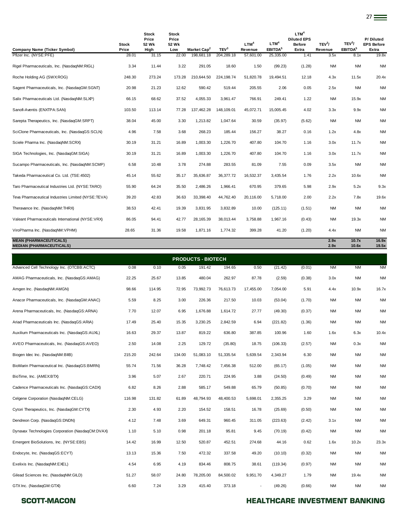|                                                                  | <b>Stock</b> | <b>Stock</b><br>Price<br>52 Wk | <b>Stock</b><br>Price<br>52 Wk |                         |                  | LTM <sup>4</sup> | LTM <sup>4</sup>    | LTM <sup>4</sup><br><b>Diluted EPS</b><br><b>Before</b> | TEV <sup>3</sup> / | TEV <sup>3</sup> /  | P/Diluted<br><b>EPS Before</b> |
|------------------------------------------------------------------|--------------|--------------------------------|--------------------------------|-------------------------|------------------|------------------|---------------------|---------------------------------------------------------|--------------------|---------------------|--------------------------------|
| <b>Company Name (Ticker Symbol)</b>                              | Price        | High                           | Low                            | Market Cap <sup>2</sup> | TEV <sup>3</sup> | Revenue          | EBITDA <sup>5</sup> | Extra                                                   | Revenue            | EBITDA <sup>5</sup> | Extra                          |
| Pfizer Inc. (NYSE:PFE)                                           | 28.01        | 31.15                          | 22.00                          | 198,681.18              | 204,289.18       | 57,601.00        | 25,335.00           | 1.41                                                    | 3.5x               | 8.1x                | 19.8x                          |
| Rigel Pharmaceuticals, Inc. (NasdaqNM:RIGL)                      | 3.34         | 11.44                          | 3.22                           | 291.05                  | 18.60            | 1.50             | (99.23)             | (1.28)                                                  | <b>NM</b>          | <b>NM</b>           | <b>NM</b>                      |
| Roche Holding AG (SWX:ROG)                                       | 248.30       | 273.24                         | 173.28                         | 210,644.50              | 224.198.74       | 51.820.78        | 19.494.51           | 12.18                                                   | 4.3x               | 11.5x               | 20.4x                          |
| Sagent Pharmaceuticals, Inc. (NasdagGM:SGNT)                     | 20.98        | 21.23                          | 12.62                          | 590.42                  | 519.44           | 205.55           | 2.06                | 0.05                                                    | 2.5x               | <b>NM</b>           | <b>NM</b>                      |
| Salix Pharmaceuticals Ltd. (NasdaqNM:SLXP)                       | 66.15        | 68.62                          | 37.52                          | 4,055.33                | 3,961.47         | 766.91           | 249.41              | 1.22                                                    | <b>NM</b>          | 15.9x               | <b>NM</b>                      |
| Sanofi-Aventis (ENXTPA:SAN)                                      | 103.50       | 113.14                         | 77.28                          | 137,462.28              | 148,109.01       | 45,072.71        | 15,005.45           | 4.02                                                    | 3.3x               | 9.9x                | <b>NM</b>                      |
| Sarepta Therapeutics, Inc. (NasdaqGM:SRPT)                       | 38.04        | 45.00                          | 3.30                           | 1,213.82                | 1,047.64         | 30.59            | (35.97)             | (5.62)                                                  | <b>NM</b>          | <b>NM</b>           | <b>NM</b>                      |
| SciClone Pharmaceuticals, Inc. (NasdaqGS:SCLN)                   | 4.96         | 7.58                           | 3.68                           | 268.23                  | 185.44           | 156.27           | 38.27               | 0.16                                                    | 1.2x               | 4.8x                | <b>NM</b>                      |
| Sciele Pharma Inc. (NasdaqNM:SCRX)                               | 30.19        | 31.21                          | 16.89                          | 1,003.30                | 1,226.70         | 407.80           | 104.70              | 1.16                                                    | 3.0x               | 11.7x               | <b>NM</b>                      |
| SIGA Technologies, Inc. (NasdaqGM:SIGA)                          | 30.19        | 31.21                          | 16.89                          | 1,003.30                | 1,226.70         | 407.80           | 104.70              | 1.16                                                    | 3.0x               | 11.7x               | <b>NM</b>                      |
| Sucampo Pharmaceuticals, Inc. (NasdaqNM:SCMP)                    | 6.58         | 10.48                          | 3.78                           | 274.88                  | 283.55           | 81.09            | 7.55                | 0.09                                                    | 3.5x               | <b>NM</b>           | <b>NM</b>                      |
| Takeda Pharmaceutical Co. Ltd. (TSE:4502)                        | 45.14        | 55.62                          | 35.17                          | 35,636.87               | 36,377.72        | 16,532.37        | 3,435.54            | 1.76                                                    | 2.2x               | 10.6x               | <b>NM</b>                      |
| Taro Pharmaceutical Industries Ltd. (NYSE:TARO)                  | 55.90        | 64.24                          | 35.50                          | 2,486.26                | 1,966.41         | 670.95           | 379.65              | 5.98                                                    | 2.9x               | 5.2x                | 9.3x                           |
| Teva Pharmaceutical Industries Limited (NYSE:TEVA)               | 39.20        | 42.83                          | 36.63                          | 33,398.40               | 44,762.40        | 20,116.00        | 5,718.00            | 2.00                                                    | 2.2x               | 7.8x                | 19.6x                          |
| Theravance Inc. (NasdaqNM:THRX)                                  | 38.53        | 42.41                          | 19.39                          | 3,831.95                | 3,832.89         | 10.00            | (125.11)            | (1.51)                                                  | <b>NM</b>          | <b>NM</b>           | <b>NM</b>                      |
| Valeant Pharmaceuticals International (NYSE:VRX)                 | 86.05        | 94.41                          | 42.77                          | 28, 165.39              | 38,013.44        | 3,758.88         | 1,967.16            | (0.43)                                                  | <b>NM</b>          | 19.3x               | <b>NM</b>                      |
| ViroPharma Inc. (NasdaqNM:VPHM)                                  | 28.65        | 31.36                          | 19.58                          | 1,871.16                | 1,774.32         | 399.28           | 41.20               | (1.20)                                                  | 4.4x               | <b>NM</b>           | <b>NM</b>                      |
| <b>MEAN (PHARMACEUTICALS)</b><br><b>MEDIAN (PHARMACEUTICALS)</b> |              |                                |                                |                         |                  |                  |                     |                                                         | 2.9x<br>2.9x       | 10.7x<br>10.6x      | 16.9x<br>19.5x                 |
|                                                                  |              |                                |                                | <b>BRABUATA BIATEAU</b> |                  |                  |                     |                                                         |                    |                     |                                |

|                                                  |        |        |        | <b>PRODUCTS - BIOTECH</b> |           |           |          |        |           |           |           |
|--------------------------------------------------|--------|--------|--------|---------------------------|-----------|-----------|----------|--------|-----------|-----------|-----------|
| Advanced Cell Technology Inc. (OTCBB:ACTC)       | 0.08   | 0.10   | 0.05   | 191.42                    | 194.65    | 0.50      | (21.42)  | (0.01) | <b>NM</b> | <b>NM</b> | <b>NM</b> |
| AMAG Pharmaceuticals, Inc. (NasdaqGS:AMAG)       | 22.25  | 25.67  | 13.85  | 480.04                    | 262.97    | 87.78     | (2.59)   | (0.38) | 3.0x      | <b>NM</b> | <b>NM</b> |
| Amgen Inc. (NasdaqNM:AMGN)                       | 98.66  | 114.95 | 72.95  | 73,992.73                 | 76,613.73 | 17,455.00 | 7,054.00 | 5.91   | 4.4x      | 10.9x     | 16.7x     |
| Anacor Pharmaceuticals, Inc. (NasdaqGM:ANAC)     | 5.59   | 8.25   | 3.00   | 226.36                    | 217.50    | 10.03     | (53.04)  | (1.70) | <b>NM</b> | <b>NM</b> | <b>NM</b> |
| Arena Pharmaceuticals, Inc. (NasdaqGS:ARNA)      | 7.70   | 12.07  | 6.95   | 1,676.88                  | 1,614.72  | 27.77     | (49.30)  | (0.37) | <b>NM</b> | <b>NM</b> | <b>NM</b> |
| Ariad Pharmaceuticals Inc. (NasdaqGS:ARIA)       | 17.49  | 25.40  | 15.35  | 3,230.25                  | 2,842.59  | 6.94      | (221.82) | (1.36) | <b>NM</b> | NM        | <b>NM</b> |
| Auxilium Pharmaceuticals Inc. (NasdaqGS:AUXL)    | 16.63  | 29.37  | 13.87  | 819.22                    | 636.80    | 387.85    | 100.96   | 1.60   | 1.6x      | 6.3x      | 10.4x     |
| AVEO Pharmaceuticals, Inc. (NasdaqGS:AVEO)       | 2.50   | 14.08  | 2.25   | 129.72                    | (35.80)   | 18.75     | (106.33) | (2.57) | <b>NM</b> | 0.3x      | <b>NM</b> |
| Biogen Idec Inc. (NasdaqNM:BIIB)                 | 215.20 | 242.64 | 134.00 | 51,083.10                 | 51,335.54 | 5,639.54  | 2,343.94 | 6.30   | <b>NM</b> | NM        | <b>NM</b> |
| BioMarin Pharmaceutical Inc. (NasdaqGS:BMRN)     | 55.74  | 71.56  | 36.28  | 7,748.42                  | 7,456.38  | 512.00    | (65.17)  | (1.05) | <b>NM</b> | <b>NM</b> | <b>NM</b> |
| BioTime, Inc. (AMEX:BTX)                         | 3.96   | 5.07   | 2.67   | 220.71                    | 224.95    | 3.88      | (24.50)  | (0.49) | <b>NM</b> | NM        | <b>NM</b> |
| Cadence Pharmaceuticals Inc. (NasdaqGS:CADX)     | 6.82   | 8.26   | 2.88   | 585.17                    | 549.88    | 65.79     | (50.85)  | (0.70) | <b>NM</b> | NM        | <b>NM</b> |
| Celgene Corporation (NasdaqNM:CELG)              | 116.98 | 131.82 | 61.89  | 48,794.93                 | 48,400.53 | 5,698.01  | 2,355.25 | 3.29   | <b>NM</b> | NM        | <b>NM</b> |
| Cytori Therapeutics, Inc. (NasdaqGM:CYTX)        | 2.30   | 4.93   | 2.20   | 154.52                    | 158.51    | 16.78     | (25.69)  | (0.50) | <b>NM</b> | <b>NM</b> | <b>NM</b> |
| Dendreon Corp. (NasdaqGS:DNDN)                   | 4.12   | 7.48   | 3.69   | 649.31                    | 960.45    | 311.05    | (223.63) | (2.42) | 3.1x      | NM        | <b>NM</b> |
| Dynavax Technologies Corporation (NasdaqCM:DVAX) | 1.10   | 5.10   | 0.98   | 201.18                    | 95.81     | 9.45      | (70.19)  | (0.42) | <b>NM</b> | <b>NM</b> | <b>NM</b> |
| Emergent BioSolutions, Inc. (NYSE:EBS)           | 14.42  | 16.99  | 12.50  | 520.87                    | 452.51    | 274.68    | 44.16    | 0.62   | 1.6x      | 10.2x     | 23.3x     |
| Endocyte, Inc. (NasdaqGS:ECYT)                   | 13.13  | 15.36  | 7.50   | 472.32                    | 337.58    | 49.20     | (10.10)  | (0.32) | <b>NM</b> | <b>NM</b> | <b>NM</b> |
| Exelixis Inc. (NasdaqNM:EXEL)                    | 4.54   | 6.95   | 4.19   | 834.46                    | 808.75    | 38.61     | (119.34) | (0.97) | <b>NM</b> | <b>NM</b> | <b>NM</b> |
| Gilead Sciences Inc. (NasdaqNM:GILD)             | 51.27  | 58.07  | 24.80  | 78,205.00                 | 84,500.02 | 9,951.70  | 4,349.27 | 1.79   | <b>NM</b> | 19.4x     | <b>NM</b> |
| GTX Inc. (NasdaqGM:GTXI)                         | 6.60   | 7.24   | 3.29   | 415.40                    | 373.18    |           | (49.26)  | (0.66) | <b>NM</b> | NM        | <b>NM</b> |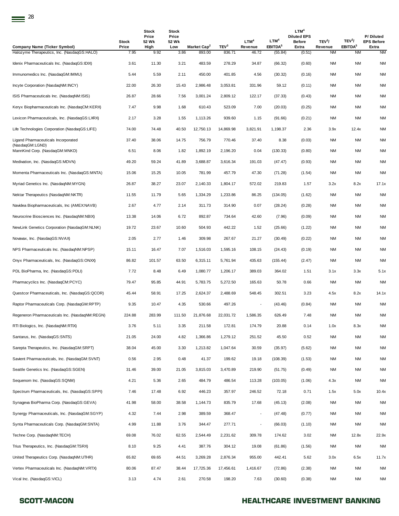| <b>Stock</b><br>Price | Stock<br>Price<br>52 Wk | Stock<br>Price<br>52 Wk<br>Low |           | TEV <sup>3</sup>        | LTM <sup>4</sup><br>Revenue | LTM <sup>4</sup> | LTM <sup>4</sup><br><b>Diluted EPS</b><br><b>Before</b><br>Extra | TEV <sup>3</sup> /<br>Revenue | TEV <sup>3</sup> /<br>EBITDA <sup>5</sup> | P/Diluted<br><b>EPS Before</b><br>Extra |
|-----------------------|-------------------------|--------------------------------|-----------|-------------------------|-----------------------------|------------------|------------------------------------------------------------------|-------------------------------|-------------------------------------------|-----------------------------------------|
| 7.95                  | 9.92                    | 3.86                           | 893.00    | 836.71                  | 46.72                       | (55.84)          | (0.51)                                                           | <b>NM</b>                     | <b>NM</b>                                 | <b>NM</b>                               |
| 3.61                  | 11.30                   | 3.21                           | 483.59    | 278.29                  | 34.87                       | (66.32)          | (0.60)                                                           | <b>NM</b>                     | <b>NM</b>                                 | <b>NM</b>                               |
| 5.44                  | 5.59                    | 2.11                           | 450.00    | 401.85                  | 4.56                        | (30.32)          | (0.16)                                                           | <b>NM</b>                     | <b>NM</b>                                 | <b>NM</b>                               |
| 22.00                 | 26.30                   | 15.43                          | 2,986.48  | 3,053.81                | 331.96                      | 59.12            | (0.11)                                                           | NM                            | <b>NM</b>                                 | <b>NM</b>                               |
| 26.87                 | 28.66                   | 7.56                           | 3,001.24  | 2,809.12                | 122.17                      | (37.33)          | (0.43)                                                           | <b>NM</b>                     | NM                                        | <b>NM</b>                               |
| 7.47                  | 9.98                    | 1.68                           | 610.43    | 523.09                  | 7.00                        | (20.03)          | (0.25)                                                           | <b>NM</b>                     | <b>NM</b>                                 | <b>NM</b>                               |
| 2.17                  | 3.28                    | 1.55                           | 1,113.26  | 939.60                  | 1.15                        | (91.66)          | (0.21)                                                           | NM                            | NM                                        | <b>NM</b>                               |
| 74.00                 | 74.48                   | 40.50                          | 12,750.13 | 14,869.98               | 3,821.91                    | 1,198.37         | 2.36                                                             | 3.9x                          | 12.4x                                     | <b>NM</b>                               |
| 37.40                 | 38.06                   | 14.75                          | 756.79    | 770.46                  | 37.40                       | 8.38             | (0.03)                                                           | <b>NM</b>                     | <b>NM</b>                                 | <b>NM</b>                               |
| 6.51                  | 8.06                    | 1.82                           | 1,892.19  | 2,196.20                | 0.04                        | (130.33)         | (0.80)                                                           | <b>NM</b>                     | NM                                        | <b>NM</b>                               |
| 49.20                 | 59.24                   | 41.89                          | 3,688.87  | 3,616.34                | 191.03                      | (47.47)          | (0.93)                                                           | NM                            | NM                                        | <b>NM</b>                               |
| 15.06                 | 15.25                   | 10.05                          | 781.99    | 457.79                  | 47.30                       | (71.28)          | (1.54)                                                           | NM                            | NM                                        | <b>NM</b>                               |
| 26.87                 | 38.27                   | 23.07                          | 2,140.33  | 1,804.17                | 572.02                      | 219.83           | 1.57                                                             | 3.2x                          | 8.2x                                      | 17.1x                                   |
| 11.55                 | 11.79                   | 5.65                           | 1,334.29  | 1,233.86                | 86.25                       | (134.05)         | (1.62)                                                           | <b>NM</b>                     | <b>NM</b>                                 | <b>NM</b>                               |
| 2.67                  | 4.77                    | 2.14                           | 311.73    | 314.90                  | 0.07                        | (28.24)          | (0.28)                                                           | <b>NM</b>                     | NM                                        | <b>NM</b>                               |
| 13.38                 | 14.06                   | 6.72                           | 892.87    | 734.64                  | 42.60                       | (7.96)           | (0.09)                                                           | <b>NM</b>                     | <b>NM</b>                                 | <b>NM</b>                               |
| 19.72                 | 23.67                   | 10.60                          | 504.93    | 442.22                  | 1.52                        | (25.66)          | (1.22)                                                           | NM                            | NM                                        | <b>NM</b>                               |
| 2.05                  | 2.77                    | 1.46                           | 309.98    | 267.67                  | 21.27                       | (30.49)          | (0.22)                                                           | <b>NM</b>                     | <b>NM</b>                                 | <b>NM</b>                               |
| 15.11                 | 16.47                   | 7.07                           | 1,516.03  | 1,595.16                | 108.15                      | (24.43)          | (0.19)                                                           | NM                            | <b>NM</b>                                 | <b>NM</b>                               |
| 86.82                 | 101.57                  | 63.50                          | 6,315.11  | 5,761.94                | 435.63                      | (155.44)         | (2.47)                                                           | <b>NM</b>                     | NM                                        | <b>NM</b>                               |
| 7.72                  | 8.48                    | 6.49                           | 1,080.77  | 1,206.17                | 389.03                      | 364.02           | 1.51                                                             | 3.1x                          | 3.3x                                      | 5.1x                                    |
| 79.47                 | 95.85                   | 44.91                          | 5,783.75  | 5,272.50                | 165.63                      | 50.78            | 0.66                                                             | <b>NM</b>                     | NM                                        | <b>NM</b>                               |
| 45.44                 | 58.91                   | 17.25                          | 2,624.37  | 2,488.69                | 548.45                      | 302.51           | 3.23                                                             | 4.5x                          | 8.2x                                      | 14.1x                                   |
| 9.35                  | 10.47                   | 4.35                           | 530.66    | 497.26                  | $\overline{\phantom{a}}$    | (43.46)          | (0.84)                                                           | <b>NM</b>                     | <b>NM</b>                                 | <b>NM</b>                               |
| 224.88                | 283.99                  | 111.50                         | 21,876.68 | 22,031.72               | 1,586.35                    | 626.49           | 7.48                                                             | ΝM                            | <b>NM</b>                                 | <b>NM</b>                               |
| 3.76                  | 5.11                    | 3.35                           | 211.58    | 172.81                  | 174.79                      | 20.88            | 0.14                                                             | 1.0x                          | 8.3x                                      | <b>NM</b>                               |
| 21.05                 | 24.00                   | 4.82                           | 1,366.86  | 1,279.12                | 251.52                      | 45.50            | 0.52                                                             | <b>NM</b>                     | <b>NM</b>                                 | NM                                      |
| 38.04                 | 45.00                   | 3.30                           | 1,213.82  | 1,047.64                | 30.59                       | (35.97)          | (5.62)                                                           | <b>NM</b>                     | <b>NM</b>                                 | <b>NM</b>                               |
| 0.56                  | 2.95                    | 0.48                           | 41.37     | 199.62                  | 19.18                       | (108.39)         | (1.53)                                                           | <b>NM</b>                     | <b>NM</b>                                 | <b>NM</b>                               |
| 31.46                 | 39.00                   | 21.05                          | 3,815.03  | 3,470.89                | 219.90                      | (51.75)          | (0.49)                                                           | <b>NM</b>                     | <b>NM</b>                                 | <b>NM</b>                               |
| 4.21                  | 5.36                    | 2.65                           | 484.79    | 486.54                  | 113.28                      | (103.05)         | (1.06)                                                           | 4.3x                          | NM                                        | <b>NM</b>                               |
| 7.46                  | 17.48                   | 6.92                           | 446.23    | 357.97                  | 246.52                      | 72.18            | 0.71                                                             | 1.5x                          | 5.0x                                      | 10.4x                                   |
| 41.98                 | 58.00                   | 38.58                          | 1,144.73  | 835.79                  | 17.68                       | (45.13)          | (2.08)                                                           | <b>NM</b>                     | <b>NM</b>                                 | <b>NM</b>                               |
| 4.32                  | 7.44                    | 2.98                           | 389.59    | 368.47                  | $\overline{\phantom{a}}$    | (47.48)          | (0.77)                                                           | <b>NM</b>                     | <b>NM</b>                                 | <b>NM</b>                               |
| 4.99                  | 11.88                   | 3.76                           | 344.47    | 277.71                  | $\overline{\phantom{a}}$    | (66.03)          | (1.10)                                                           | NM                            | <b>NM</b>                                 | <b>NM</b>                               |
| 69.08                 | 76.02                   | 62.55                          | 2,544.49  | 2,231.62                | 309.78                      | 174.62           | 3.02                                                             | NM                            | 12.8x                                     | 22.9x                                   |
| 8.10                  | 9.25                    | 4.41                           | 387.76    | 304.12                  | 19.08                       | (61.86)          | (1.56)                                                           | NM                            | <b>NM</b>                                 | <b>NM</b>                               |
| 65.82                 | 69.65                   | 44.51                          | 3,269.28  | 2,876.34                | 955.00                      | 442.41           | 5.62                                                             | 3.0x                          | 6.5x                                      | 11.7x                                   |
| 80.06                 | 87.47                   | 38.44                          | 17,725.36 | 17,456.61               | 1,416.67                    | (72.86)          | (2.38)                                                           | NM                            | <b>NM</b>                                 | <b>NM</b>                               |
| 3.13                  | 4.74                    | 2.61                           | 270.58    | 198.20                  | 7.63                        | (30.60)          | (0.38)                                                           | ΝM                            | <b>NM</b>                                 | <b>NM</b>                               |
|                       |                         | High                           |           | Market Cap <sup>2</sup> |                             |                  | EBITDA <sup>5</sup>                                              |                               |                                           |                                         |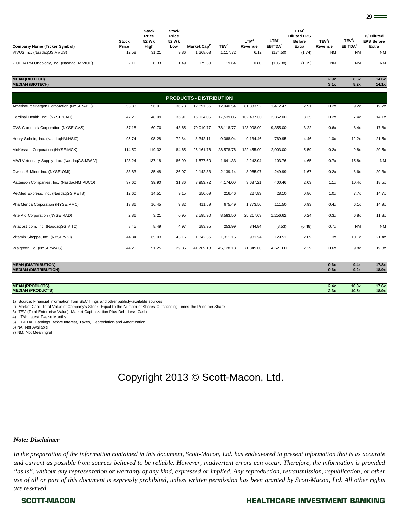| Company Name (Ticker Symbol)                     | Stock<br>Price | <b>Stock</b><br>Price<br>52 Wk<br>High | <b>Stock</b><br>Price<br>52 Wk<br>Low | Market Cap <sup>2</sup> | TEV <sup>3</sup> | $LTM^4$<br>Revenue | <b>LTM<sup>4</sup></b><br>EBITDA <sup>5</sup> | $LTM^4$<br><b>Diluted EPS</b><br><b>Before</b><br>Extra | TEV <sup>3</sup><br>Revenue | TEV <sup>3</sup> /<br>EBITDA <sup>5</sup> | P/Diluted<br><b>EPS Before</b><br>Extra |
|--------------------------------------------------|----------------|----------------------------------------|---------------------------------------|-------------------------|------------------|--------------------|-----------------------------------------------|---------------------------------------------------------|-----------------------------|-------------------------------------------|-----------------------------------------|
| VIVUS Inc. (NasdaqGS:VVUS)                       | 12.58          | 31.21                                  | 9.86                                  | 1,268.03                | 1.117.72         | 6.12               | (174.50)                                      | (1.74)                                                  | NM.                         | <b>NM</b>                                 | <b>NM</b>                               |
| ZIOPHARM Oncology, Inc. (NasdagCM:ZIOP)          | 2.11           | 6.33                                   | 1.49                                  | 175.30                  | 119.64           | 0.80               | (105.38)                                      | (1.05)                                                  | <b>NM</b>                   | <b>NM</b>                                 | <b>NM</b>                               |
| <b>MEAN (BIOTECH)</b><br><b>MEDIAN (BIOTECH)</b> |                |                                        |                                       |                         |                  |                    |                                               |                                                         | 2.9x<br>3.1x                | 8.6x<br>8.2x                              | 14.6x<br>14.1x                          |

29

| <b>PRODUCTS - DISTRIBUTION</b>                             |        |        |       |            |           |            |          |        |              |              |                |  |
|------------------------------------------------------------|--------|--------|-------|------------|-----------|------------|----------|--------|--------------|--------------|----------------|--|
| AmerisourceBergen Corporation (NYSE:ABC)                   | 55.83  | 56.91  | 36.73 | 12,891.56  | 12,940.54 | 81,383.52  | 1,412.47 | 2.91   | 0.2x         | 9.2x         | 19.2x          |  |
| Cardinal Health, Inc. (NYSE:CAH)                           | 47.20  | 48.99  | 36.91 | 16,134.05  | 17,539.05 | 102,437.00 | 2,362.00 | 3.35   | 0.2x         | 7.4x         | 14.1x          |  |
| CVS Caremark Corporation (NYSE:CVS)                        | 57.18  | 60.70  | 43.65 | 70,010.77  | 78,118.77 | 123,098.00 | 9,355.00 | 3.22   | 0.6x         | 8.4x         | 17.8x          |  |
| Henry Schein, Inc. (NasdaqNM:HSIC)                         | 95.74  | 98.28  | 72.84 | 8,342.11   | 9,368.94  | 9,134.46   | 769.95   | 4.46   | 1.0x         | 12.2x        | 21.5x          |  |
| McKesson Corporation (NYSE:MCK)                            | 114.50 | 119.32 | 84.65 | 26, 161.76 | 28,578.76 | 122,455.00 | 2,903.00 | 5.59   | 0.2x         | 9.8x         | 20.5x          |  |
| MWI Veterinary Supply, Inc. (NasdaqGS:MWIV)                | 123.24 | 137.18 | 86.09 | 1,577.60   | 1,641.33  | 2,242.04   | 103.76   | 4.65   | 0.7x         | 15.8x        | <b>NM</b>      |  |
| Owens & Minor Inc. (NYSE:OMI)                              | 33.83  | 35.48  | 26.97 | 2,142.33   | 2,139.14  | 8,965.97   | 249.99   | 1.67   | 0.2x         | 8.6x         | 20.3x          |  |
| Patterson Companies, Inc. (NasdaqNM:PDCO)                  | 37.60  | 39.90  | 31.36 | 3,953.72   | 4,174.00  | 3,637.21   | 400.46   | 2.03   | 1.1x         | 10.4x        | 18.5x          |  |
| PetMed Express, Inc. (NasdaqGS:PETS)                       | 12.60  | 14.51  | 9.15  | 250.09     | 216.46    | 227.83     | 28.10    | 0.86   | 1.0x         | 7.7x         | 14.7x          |  |
| PharMerica Corporation (NYSE:PMC)                          | 13.86  | 16.45  | 9.82  | 411.59     | 675.49    | 1,773.50   | 111.50   | 0.93   | 0.4x         | 6.1x         | 14.9x          |  |
| Rite Aid Corporation (NYSE:RAD)                            | 2.86   | 3.21   | 0.95  | 2,595.90   | 8,583.50  | 25,217.03  | 1,256.62 | 0.24   | 0.3x         | 6.8x         | 11.8x          |  |
| Vitacost.com, Inc. (NasdaqGS:VITC)                         | 8.45   | 8.49   | 4.97  | 283.95     | 253.99    | 344.84     | (8.53)   | (0.48) | 0.7x         | <b>NM</b>    | <b>NM</b>      |  |
| Vitamin Shoppe, Inc. (NYSE:VSI)                            | 44.84  | 65.93  | 43.16 | 1,342.36   | 1,311.15  | 981.94     | 129.51   | 2.09   | 1.3x         | 10.1x        | 21.4x          |  |
| Walgreen Co. (NYSE:WAG)                                    | 44.20  | 51.25  | 29.35 | 41,769.18  | 45,128.18 | 71,349.00  | 4,621.00 | 2.29   | 0.6x         | 9.8x         | 19.3x          |  |
|                                                            |        |        |       |            |           |            |          |        |              |              |                |  |
| <b>MEAN (DISTRIBUTION)</b><br><b>MEDIAN (DISTRIBUTION)</b> |        |        |       |            |           |            |          |        | 0.6x<br>0.6x | 9.4x<br>9.2x | 17.8x<br>18.9x |  |

**MEAN (PRODUCTS) 2.4x 10.8x 17.6x MEDIAN (PRODUCTS) 2.3x 10.5x 18.9x**

1) Source: Financial Information from SEC filings and other publicly-available sources

2) Market Cap: Total Value of Company's Stock; Equal to the Number of Shares Outstanding Times the Price per Share

3) TEV (Total Enterprise Value): Market Capitalization Plus Debt Less Cash

4) LTM: Latest Twelve Months

5) EBITDA: Earnings Before Interest, Taxes, Depreciation and Amortization

6) NA: Not Available

7) NM: Not Meaningful

### Copyright 2013 © Scott-Macon, Ltd.

### *Note: Disclaimer*

*In the preparation of the information contained in this document, Scott-Macon, Ltd. has endeavored to present information that is as accurate and current as possible from sources believed to be reliable. However, inadvertent errors can occur. Therefore, the information is provided "as is", without any representation or warranty of any kind, expressed or implied. Any reproduction, retransmission, republication, or other use of all or part of this document is expressly prohibited, unless written permission has been granted by Scott-Macon, Ltd. All other rights are reserved.*